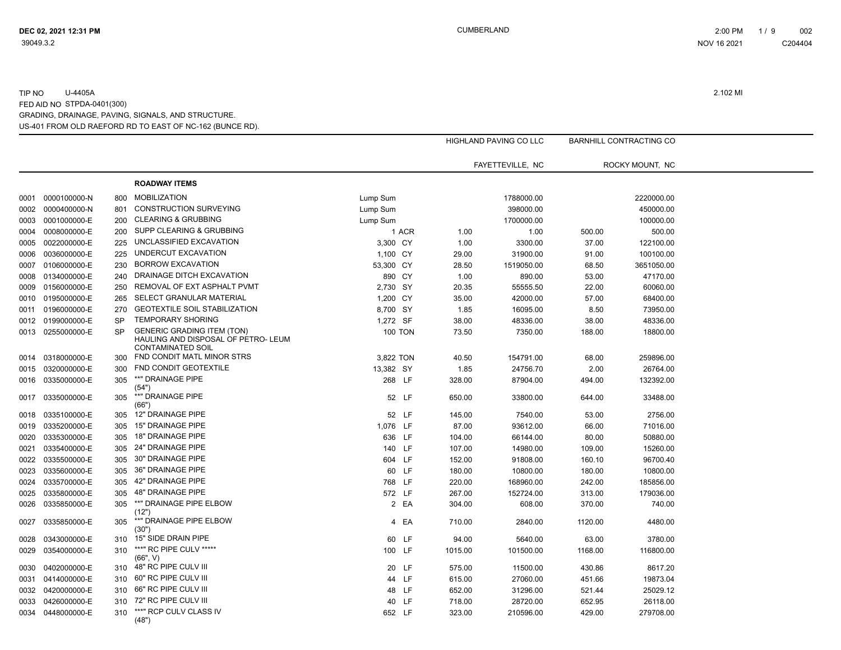|      |                   |           |                                                                                                      |                |       |         | <b>HIGHLAND PAVING CO LLC</b> |         | <b>BARNHILL CONTRACTING CO</b> |  |
|------|-------------------|-----------|------------------------------------------------------------------------------------------------------|----------------|-------|---------|-------------------------------|---------|--------------------------------|--|
|      |                   |           |                                                                                                      |                |       |         |                               |         |                                |  |
|      |                   |           |                                                                                                      |                |       |         | FAYETTEVILLE, NC              |         | ROCKY MOUNT, NC                |  |
|      |                   |           | <b>ROADWAY ITEMS</b>                                                                                 |                |       |         |                               |         |                                |  |
| 0001 | 0000100000-N      | 800       | <b>MOBILIZATION</b>                                                                                  | Lump Sum       |       |         | 1788000.00                    |         | 2220000.00                     |  |
| 0002 | 0000400000-N      | 801       | <b>CONSTRUCTION SURVEYING</b>                                                                        | Lump Sum       |       |         | 398000.00                     |         | 450000.00                      |  |
| 0003 | 0001000000-E      | 200       | <b>CLEARING &amp; GRUBBING</b>                                                                       | Lump Sum       |       |         | 1700000.00                    |         | 100000.00                      |  |
| 0004 | 0008000000-E      | 200       | SUPP CLEARING & GRUBBING                                                                             |                | 1 ACR | 1.00    | 1.00                          | 500.00  | 500.00                         |  |
| 0005 | 0022000000-E      | 225       | UNCLASSIFIED EXCAVATION                                                                              | 3,300 CY       |       | 1.00    | 3300.00                       | 37.00   | 122100.00                      |  |
| 0006 | 0036000000-E      | 225       | UNDERCUT EXCAVATION                                                                                  | 1,100 CY       |       | 29.00   | 31900.00                      | 91.00   | 100100.00                      |  |
| 0007 | 0106000000-E      | 230       | <b>BORROW EXCAVATION</b>                                                                             | 53,300 CY      |       | 28.50   | 1519050.00                    | 68.50   | 3651050.00                     |  |
| 0008 | 0134000000-E      | 240       | DRAINAGE DITCH EXCAVATION                                                                            | 890 CY         |       | 1.00    | 890.00                        | 53.00   | 47170.00                       |  |
| 0009 | 0156000000-E      | 250       | REMOVAL OF EXT ASPHALT PVMT                                                                          | 2,730 SY       |       | 20.35   | 55555.50                      | 22.00   | 60060.00                       |  |
| 0010 | 0195000000-E      | 265       | SELECT GRANULAR MATERIAL                                                                             | 1,200 CY       |       | 35.00   | 42000.00                      | 57.00   | 68400.00                       |  |
| 0011 | 0196000000-E      | 270       | <b>GEOTEXTILE SOIL STABILIZATION</b>                                                                 | 8,700 SY       |       | 1.85    | 16095.00                      | 8.50    | 73950.00                       |  |
|      | 0012 0199000000-E | <b>SP</b> | <b>TEMPORARY SHORING</b>                                                                             | 1,272 SF       |       | 38.00   | 48336.00                      | 38.00   | 48336.00                       |  |
| 0013 | 0255000000-E      | <b>SP</b> | <b>GENERIC GRADING ITEM (TON)</b><br>HAULING AND DISPOSAL OF PETRO- LEUM<br><b>CONTAMINATED SOIL</b> | <b>100 TON</b> |       | 73.50   | 7350.00                       | 188.00  | 18800.00                       |  |
|      | 0014 0318000000-E | 300       | FND CONDIT MATL MINOR STRS                                                                           | 3,822 TON      |       | 40.50   | 154791.00                     | 68.00   | 259896.00                      |  |
| 0015 | 0320000000-E      | 300       | FND CONDIT GEOTEXTILE                                                                                | 13,382 SY      |       | 1.85    | 24756.70                      | 2.00    | 26764.00                       |  |
|      | 0016 0335000000-E | 305       | **" DRAINAGE PIPE                                                                                    | 268 LF         |       | 328.00  | 87904.00                      | 494.00  | 132392.00                      |  |
| 0017 | 0335000000-E      | 305       | (54"<br>**" DRAINAGE PIPE<br>(66"                                                                    | 52 LF          |       | 650.00  | 33800.00                      | 644.00  | 33488.00                       |  |
| 0018 | 0335100000-E      | 305       | 12" DRAINAGE PIPE                                                                                    | 52 LF          |       | 145.00  | 7540.00                       | 53.00   | 2756.00                        |  |
| 0019 | 0335200000-E      | 305       | 15" DRAINAGE PIPE                                                                                    | 1,076 LF       |       | 87.00   | 93612.00                      | 66.00   | 71016.00                       |  |
| 0020 | 0335300000-E      | 305       | 18" DRAINAGE PIPE                                                                                    | 636 LF         |       | 104.00  | 66144.00                      | 80.00   | 50880.00                       |  |
| 0021 | 0335400000-E      | 305       | 24" DRAINAGE PIPE                                                                                    | 140 LF         |       | 107.00  | 14980.00                      | 109.00  | 15260.00                       |  |
| 0022 | 0335500000-E      | 305       | 30" DRAINAGE PIPE                                                                                    | 604 LF         |       | 152.00  | 91808.00                      | 160.10  | 96700.40                       |  |
| 0023 | 0335600000-E      | 305       | 36" DRAINAGE PIPE                                                                                    | 60 LF          |       | 180.00  | 10800.00                      | 180.00  | 10800.00                       |  |
| 0024 | 0335700000-E      | 305       | 42" DRAINAGE PIPE                                                                                    | 768 LF         |       | 220.00  | 168960.00                     | 242.00  | 185856.00                      |  |
| 0025 | 0335800000-E      | 305       | <b>48" DRAINAGE PIPE</b>                                                                             | 572 LF         |       | 267.00  | 152724.00                     | 313.00  | 179036.00                      |  |
| 0026 | 0335850000-E      | 305       | **" DRAINAGE PIPE ELBOW                                                                              |                | 2 EA  | 304.00  | 608.00                        | 370.00  | 740.00                         |  |
| 0027 | 0335850000-E      | 305       | (12")<br>**" DRAINAGE PIPE ELBOW                                                                     | 4              | EA    | 710.00  | 2840.00                       | 1120.00 | 4480.00                        |  |
|      |                   |           | (30")                                                                                                |                |       |         |                               |         |                                |  |
| 0028 | 0343000000-E      | 310       | 15" SIDE DRAIN PIPE                                                                                  | 60 LF          |       | 94.00   | 5640.00                       | 63.00   | 3780.00                        |  |
| 0029 | 0354000000-E      | 310       | ***" RC PIPE CULV *****<br>(66", V)                                                                  | 100 LF         |       | 1015.00 | 101500.00                     | 1168.00 | 116800.00                      |  |
| 0030 | 0402000000-E      | 310       | 48" RC PIPE CULV III                                                                                 | 20 LF          |       | 575.00  | 11500.00                      | 430.86  | 8617.20                        |  |
| 0031 | 0414000000-E      | 310       | 60" RC PIPE CULV III                                                                                 | 44 LF          |       | 615.00  | 27060.00                      | 451.66  | 19873.04                       |  |
|      | 0032 0420000000-E | 310       | 66" RC PIPE CULV III                                                                                 | 48 LF          |       | 652.00  | 31296.00                      | 521.44  | 25029.12                       |  |
| 0033 | 0426000000-E      | 310       | 72" RC PIPE CULV III                                                                                 | 40 LF          |       | 718.00  | 28720.00                      | 652.95  | 26118.00                       |  |
|      | 0034 0448000000-E | 310       | ***" RCP CULV CLASS IV<br>(48")                                                                      | 652 LF         |       | 323.00  | 210596.00                     | 429.00  | 279708.00                      |  |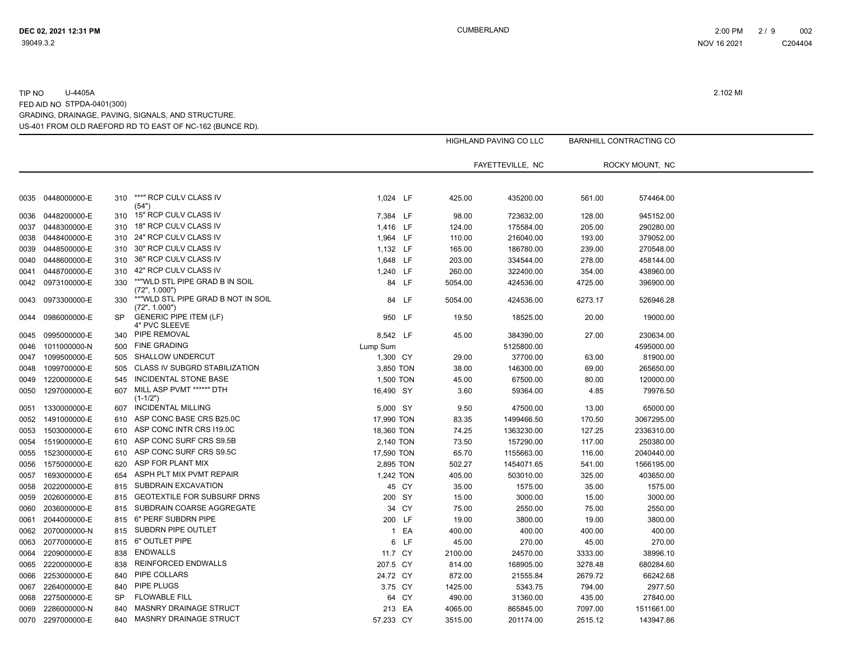|      |                   |           |                                                     |            |       |         | <b>HIGHLAND PAVING CO LLC</b> |         | <b>BARNHILL CONTRACTING CO</b> |  |
|------|-------------------|-----------|-----------------------------------------------------|------------|-------|---------|-------------------------------|---------|--------------------------------|--|
|      |                   |           |                                                     |            |       |         | FAYETTEVILLE, NC              |         | ROCKY MOUNT, NC                |  |
|      |                   |           |                                                     |            |       |         |                               |         |                                |  |
| 0035 | 0448000000-E      | 310       | ***" RCP CULV CLASS IV<br>(54")                     | 1.024 LF   |       | 425.00  | 435200.00                     | 561.00  | 574464.00                      |  |
| 0036 | 0448200000-E      | 310       | 15" RCP CULV CLASS IV                               | 7,384 LF   |       | 98.00   | 723632.00                     | 128.00  | 945152.00                      |  |
| 0037 | 0448300000-E      | 310       | 18" RCP CULV CLASS IV                               | 1,416 LF   |       | 124.00  | 175584.00                     | 205.00  | 290280.00                      |  |
| 0038 | 0448400000-E      | 310       | 24" RCP CULV CLASS IV                               | 1,964 LF   |       | 110.00  | 216040.00                     | 193.00  | 379052.00                      |  |
| 0039 | 0448500000-E      | 310       | 30" RCP CULV CLASS IV                               | 1,132 LF   |       | 165.00  | 186780.00                     | 239.00  | 270548.00                      |  |
| 0040 | 0448600000-E      | 310       | 36" RCP CULV CLASS IV                               | 1,648 LF   |       | 203.00  | 334544.00                     | 278.00  | 458144.00                      |  |
| 0041 | 0448700000-E      | 310       | 42" RCP CULV CLASS IV                               | 1,240 LF   |       | 260.00  | 322400.00                     | 354.00  | 438960.00                      |  |
|      | 0042 0973100000-E | 330       | **"WLD STL PIPE GRAD B IN SOIL<br>(72", 1.000")     | 84 LF      |       | 5054.00 | 424536.00                     | 4725.00 | 396900.00                      |  |
| 0043 | 0973300000-E      | 330       | **"WLD STL PIPE GRAD B NOT IN SOIL<br>(72", 1.000") | 84 LF      |       | 5054.00 | 424536.00                     | 6273.17 | 526946.28                      |  |
| 0044 | 0986000000-E      | SP        | <b>GENERIC PIPE ITEM (LF)</b><br>4" PVC SLEEVE      | 950 LF     |       | 19.50   | 18525.00                      | 20.00   | 19000.00                       |  |
| 0045 | 0995000000-E      | 340       | PIPE REMOVAL                                        | 8,542 LF   |       | 45.00   | 384390.00                     | 27.00   | 230634.00                      |  |
| 0046 | 1011000000-N      | 500       | <b>FINE GRADING</b>                                 | Lump Sum   |       |         | 5125800.00                    |         | 4595000.00                     |  |
| 0047 | 1099500000-E      | 505       | <b>SHALLOW UNDERCUT</b>                             | 1,300 CY   |       | 29.00   | 37700.00                      | 63.00   | 81900.00                       |  |
| 0048 | 1099700000-E      | 505       | CLASS IV SUBGRD STABILIZATION                       | 3,850 TON  |       | 38.00   | 146300.00                     | 69.00   | 265650.00                      |  |
| 0049 | 1220000000-E      | 545       | <b>INCIDENTAL STONE BASE</b>                        | 1,500 TON  |       | 45.00   | 67500.00                      | 80.00   | 120000.00                      |  |
| 0050 | 1297000000-E      | 607       | MILL ASP PVMT *****" DTH<br>$(1-1/2")$              | 16,490 SY  |       | 3.60    | 59364.00                      | 4.85    | 79976.50                       |  |
| 0051 | 1330000000-E      | 607       | <b>INCIDENTAL MILLING</b>                           | 5,000 SY   |       | 9.50    | 47500.00                      | 13.00   | 65000.00                       |  |
| 0052 | 1491000000-E      | 610       | ASP CONC BASE CRS B25.0C                            | 17,990 TON |       | 83.35   | 1499466.50                    | 170.50  | 3067295.00                     |  |
| 0053 | 1503000000-E      | 610       | ASP CONC INTR CRS I19.0C                            | 18,360 TON |       | 74.25   | 1363230.00                    | 127.25  | 2336310.00                     |  |
| 0054 | 1519000000-E      | 610       | ASP CONC SURF CRS S9.5B                             | 2,140 TON  |       | 73.50   | 157290.00                     | 117.00  | 250380.00                      |  |
| 0055 | 1523000000-E      | 610       | ASP CONC SURF CRS S9.5C                             | 17,590 TON |       | 65.70   | 1155663.00                    | 116.00  | 2040440.00                     |  |
| 0056 | 1575000000-E      | 620       | ASP FOR PLANT MIX                                   | 2,895 TON  |       | 502.27  | 1454071.65                    | 541.00  | 1566195.00                     |  |
| 0057 | 1693000000-E      | 654       | ASPH PLT MIX PVMT REPAIR                            | 1,242 TON  |       | 405.00  | 503010.00                     | 325.00  | 403650.00                      |  |
| 0058 | 2022000000-E      | 815       | SUBDRAIN EXCAVATION                                 |            | 45 CY | 35.00   | 1575.00                       | 35.00   | 1575.00                        |  |
| 0059 | 2026000000-E      | 815       | <b>GEOTEXTILE FOR SUBSURF DRNS</b>                  | 200 SY     |       | 15.00   | 3000.00                       | 15.00   | 3000.00                        |  |
| 0060 | 2036000000-E      | 815       | SUBDRAIN COARSE AGGREGATE                           | 34 CY      |       | 75.00   | 2550.00                       | 75.00   | 2550.00                        |  |
| 0061 | 2044000000-E      | 815       | 6" PERF SUBDRN PIPE                                 | 200 LF     |       | 19.00   | 3800.00                       | 19.00   | 3800.00                        |  |
| 0062 | 2070000000-N      | 815       | SUBDRN PIPE OUTLET                                  |            | 1 EA  | 400.00  | 400.00                        | 400.00  | 400.00                         |  |
| 0063 | 2077000000-E      | 815       | 6" OUTLET PIPE                                      | 6          | LF    | 45.00   | 270.00                        | 45.00   | 270.00                         |  |
| 0064 | 2209000000-E      | 838       | <b>ENDWALLS</b>                                     | 11.7 CY    |       | 2100.00 | 24570.00                      | 3333.00 | 38996.10                       |  |
| 0065 | 2220000000-E      | 838       | REINFORCED ENDWALLS                                 | 207.5 CY   |       | 814.00  | 168905.00                     | 3278.48 | 680284.60                      |  |
| 0066 | 2253000000-E      | 840       | PIPE COLLARS                                        | 24.72 CY   |       | 872.00  | 21555.84                      | 2679.72 | 66242.68                       |  |
| 0067 | 2264000000-E      | 840       | PIPE PLUGS                                          | 3.75 CY    |       | 1425.00 | 5343.75                       | 794.00  | 2977.50                        |  |
| 0068 | 2275000000-E      | <b>SP</b> | <b>FLOWABLE FILL</b>                                |            | 64 CY | 490.00  | 31360.00                      | 435.00  | 27840.00                       |  |
| 0069 | 2286000000-N      | 840       | MASNRY DRAINAGE STRUCT                              | 213 EA     |       | 4065.00 | 865845.00                     | 7097.00 | 1511661.00                     |  |
| 0070 | 2297000000-E      | 840       | <b>MASNRY DRAINAGE STRUCT</b>                       | 57.233 CY  |       | 3515.00 | 201174.00                     | 2515.12 | 143947.86                      |  |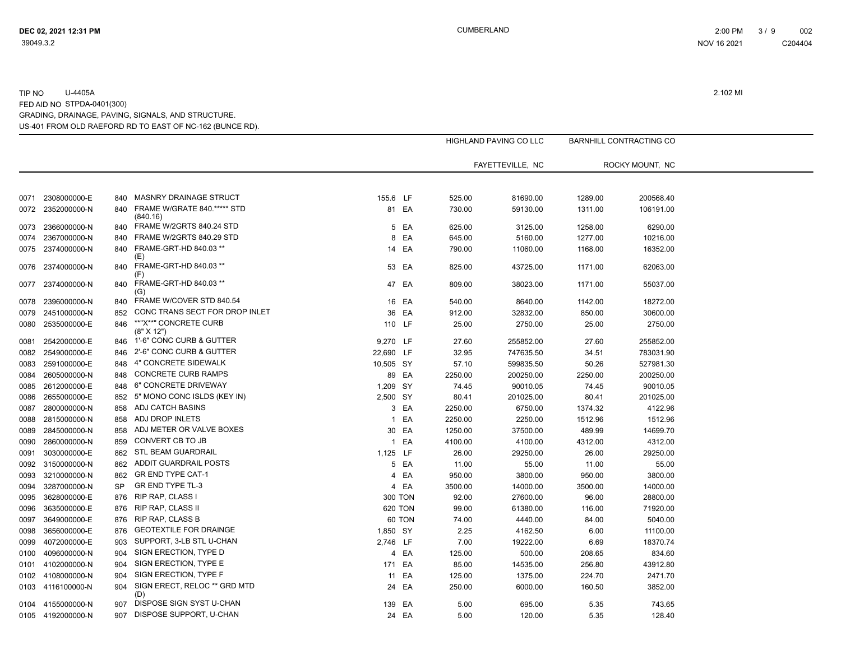|      |                   |           |                                     |                |         |         | HIGHLAND PAVING CO LLC |         | <b>BARNHILL CONTRACTING CO</b> |  |
|------|-------------------|-----------|-------------------------------------|----------------|---------|---------|------------------------|---------|--------------------------------|--|
|      |                   |           |                                     |                |         |         |                        |         |                                |  |
|      |                   |           |                                     |                |         |         | FAYETTEVILLE, NC       |         | ROCKY MOUNT. NC                |  |
|      |                   |           |                                     |                |         |         |                        |         |                                |  |
| 0071 | 2308000000-E      | 840       | <b>MASNRY DRAINAGE STRUCT</b>       | 155.6 LF       |         | 525.00  | 81690.00               | 1289.00 | 200568.40                      |  |
| 0072 | 2352000000-N      | 840       | FRAME W/GRATE 840.***** STD         |                | 81 EA   | 730.00  | 59130.00               | 1311.00 | 106191.00                      |  |
|      |                   |           | (840.16)                            |                |         |         |                        |         |                                |  |
| 0073 | 2366000000-N      | 840       | FRAME W/2GRTS 840.24 STD            | 5              | EA      | 625.00  | 3125.00                | 1258.00 | 6290.00                        |  |
| 0074 | 2367000000-N      | 840       | FRAME W/2GRTS 840.29 STD            | 8              | EA      | 645.00  | 5160.00                | 1277.00 | 10216.00                       |  |
| 0075 | 2374000000-N      | 840       | FRAME-GRT-HD 840.03 **<br>(E)       |                | 14 EA   | 790.00  | 11060.00               | 1168.00 | 16352.00                       |  |
| 0076 | 2374000000-N      | 840       | FRAME-GRT-HD 840.03 **<br>(F)       |                | 53 EA   | 825.00  | 43725.00               | 1171.00 | 62063.00                       |  |
| 0077 | 2374000000-N      | 840       | FRAME-GRT-HD 840.03 **<br>(G)       |                | 47 EA   | 809.00  | 38023.00               | 1171.00 | 55037.00                       |  |
| 0078 | 2396000000-N      | 840       | FRAME W/COVER STD 840.54            |                | 16 EA   | 540.00  | 8640.00                | 1142.00 | 18272.00                       |  |
| 0079 | 2451000000-N      | 852       | CONC TRANS SECT FOR DROP INLET      |                | 36 EA   | 912.00  | 32832.00               | 850.00  | 30600.00                       |  |
| 0080 | 2535000000-E      | 846       | **"X**" CONCRETE CURB<br>(8" X 12") | 110 LF         |         | 25.00   | 2750.00                | 25.00   | 2750.00                        |  |
| 0081 | 2542000000-E      | 846       | 1'-6" CONC CURB & GUTTER            | 9,270 LF       |         | 27.60   | 255852.00              | 27.60   | 255852.00                      |  |
| 0082 | 2549000000-E      | 846       | 2'-6" CONC CURB & GUTTER            | 22,690 LF      |         | 32.95   | 747635.50              | 34.51   | 783031.90                      |  |
| 0083 | 2591000000-E      | 848       | 4" CONCRETE SIDEWALK                | 10,505 SY      |         | 57.10   | 599835.50              | 50.26   | 527981.30                      |  |
| 0084 | 2605000000-N      | 848       | <b>CONCRETE CURB RAMPS</b>          |                | 89 EA   | 2250.00 | 200250.00              | 2250.00 | 200250.00                      |  |
| 0085 | 2612000000-E      | 848       | 6" CONCRETE DRIVEWAY                | 1,209 SY       |         | 74.45   | 90010.05               | 74.45   | 90010.05                       |  |
| 0086 | 2655000000-E      | 852       | 5" MONO CONC ISLDS (KEY IN)         | 2,500 SY       |         | 80.41   | 201025.00              | 80.41   | 201025.00                      |  |
| 0087 | 2800000000-N      | 858       | ADJ CATCH BASINS                    | 3              | EA      | 2250.00 | 6750.00                | 1374.32 | 4122.96                        |  |
| 0088 | 2815000000-N      | 858       | ADJ DROP INLETS                     | $\mathbf{1}$   | EA      | 2250.00 | 2250.00                | 1512.96 | 1512.96                        |  |
| 0089 | 2845000000-N      | 858       | ADJ METER OR VALVE BOXES            |                | 30 EA   | 1250.00 | 37500.00               | 489.99  | 14699.70                       |  |
| 0090 | 2860000000-N      | 859       | CONVERT CB TO JB                    | $\mathbf{1}$   | EA      | 4100.00 | 4100.00                | 4312.00 | 4312.00                        |  |
| 0091 | 3030000000-E      | 862       | <b>STL BEAM GUARDRAIL</b>           | 1,125 LF       |         | 26.00   | 29250.00               | 26.00   | 29250.00                       |  |
| 0092 | 3150000000-N      | 862       | ADDIT GUARDRAIL POSTS               |                | 5 EA    | 11.00   | 55.00                  | 11.00   | 55.00                          |  |
| 0093 | 3210000000-N      | 862       | <b>GR END TYPE CAT-1</b>            | 4              | EA      | 950.00  | 3800.00                | 950.00  | 3800.00                        |  |
| 0094 | 3287000000-N      | <b>SP</b> | GR END TYPE TL-3                    |                | 4 EA    | 3500.00 | 14000.00               | 3500.00 | 14000.00                       |  |
| 0095 | 3628000000-E      | 876       | RIP RAP, CLASS I                    | <b>300 TON</b> |         | 92.00   | 27600.00               | 96.00   | 28800.00                       |  |
| 0096 | 3635000000-E      | 876       | <b>RIP RAP, CLASS II</b>            |                | 620 TON | 99.00   | 61380.00               | 116.00  | 71920.00                       |  |
| 0097 | 3649000000-E      | 876       | RIP RAP, CLASS B                    |                | 60 TON  | 74.00   | 4440.00                | 84.00   | 5040.00                        |  |
| 0098 | 3656000000-E      | 876       | <b>GEOTEXTILE FOR DRAINGE</b>       | 1,850 SY       |         | 2.25    | 4162.50                | 6.00    | 11100.00                       |  |
| 0099 | 4072000000-E      | 903       | SUPPORT, 3-LB STL U-CHAN            | 2,746 LF       |         | 7.00    | 19222.00               | 6.69    | 18370.74                       |  |
| 0100 | 4096000000-N      | 904       | SIGN ERECTION, TYPE D               |                | 4 EA    | 125.00  | 500.00                 | 208.65  | 834.60                         |  |
| 0101 | 4102000000-N      | 904       | SIGN ERECTION, TYPE E               | 171            | EA      | 85.00   | 14535.00               | 256.80  | 43912.80                       |  |
| 0102 | 4108000000-N      | 904       | SIGN ERECTION, TYPE F               | 11             | EA      | 125.00  | 1375.00                | 224.70  | 2471.70                        |  |
|      | 0103 4116100000-N | 904       | SIGN ERECT, RELOC ** GRD MTD        | 24             | EA      | 250.00  | 6000.00                | 160.50  | 3852.00                        |  |
|      |                   |           | (D)                                 |                |         |         |                        |         |                                |  |
|      | 0104 4155000000-N | 907       | DISPOSE SIGN SYST U-CHAN            | 139 EA         |         | 5.00    | 695.00                 | 5.35    | 743.65                         |  |
|      | 0105 4192000000-N | 907       | DISPOSE SUPPORT, U-CHAN             |                | 24 EA   | 5.00    | 120.00                 | 5.35    | 128.40                         |  |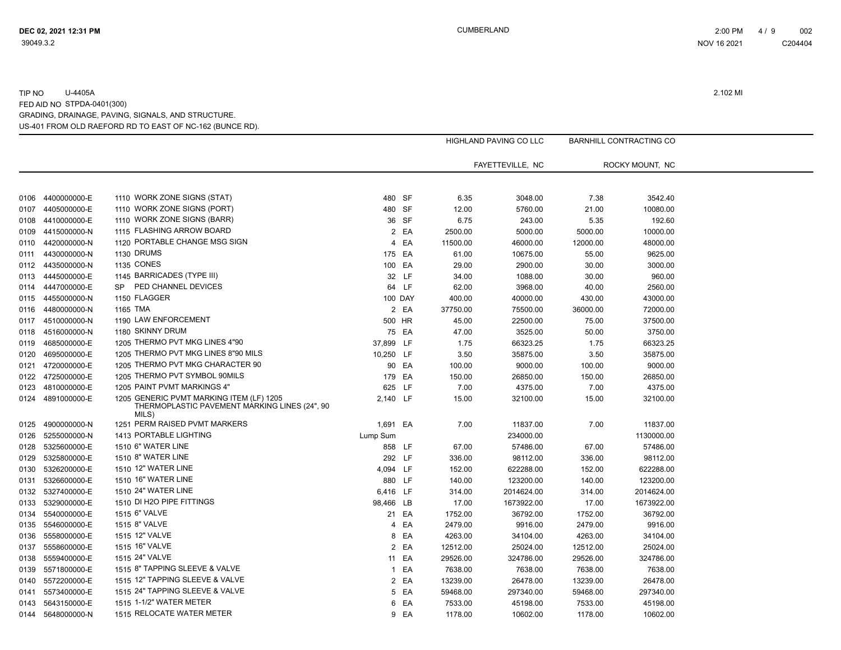|      |                   |                                                        |                |         |          | HIGHLAND PAVING CO LLC |          | BARNHILL CONTRACTING CO |  |
|------|-------------------|--------------------------------------------------------|----------------|---------|----------|------------------------|----------|-------------------------|--|
|      |                   |                                                        |                |         |          |                        |          |                         |  |
|      |                   |                                                        |                |         |          | FAYETTEVILLE, NC       |          | ROCKY MOUNT, NC         |  |
|      |                   |                                                        |                |         |          |                        |          |                         |  |
|      |                   |                                                        |                |         |          |                        |          |                         |  |
| 0106 | 4400000000-E      | 1110 WORK ZONE SIGNS (STAT)                            |                | 480 SF  | 6.35     | 3048.00                | 7.38     | 3542.40                 |  |
| 0107 | 4405000000-E      | 1110 WORK ZONE SIGNS (PORT)                            |                | 480 SF  | 12.00    | 5760.00                | 21.00    | 10080.00                |  |
| 0108 | 4410000000-E      | 1110 WORK ZONE SIGNS (BARR)                            |                | 36 SF   | 6.75     | 243.00                 | 5.35     | 192.60                  |  |
| 0109 | 4415000000-N      | 1115 FLASHING ARROW BOARD                              | $\overline{2}$ | EA      | 2500.00  | 5000.00                | 5000.00  | 10000.00                |  |
| 0110 | 4420000000-N      | 1120 PORTABLE CHANGE MSG SIGN                          | $\overline{4}$ | EA      | 11500.00 | 46000.00               | 12000.00 | 48000.00                |  |
| 0111 | 4430000000-N      | 1130 DRUMS                                             | 175 EA         |         | 61.00    | 10675.00               | 55.00    | 9625.00                 |  |
| 0112 | 4435000000-N      | <b>1135 CONES</b>                                      |                | 100 EA  | 29.00    | 2900.00                | 30.00    | 3000.00                 |  |
| 0113 | 4445000000-E      | 1145 BARRICADES (TYPE III)                             |                | 32 LF   | 34.00    | 1088.00                | 30.00    | 960.00                  |  |
| 0114 | 4447000000-E      | PED CHANNEL DEVICES<br>SP                              |                | 64 LF   | 62.00    | 3968.00                | 40.00    | 2560.00                 |  |
| 0115 | 4455000000-N      | 1150 FLAGGER                                           |                | 100 DAY | 400.00   | 40000.00               | 430.00   | 43000.00                |  |
| 0116 | 4480000000-N      | 1165 TMA                                               |                | 2 EA    | 37750.00 | 75500.00               | 36000.00 | 72000.00                |  |
| 0117 | 4510000000-N      | 1190 LAW ENFORCEMENT                                   |                | 500 HR  | 45.00    | 22500.00               | 75.00    | 37500.00                |  |
| 0118 | 4516000000-N      | 1180 SKINNY DRUM                                       |                | 75 EA   | 47.00    | 3525.00                | 50.00    | 3750.00                 |  |
| 0119 | 4685000000-E      | 1205 THERMO PVT MKG LINES 4"90                         | 37,899 LF      |         | 1.75     | 66323.25               | 1.75     | 66323.25                |  |
| 0120 | 4695000000-E      | 1205 THERMO PVT MKG LINES 8"90 MILS                    | 10,250 LF      |         | 3.50     | 35875.00               | 3.50     | 35875.00                |  |
| 0121 | 4720000000-E      | 1205 THERMO PVT MKG CHARACTER 90                       |                | 90 EA   | 100.00   | 9000.00                | 100.00   | 9000.00                 |  |
|      | 0122 4725000000-E | 1205 THERMO PVT SYMBOL 90MILS                          | 179 EA         |         | 150.00   | 26850.00               | 150.00   | 26850.00                |  |
| 0123 | 4810000000-E      | 1205 PAINT PVMT MARKINGS 4"                            | 625 LF         |         | 7.00     | 4375.00                | 7.00     | 4375.00                 |  |
|      | 0124 4891000000-E | 1205 GENERIC PVMT MARKING ITEM (LF) 1205               | 2,140 LF       |         | 15.00    | 32100.00               | 15.00    | 32100.00                |  |
|      |                   | THERMOPLASTIC PAVEMENT MARKING LINES (24", 90<br>MILS) |                |         |          |                        |          |                         |  |
| 0125 | 4900000000-N      | 1251 PERM RAISED PVMT MARKERS                          | 1,691 EA       |         | 7.00     | 11837.00               | 7.00     | 11837.00                |  |
| 0126 | 5255000000-N      | 1413 PORTABLE LIGHTING                                 | Lump Sum       |         |          | 234000.00              |          | 1130000.00              |  |
|      | 5325600000-E      | 1510 6" WATER LINE                                     |                | 858 LF  |          | 57486.00               |          | 57486.00                |  |
| 0128 | 5325800000-E      | 1510 8" WATER LINE                                     | 292 LF         |         | 67.00    |                        | 67.00    | 98112.00                |  |
| 0129 |                   | 1510 12" WATER LINE                                    |                |         | 336.00   | 98112.00               | 336.00   |                         |  |
| 0130 | 5326200000-E      |                                                        | 4,094 LF       |         | 152.00   | 622288.00              | 152.00   | 622288.00               |  |
| 0131 | 5326600000-E      | 1510 16" WATER LINE                                    | 880 LF         |         | 140.00   | 123200.00              | 140.00   | 123200.00               |  |
| 0132 | 5327400000-E      | 1510 24" WATER LINE                                    | 6,416 LF       |         | 314.00   | 2014624.00             | 314.00   | 2014624.00              |  |
| 0133 | 5329000000-E      | 1510 DI H2O PIPE FITTINGS                              | 98,466 LB      |         | 17.00    | 1673922.00             | 17.00    | 1673922.00              |  |
| 0134 | 5540000000-E      | 1515 6" VALVE                                          |                | 21 EA   | 1752.00  | 36792.00               | 1752.00  | 36792.00                |  |
| 0135 | 5546000000-E      | 1515 8" VALVE                                          | 4              | EA      | 2479.00  | 9916.00                | 2479.00  | 9916.00                 |  |
| 0136 | 5558000000-E      | 1515 12" VALVE                                         | 8              | EA      | 4263.00  | 34104.00               | 4263.00  | 34104.00                |  |
| 0137 | 5558600000-E      | 1515 16" VALVE                                         |                | 2 EA    | 12512.00 | 25024.00               | 12512.00 | 25024.00                |  |
| 0138 | 5559400000-E      | 1515 24" VALVE                                         |                | 11 EA   | 29526.00 | 324786.00              | 29526.00 | 324786.00               |  |
| 0139 | 5571800000-E      | 1515 8" TAPPING SLEEVE & VALVE                         | $\mathbf{1}$   | EA      | 7638.00  | 7638.00                | 7638.00  | 7638.00                 |  |
| 0140 | 5572200000-E      | 1515 12" TAPPING SLEEVE & VALVE                        | $\overline{2}$ | EA      | 13239.00 | 26478.00               | 13239.00 | 26478.00                |  |
| 0141 | 5573400000-E      | 1515 24" TAPPING SLEEVE & VALVE                        | 5              | EA      | 59468.00 | 297340.00              | 59468.00 | 297340.00               |  |
| 0143 | 5643150000-E      | 1515 1-1/2" WATER METER                                | 6              | EA      | 7533.00  | 45198.00               | 7533.00  | 45198.00                |  |
| 0144 | 5648000000-N      | 1515 RELOCATE WATER METER                              |                | 9 EA    | 1178.00  | 10602.00               | 1178.00  | 10602.00                |  |
|      |                   |                                                        |                |         |          |                        |          |                         |  |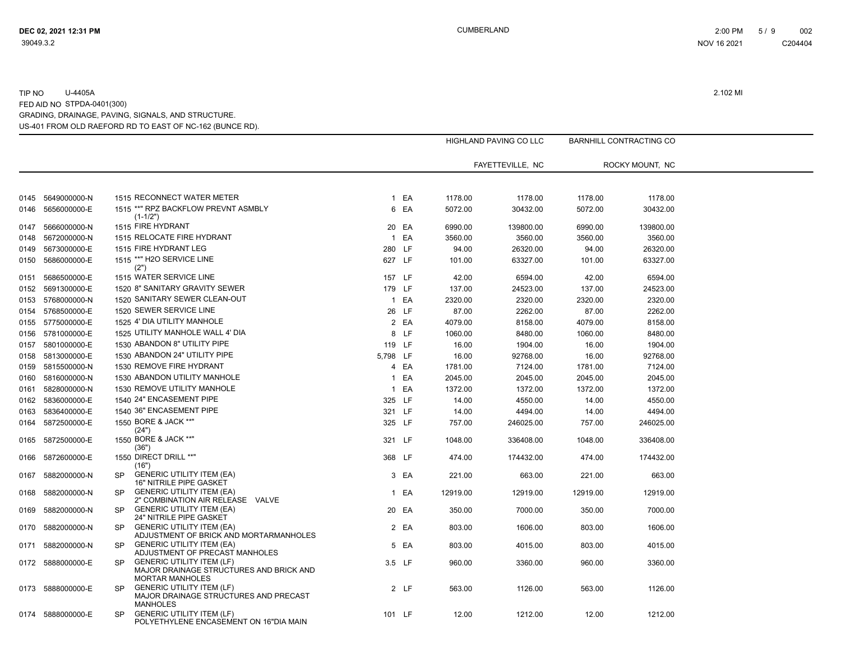|      |                   |           |                                                                                                       |                |        |          | <b>HIGHLAND PAVING CO LLC</b> |          | <b>BARNHILL CONTRACTING CO</b> |  |
|------|-------------------|-----------|-------------------------------------------------------------------------------------------------------|----------------|--------|----------|-------------------------------|----------|--------------------------------|--|
|      |                   |           |                                                                                                       |                |        |          | FAYETTEVILLE, NC              |          | ROCKY MOUNT, NC                |  |
|      |                   |           |                                                                                                       |                |        |          |                               |          |                                |  |
| 0145 | 5649000000-N      |           | 1515 RECONNECT WATER METER                                                                            |                | 1 EA   | 1178.00  | 1178.00                       | 1178.00  | 1178.00                        |  |
| 0146 | 5656000000-E      |           | 1515 **" RPZ BACKFLOW PREVNT ASMBLY<br>$(1-1/2")$                                                     |                | 6 EA   | 5072.00  | 30432.00                      | 5072.00  | 30432.00                       |  |
| 0147 | 5666000000-N      |           | 1515 FIRE HYDRANT                                                                                     | 20             | EA     | 6990.00  | 139800.00                     | 6990.00  | 139800.00                      |  |
| 0148 | 5672000000-N      |           | 1515 RELOCATE FIRE HYDRANT                                                                            | $\overline{1}$ | EA     | 3560.00  | 3560.00                       | 3560.00  | 3560.00                        |  |
| 0149 | 5673000000-E      |           | 1515 FIRE HYDRANT LEG                                                                                 |                | 280 LF | 94.00    | 26320.00                      | 94.00    | 26320.00                       |  |
| 0150 | 5686000000-E      |           | 1515 ** H2O SERVICE LINE<br>(2")                                                                      | 627 LF         |        | 101.00   | 63327.00                      | 101.00   | 63327.00                       |  |
| 0151 | 5686500000-E      |           | 1515 WATER SERVICE LINE                                                                               |                | 157 LF | 42.00    | 6594.00                       | 42.00    | 6594.00                        |  |
| 0152 | 5691300000-E      |           | 1520 8" SANITARY GRAVITY SEWER                                                                        |                | 179 LF | 137.00   | 24523.00                      | 137.00   | 24523.00                       |  |
| 0153 | 5768000000-N      |           | 1520 SANITARY SEWER CLEAN-OUT                                                                         | $\mathbf{1}$   | EA     | 2320.00  | 2320.00                       | 2320.00  | 2320.00                        |  |
| 0154 | 5768500000-E      |           | 1520 SEWER SERVICE LINE                                                                               |                | 26 LF  | 87.00    | 2262.00                       | 87.00    | 2262.00                        |  |
|      | 0155 5775000000-E |           | 1525 4' DIA UTILITY MANHOLE                                                                           |                | 2 EA   | 4079.00  | 8158.00                       | 4079.00  | 8158.00                        |  |
| 0156 | 5781000000-E      |           | 1525 UTILITY MANHOLE WALL 4' DIA                                                                      |                | 8 LF   | 1060.00  | 8480.00                       | 1060.00  | 8480.00                        |  |
| 0157 | 5801000000-E      |           | 1530 ABANDON 8" UTILITY PIPE                                                                          | 119 LF         |        | 16.00    | 1904.00                       | 16.00    | 1904.00                        |  |
| 0158 | 5813000000-E      |           | 1530 ABANDON 24" UTILITY PIPE                                                                         | 5,798 LF       |        | 16.00    | 92768.00                      | 16.00    | 92768.00                       |  |
| 0159 | 5815500000-N      |           | 1530 REMOVE FIRE HYDRANT                                                                              | 4              | EA     | 1781.00  | 7124.00                       | 1781.00  | 7124.00                        |  |
| 0160 | 5816000000-N      |           | 1530 ABANDON UTILITY MANHOLE                                                                          | 1              | EA     | 2045.00  | 2045.00                       | 2045.00  | 2045.00                        |  |
| 0161 | 5828000000-N      |           | 1530 REMOVE UTILITY MANHOLE                                                                           | $\mathbf{1}$   | EA     | 1372.00  | 1372.00                       | 1372.00  | 1372.00                        |  |
| 0162 | 5836000000-E      |           | 1540 24" ENCASEMENT PIPE                                                                              |                | 325 LF | 14.00    | 4550.00                       | 14.00    | 4550.00                        |  |
| 0163 | 5836400000-E      |           | 1540 36" ENCASEMENT PIPE                                                                              | 321 LF         |        | 14.00    | 4494.00                       | 14.00    | 4494.00                        |  |
| 0164 | 5872500000-E      |           | 1550 BORE & JACK **"                                                                                  |                | 325 LF | 757.00   | 246025.00                     | 757.00   | 246025.00                      |  |
| 0165 | 5872500000-E      |           | (24")<br>1550 BORE & JACK **"                                                                         | 321 LF         |        | 1048.00  | 336408.00                     | 1048.00  | 336408.00                      |  |
|      | 5872600000-E      |           | (36")<br>1550 DIRECT DRILL **"                                                                        | 368 LF         |        | 474.00   | 174432.00                     | 474.00   | 174432.00                      |  |
| 0166 |                   |           | (16")                                                                                                 |                |        |          |                               |          |                                |  |
| 0167 | 5882000000-N      | <b>SP</b> | <b>GENERIC UTILITY ITEM (EA)</b><br>16" NITRILE PIPE GASKET                                           |                | 3 EA   | 221.00   | 663.00                        | 221.00   | 663.00                         |  |
| 0168 | 5882000000-N      | <b>SP</b> | <b>GENERIC UTILITY ITEM (EA)</b><br>2" COMBINATION AIR RELEASE VALVE                                  |                | 1 EA   | 12919.00 | 12919.00                      | 12919.00 | 12919.00                       |  |
| 0169 | 5882000000-N      | <b>SP</b> | <b>GENERIC UTILITY ITEM (EA)</b><br>24" NITRILE PIPE GASKET                                           |                | 20 EA  | 350.00   | 7000.00                       | 350.00   | 7000.00                        |  |
| 0170 | 5882000000-N      | <b>SP</b> | <b>GENERIC UTILITY ITEM (EA)</b><br>ADJUSTMENT OF BRICK AND MORTARMANHOLES                            |                | 2 EA   | 803.00   | 1606.00                       | 803.00   | 1606.00                        |  |
| 0171 | 5882000000-N      | <b>SP</b> | <b>GENERIC UTILITY ITEM (EA)</b><br>ADJUSTMENT OF PRECAST MANHOLES                                    |                | 5 EA   | 803.00   | 4015.00                       | 803.00   | 4015.00                        |  |
|      | 0172 5888000000-E | <b>SP</b> | <b>GENERIC UTILITY ITEM (LF)</b><br>MAJOR DRAINAGE STRUCTURES AND BRICK AND<br><b>MORTAR MANHOLES</b> |                | 3.5 LF | 960.00   | 3360.00                       | 960.00   | 3360.00                        |  |
|      | 0173 5888000000-E | <b>SP</b> | <b>GENERIC UTILITY ITEM (LF)</b><br>MAJOR DRAINAGE STRUCTURES AND PRECAST<br><b>MANHOLES</b>          |                | 2 LF   | 563.00   | 1126.00                       | 563.00   | 1126.00                        |  |
|      | 0174 5888000000-E | <b>SP</b> | <b>GENERIC UTILITY ITEM (LF)</b><br>POLYETHYLENE ENCASEMENT ON 16"DIA MAIN                            | 101 LF         |        | 12.00    | 1212.00                       | 12.00    | 1212.00                        |  |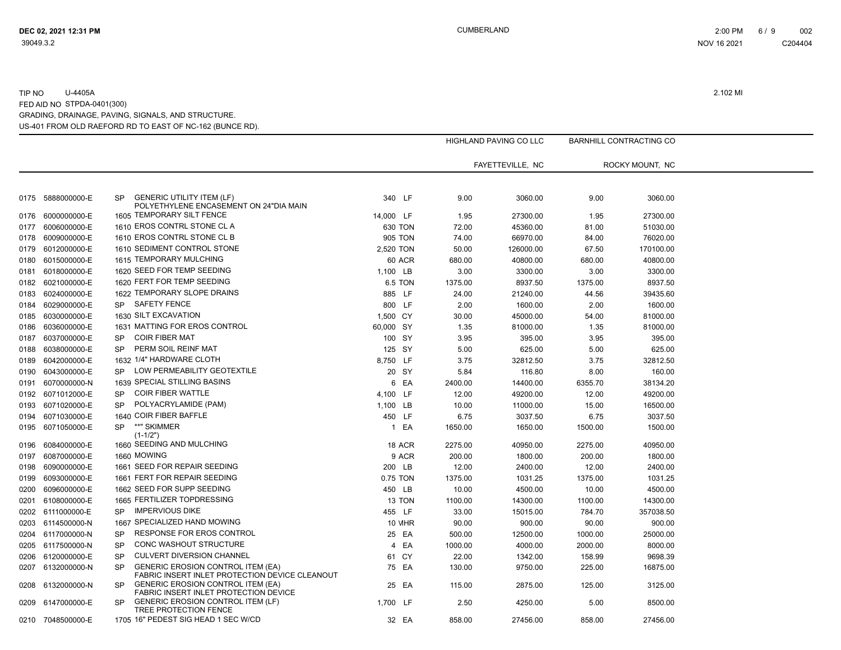|      |                   |           |                                                                                            |                |                |         | <b>HIGHLAND PAVING CO LLC</b> |         | <b>BARNHILL CONTRACTING CO</b> |  |
|------|-------------------|-----------|--------------------------------------------------------------------------------------------|----------------|----------------|---------|-------------------------------|---------|--------------------------------|--|
|      |                   |           |                                                                                            |                |                |         | FAYETTEVILLE, NC              |         | ROCKY MOUNT, NC                |  |
|      |                   |           |                                                                                            |                |                |         |                               |         |                                |  |
| 0175 | 5888000000-E      | <b>SP</b> | <b>GENERIC UTILITY ITEM (LF)</b><br>POLYETHYLENE ENCASEMENT ON 24"DIA MAIN                 | 340 LF         |                | 9.00    | 3060.00                       | 9.00    | 3060.00                        |  |
| 0176 | 6000000000-E      |           | 1605 TEMPORARY SILT FENCE                                                                  | 14,000 LF      |                | 1.95    | 27300.00                      | 1.95    | 27300.00                       |  |
| 0177 | 6006000000-E      |           | 1610 EROS CONTRL STONE CL A                                                                | 630 TON        |                | 72.00   | 45360.00                      | 81.00   | 51030.00                       |  |
| 0178 | 6009000000-E      |           | 1610 EROS CONTRL STONE CL B                                                                | <b>905 TON</b> |                | 74.00   | 66970.00                      | 84.00   | 76020.00                       |  |
| 0179 | 6012000000-E      |           | 1610 SEDIMENT CONTROL STONE                                                                | 2,520 TON      |                | 50.00   | 126000.00                     | 67.50   | 170100.00                      |  |
| 0180 | 6015000000-E      |           | 1615 TEMPORARY MULCHING                                                                    |                | 60 ACR         | 680.00  | 40800.00                      | 680.00  | 40800.00                       |  |
| 0181 | 6018000000-E      |           | 1620 SEED FOR TEMP SEEDING                                                                 | 1,100 LB       |                | 3.00    | 3300.00                       | 3.00    | 3300.00                        |  |
| 0182 | 6021000000-E      |           | 1620 FERT FOR TEMP SEEDING                                                                 |                | <b>6.5 TON</b> | 1375.00 | 8937.50                       | 1375.00 | 8937.50                        |  |
| 0183 | 6024000000-E      |           | 1622 TEMPORARY SLOPE DRAINS                                                                | 885 LF         |                | 24.00   | 21240.00                      | 44.56   | 39435.60                       |  |
| 0184 | 6029000000-E      | <b>SP</b> | <b>SAFETY FENCE</b>                                                                        | 800 LF         |                | 2.00    | 1600.00                       | 2.00    | 1600.00                        |  |
| 0185 | 6030000000-E      |           | 1630 SILT EXCAVATION                                                                       | 1,500 CY       |                | 30.00   | 45000.00                      | 54.00   | 81000.00                       |  |
| 0186 | 6036000000-E      |           | 1631 MATTING FOR EROS CONTROL                                                              | 60,000 SY      |                | 1.35    | 81000.00                      | 1.35    | 81000.00                       |  |
| 0187 | 6037000000-E      | <b>SP</b> | <b>COIR FIBER MAT</b>                                                                      | 100 SY         |                | 3.95    | 395.00                        | 3.95    | 395.00                         |  |
| 0188 | 6038000000-E      | <b>SP</b> | PERM SOIL REINF MAT                                                                        | 125 SY         |                | 5.00    | 625.00                        | 5.00    | 625.00                         |  |
| 0189 | 6042000000-E      |           | 1632 1/4" HARDWARE CLOTH                                                                   | 8,750 LF       |                | 3.75    | 32812.50                      | 3.75    | 32812.50                       |  |
| 0190 | 6043000000-E      | <b>SP</b> | LOW PERMEABILITY GEOTEXTILE                                                                |                | 20 SY          | 5.84    | 116.80                        | 8.00    | 160.00                         |  |
| 0191 | 6070000000-N      |           | 1639 SPECIAL STILLING BASINS                                                               |                | 6 EA           | 2400.00 | 14400.00                      | 6355.70 | 38134.20                       |  |
| 0192 | 6071012000-E      | <b>SP</b> | <b>COIR FIBER WATTLE</b>                                                                   | 4,100 LF       |                | 12.00   | 49200.00                      | 12.00   | 49200.00                       |  |
| 0193 | 6071020000-E      | <b>SP</b> | POLYACRYLAMIDE (PAM)                                                                       | 1,100 LB       |                | 10.00   | 11000.00                      | 15.00   | 16500.00                       |  |
| 0194 | 6071030000-E      |           | 1640 COIR FIBER BAFFLE                                                                     | 450 LF         |                | 6.75    | 3037.50                       | 6.75    | 3037.50                        |  |
| 0195 | 6071050000-E      | <b>SP</b> | **" SKIMMER<br>$(1-1/2")$                                                                  |                | 1 EA           | 1650.00 | 1650.00                       | 1500.00 | 1500.00                        |  |
| 0196 | 6084000000-E      |           | 1660 SEEDING AND MULCHING                                                                  |                | 18 ACR         | 2275.00 | 40950.00                      | 2275.00 | 40950.00                       |  |
| 0197 | 6087000000-E      |           | 1660 MOWING                                                                                |                | 9 ACR          | 200.00  | 1800.00                       | 200.00  | 1800.00                        |  |
| 0198 | 6090000000-E      |           | 1661 SEED FOR REPAIR SEEDING                                                               | 200 LB         |                | 12.00   | 2400.00                       | 12.00   | 2400.00                        |  |
| 0199 | 6093000000-E      |           | 1661 FERT FOR REPAIR SEEDING                                                               | 0.75 TON       |                | 1375.00 | 1031.25                       | 1375.00 | 1031.25                        |  |
| 0200 | 6096000000-E      |           | 1662 SEED FOR SUPP SEEDING                                                                 | 450 LB         |                | 10.00   | 4500.00                       | 10.00   | 4500.00                        |  |
| 0201 | 6108000000-E      |           | 1665 FERTILIZER TOPDRESSING                                                                |                | 13 TON         | 1100.00 | 14300.00                      | 1100.00 | 14300.00                       |  |
| 0202 | 6111000000-E      | <b>SP</b> | <b>IMPERVIOUS DIKE</b>                                                                     | 455 LF         |                | 33.00   | 15015.00                      | 784.70  | 357038.50                      |  |
| 0203 | 6114500000-N      |           | 1667 SPECIALIZED HAND MOWING                                                               |                | <b>10 MHR</b>  | 90.00   | 900.00                        | 90.00   | 900.00                         |  |
| 0204 | 6117000000-N      | <b>SP</b> | RESPONSE FOR EROS CONTROL                                                                  |                | 25 EA          | 500.00  | 12500.00                      | 1000.00 | 25000.00                       |  |
| 0205 | 6117500000-N      | <b>SP</b> | CONC WASHOUT STRUCTURE                                                                     |                | 4 EA           | 1000.00 | 4000.00                       | 2000.00 | 8000.00                        |  |
| 0206 | 6120000000-E      | <b>SP</b> | <b>CULVERT DIVERSION CHANNEL</b>                                                           |                | 61 CY          | 22.00   | 1342.00                       | 158.99  | 9698.39                        |  |
| 0207 | 6132000000-N      | <b>SP</b> | <b>GENERIC EROSION CONTROL ITEM (EA)</b><br>FABRIC INSERT INLET PROTECTION DEVICE CLEANOUT |                | 75 EA          | 130.00  | 9750.00                       | 225.00  | 16875.00                       |  |
| 0208 | 6132000000-N      | <b>SP</b> | <b>GENERIC EROSION CONTROL ITEM (EA)</b><br>FABRIC INSERT INLET PROTECTION DEVICE          |                | 25 EA          | 115.00  | 2875.00                       | 125.00  | 3125.00                        |  |
| 0209 | 6147000000-E      | <b>SP</b> | <b>GENERIC EROSION CONTROL ITEM (LF)</b><br>TREE PROTECTION FENCE                          | 1,700 LF       |                | 2.50    | 4250.00                       | 5.00    | 8500.00                        |  |
|      | 0210 7048500000-E |           | 1705 16" PEDEST SIG HEAD 1 SEC W/CD                                                        |                | 32 EA          | 858.00  | 27456.00                      | 858.00  | 27456.00                       |  |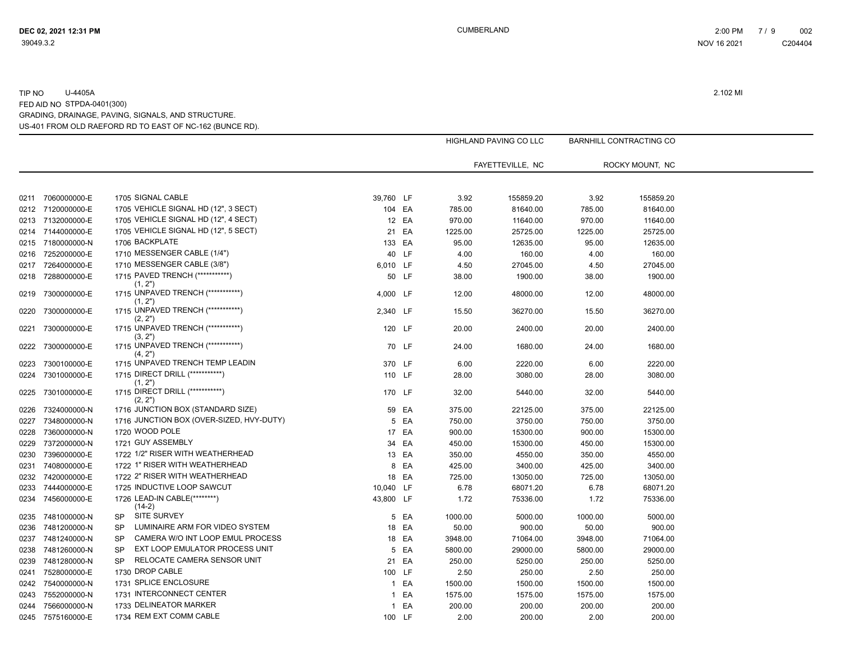|      |                   |           |                                               |              |       |         | HIGHLAND PAVING CO LLC |         | <b>BARNHILL CONTRACTING CO</b> |  |
|------|-------------------|-----------|-----------------------------------------------|--------------|-------|---------|------------------------|---------|--------------------------------|--|
|      |                   |           |                                               |              |       |         | FAYETTEVILLE, NC       |         | ROCKY MOUNT, NC                |  |
|      |                   |           |                                               |              |       |         |                        |         |                                |  |
| 0211 | 7060000000-E      |           | 1705 SIGNAL CABLE                             | 39,760 LF    |       | 3.92    | 155859.20              | 3.92    | 155859.20                      |  |
|      | 0212 7120000000-E |           | 1705 VEHICLE SIGNAL HD (12", 3 SECT)          | 104 EA       |       | 785.00  | 81640.00               | 785.00  | 81640.00                       |  |
|      | 0213 7132000000-E |           | 1705 VEHICLE SIGNAL HD (12", 4 SECT)          |              | 12 EA | 970.00  | 11640.00               | 970.00  | 11640.00                       |  |
|      | 0214 7144000000-E |           | 1705 VEHICLE SIGNAL HD (12", 5 SECT)          |              | 21 EA | 1225.00 | 25725.00               | 1225.00 | 25725.00                       |  |
|      | 0215 7180000000-N |           | 1706 BACKPLATE                                | 133 EA       |       | 95.00   | 12635.00               | 95.00   | 12635.00                       |  |
|      | 0216 7252000000-E |           | 1710 MESSENGER CABLE (1/4")                   |              | 40 LF | 4.00    | 160.00                 | 4.00    | 160.00                         |  |
| 0217 | 7264000000-E      |           | 1710 MESSENGER CABLE (3/8")                   | 6,010 LF     |       | 4.50    | 27045.00               | 4.50    | 27045.00                       |  |
|      | 0218 7288000000-E |           | 1715 PAVED TRENCH (************)<br>(1, 2")   |              | 50 LF | 38.00   | 1900.00                | 38.00   | 1900.00                        |  |
| 0219 | 7300000000-E      |           | 1715 UNPAVED TRENCH (************)<br>(1, 2") | 4,000 LF     |       | 12.00   | 48000.00               | 12.00   | 48000.00                       |  |
| 0220 | 7300000000-E      |           | 1715 UNPAVED TRENCH (************)<br>(2, 2") | 2,340 LF     |       | 15.50   | 36270.00               | 15.50   | 36270.00                       |  |
| 0221 | 7300000000-E      |           | 1715 UNPAVED TRENCH (************)<br>(3, 2") | 120 LF       |       | 20.00   | 2400.00                | 20.00   | 2400.00                        |  |
| 0222 | 7300000000-E      |           | 1715 UNPAVED TRENCH (************)<br>(4, 2") |              | 70 LF | 24.00   | 1680.00                | 24.00   | 1680.00                        |  |
| 0223 | 7300100000-E      |           | 1715 UNPAVED TRENCH TEMP LEADIN               | 370 LF       |       | 6.00    | 2220.00                | 6.00    | 2220.00                        |  |
| 0224 | 7301000000-E      |           | 1715 DIRECT DRILL (************)<br>(1, 2")   | 110 LF       |       | 28.00   | 3080.00                | 28.00   | 3080.00                        |  |
| 0225 | 7301000000-E      |           | 1715 DIRECT DRILL (***********)<br>(2, 2")    | 170 LF       |       | 32.00   | 5440.00                | 32.00   | 5440.00                        |  |
| 0226 | 7324000000-N      |           | 1716 JUNCTION BOX (STANDARD SIZE)             |              | 59 EA | 375.00  | 22125.00               | 375.00  | 22125.00                       |  |
| 0227 | 7348000000-N      |           | 1716 JUNCTION BOX (OVER-SIZED, HVY-DUTY)      |              | 5 EA  | 750.00  | 3750.00                | 750.00  | 3750.00                        |  |
| 0228 | 7360000000-N      |           | 1720 WOOD POLE                                |              | 17 EA | 900.00  | 15300.00               | 900.00  | 15300.00                       |  |
| 0229 | 7372000000-N      |           | 1721 GUY ASSEMBLY                             |              | 34 EA | 450.00  | 15300.00               | 450.00  | 15300.00                       |  |
| 0230 | 7396000000-E      |           | 1722 1/2" RISER WITH WEATHERHEAD              |              | 13 EA | 350.00  | 4550.00                | 350.00  | 4550.00                        |  |
| 0231 | 7408000000-E      |           | 1722 1" RISER WITH WEATHERHEAD                |              | 8 EA  | 425.00  | 3400.00                | 425.00  | 3400.00                        |  |
| 0232 | 7420000000-E      |           | 1722 2" RISER WITH WEATHERHEAD                |              | 18 EA | 725.00  | 13050.00               | 725.00  | 13050.00                       |  |
| 0233 | 7444000000-E      |           | 1725 INDUCTIVE LOOP SAWCUT                    | 10,040 LF    |       | 6.78    | 68071.20               | 6.78    | 68071.20                       |  |
| 0234 | 7456000000-E      |           | 1726 LEAD-IN CABLE(********)<br>$(14-2)$      | 43,800 LF    |       | 1.72    | 75336.00               | 1.72    | 75336.00                       |  |
| 0235 | 7481000000-N      | <b>SP</b> | <b>SITE SURVEY</b>                            |              | 5 EA  | 1000.00 | 5000.00                | 1000.00 | 5000.00                        |  |
| 0236 | 7481200000-N      | <b>SP</b> | LUMINAIRE ARM FOR VIDEO SYSTEM                |              | 18 EA | 50.00   | 900.00                 | 50.00   | 900.00                         |  |
| 0237 | 7481240000-N      | <b>SP</b> | CAMERA W/O INT LOOP EMUL PROCESS              |              | 18 EA | 3948.00 | 71064.00               | 3948.00 | 71064.00                       |  |
| 0238 | 7481260000-N      | <b>SP</b> | EXT LOOP EMULATOR PROCESS UNIT                |              | 5 EA  | 5800.00 | 29000.00               | 5800.00 | 29000.00                       |  |
| 0239 | 7481280000-N      | <b>SP</b> | RELOCATE CAMERA SENSOR UNIT                   |              | 21 EA | 250.00  | 5250.00                | 250.00  | 5250.00                        |  |
| 0241 | 7528000000-E      |           | 1730 DROP CABLE                               | 100 LF       |       | 2.50    | 250.00                 | 2.50    | 250.00                         |  |
| 0242 | 7540000000-N      |           | 1731 SPLICE ENCLOSURE                         |              | 1 EA  | 1500.00 | 1500.00                | 1500.00 | 1500.00                        |  |
| 0243 | 7552000000-N      |           | 1731 INTERCONNECT CENTER                      | $\mathbf{1}$ | EA    | 1575.00 | 1575.00                | 1575.00 | 1575.00                        |  |
| 0244 | 7566000000-N      |           | 1733 DELINEATOR MARKER                        | $\mathbf{1}$ | EA    | 200.00  | 200.00                 | 200.00  | 200.00                         |  |
|      | 0245 7575160000-E |           | 1734 REM EXT COMM CABLE                       | 100 LF       |       | 2.00    | 200.00                 | 2.00    | 200.00                         |  |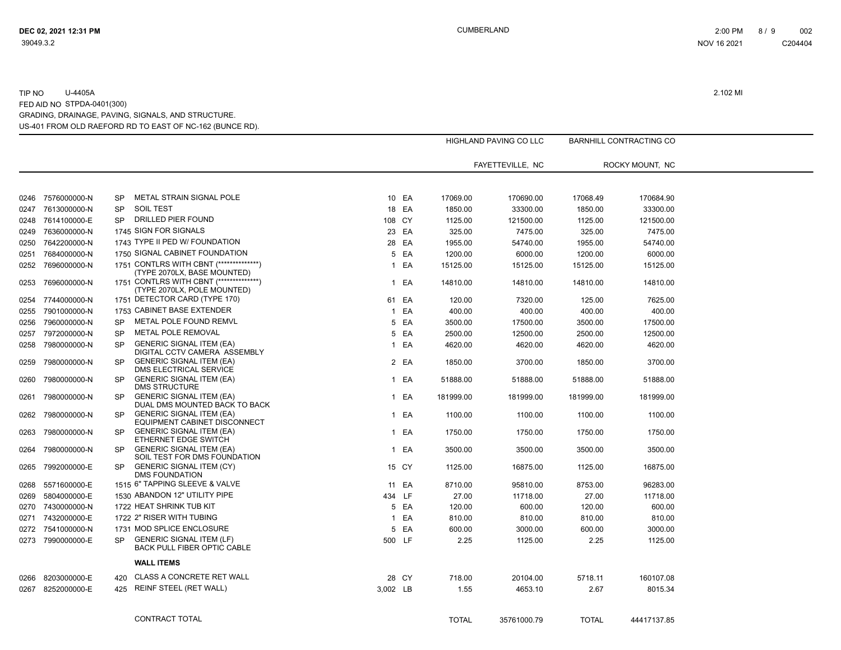|      |                   |           |                                                                         |              |       |              | HIGHLAND PAVING CO LLC |              | BARNHILL CONTRACTING CO |  |
|------|-------------------|-----------|-------------------------------------------------------------------------|--------------|-------|--------------|------------------------|--------------|-------------------------|--|
|      |                   |           |                                                                         |              |       |              | FAYETTEVILLE, NC       |              | ROCKY MOUNT, NC         |  |
|      |                   |           |                                                                         |              |       |              |                        |              |                         |  |
|      | 0246 7576000000-N | <b>SP</b> | METAL STRAIN SIGNAL POLE                                                |              | 10 EA | 17069.00     | 170690.00              | 17068.49     | 170684.90               |  |
| 0247 | 7613000000-N      | <b>SP</b> | <b>SOIL TEST</b>                                                        |              | 18 EA | 1850.00      | 33300.00               | 1850.00      | 33300.00                |  |
|      | 0248 7614100000-E | <b>SP</b> | DRILLED PIER FOUND                                                      | 108 CY       |       | 1125.00      | 121500.00              | 1125.00      | 121500.00               |  |
| 0249 | 7636000000-N      |           | 1745 SIGN FOR SIGNALS                                                   |              | 23 EA | 325.00       | 7475.00                | 325.00       | 7475.00                 |  |
| 0250 | 7642200000-N      |           | 1743 TYPE II PED W/ FOUNDATION                                          |              | 28 EA | 1955.00      | 54740.00               | 1955.00      | 54740.00                |  |
| 0251 | 7684000000-N      |           | 1750 SIGNAL CABINET FOUNDATION                                          |              | 5 EA  | 1200.00      | 6000.00                | 1200.00      | 6000.00                 |  |
| 0252 | 7696000000-N      |           | 1751 CONTLRS WITH CBNT (***************)<br>(TYPE 2070LX, BASE MOUNTED) |              | 1 EA  | 15125.00     | 15125.00               | 15125.00     | 15125.00                |  |
| 0253 | 7696000000-N      |           | 1751 CONTLRS WITH CBNT (***************)<br>(TYPE 2070LX, POLE MOUNTED) |              | 1 EA  | 14810.00     | 14810.00               | 14810.00     | 14810.00                |  |
| 0254 | 7744000000-N      |           | 1751 DETECTOR CARD (TYPE 170)                                           |              | 61 EA | 120.00       | 7320.00                | 125.00       | 7625.00                 |  |
| 0255 | 7901000000-N      |           | 1753 CABINET BASE EXTENDER                                              |              | 1 EA  | 400.00       | 400.00                 | 400.00       | 400.00                  |  |
| 0256 | 7960000000-N      | <b>SP</b> | METAL POLE FOUND REMVL                                                  |              | 5 EA  | 3500.00      | 17500.00               | 3500.00      | 17500.00                |  |
| 0257 | 7972000000-N      | <b>SP</b> | METAL POLE REMOVAL                                                      |              | 5 EA  | 2500.00      | 12500.00               | 2500.00      | 12500.00                |  |
| 0258 | 7980000000-N      | <b>SP</b> | <b>GENERIC SIGNAL ITEM (EA)</b><br>DIGITAL CCTV CAMERA ASSEMBLY         |              | 1 EA  | 4620.00      | 4620.00                | 4620.00      | 4620.00                 |  |
| 0259 | 7980000000-N      | <b>SP</b> | <b>GENERIC SIGNAL ITEM (EA)</b><br>DMS ELECTRICAL SERVICE               |              | 2 EA  | 1850.00      | 3700.00                | 1850.00      | 3700.00                 |  |
| 0260 | 7980000000-N      | <b>SP</b> | <b>GENERIC SIGNAL ITEM (EA)</b><br><b>DMS STRUCTURE</b>                 |              | 1 EA  | 51888.00     | 51888.00               | 51888.00     | 51888.00                |  |
| 0261 | 7980000000-N      | SP        | <b>GENERIC SIGNAL ITEM (EA)</b><br>DUAL DMS MOUNTED BACK TO BACK        |              | 1 EA  | 181999.00    | 181999.00              | 181999.00    | 181999.00               |  |
| 0262 | 7980000000-N      | SP.       | <b>GENERIC SIGNAL ITEM (EA)</b><br>EQUIPMENT CABINET DISCONNECT         |              | 1 EA  | 1100.00      | 1100.00                | 1100.00      | 1100.00                 |  |
| 0263 | 7980000000-N      | <b>SP</b> | <b>GENERIC SIGNAL ITEM (EA)</b><br>ETHERNET EDGE SWITCH                 |              | 1 EA  | 1750.00      | 1750.00                | 1750.00      | 1750.00                 |  |
| 0264 | 7980000000-N      | <b>SP</b> | <b>GENERIC SIGNAL ITEM (EA)</b><br>SOIL TEST FOR DMS FOUNDATION         |              | 1 EA  | 3500.00      | 3500.00                | 3500.00      | 3500.00                 |  |
| 0265 | 7992000000-E      | <b>SP</b> | <b>GENERIC SIGNAL ITEM (CY)</b><br><b>DMS FOUNDATION</b>                |              | 15 CY | 1125.00      | 16875.00               | 1125.00      | 16875.00                |  |
| 0268 | 5571600000-E      |           | 1515 6" TAPPING SLEEVE & VALVE                                          |              | 11 EA | 8710.00      | 95810.00               | 8753.00      | 96283.00                |  |
| 0269 | 5804000000-E      |           | 1530 ABANDON 12" UTILITY PIPE                                           | 434 LF       |       | 27.00        | 11718.00               | 27.00        | 11718.00                |  |
| 0270 | 7430000000-N      |           | 1722 HEAT SHRINK TUB KIT                                                |              | 5 EA  | 120.00       | 600.00                 | 120.00       | 600.00                  |  |
| 0271 | 7432000000-E      |           | 1722 2" RISER WITH TUBING                                               | $\mathbf{1}$ | EA    | 810.00       | 810.00                 | 810.00       | 810.00                  |  |
| 0272 | 7541000000-N      |           | 1731 MOD SPLICE ENCLOSURE                                               |              | 5 EA  | 600.00       | 3000.00                | 600.00       | 3000.00                 |  |
|      | 0273 7990000000-E | <b>SP</b> | <b>GENERIC SIGNAL ITEM (LF)</b><br><b>BACK PULL FIBER OPTIC CABLE</b>   | 500 LF       |       | 2.25         | 1125.00                | 2.25         | 1125.00                 |  |
|      |                   |           | <b>WALL ITEMS</b>                                                       |              |       |              |                        |              |                         |  |
| 0266 | 8203000000-E      | 420       | <b>CLASS A CONCRETE RET WALL</b>                                        |              | 28 CY | 718.00       | 20104.00               | 5718.11      | 160107.08               |  |
| 0267 | 8252000000-E      | 425       | REINF STEEL (RET WALL)                                                  | 3,002 LB     |       | 1.55         | 4653.10                | 2.67         | 8015.34                 |  |
|      |                   |           | <b>CONTRACT TOTAL</b>                                                   |              |       | <b>TOTAL</b> | 35761000.79            | <b>TOTAL</b> | 44417137.85             |  |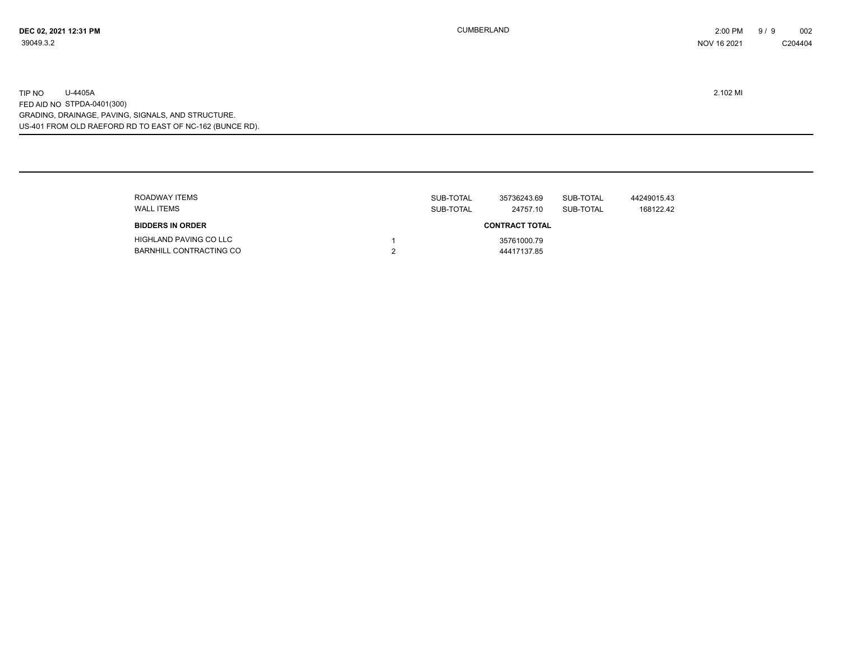| ROADWAY ITEMS<br><b>WALL ITEMS</b>                | SUB-TOTAL<br>SUB-TOTAL | 35736243.69<br>24757.10    | SUB-TOTAL<br>SUB-TOTAL | 44249015.43<br>168122.42 |
|---------------------------------------------------|------------------------|----------------------------|------------------------|--------------------------|
| <b>BIDDERS IN ORDER</b>                           |                        | <b>CONTRACT TOTAL</b>      |                        |                          |
| HIGHLAND PAVING CO LLC<br>BARNHILL CONTRACTING CO |                        | 35761000.79<br>44417137.85 |                        |                          |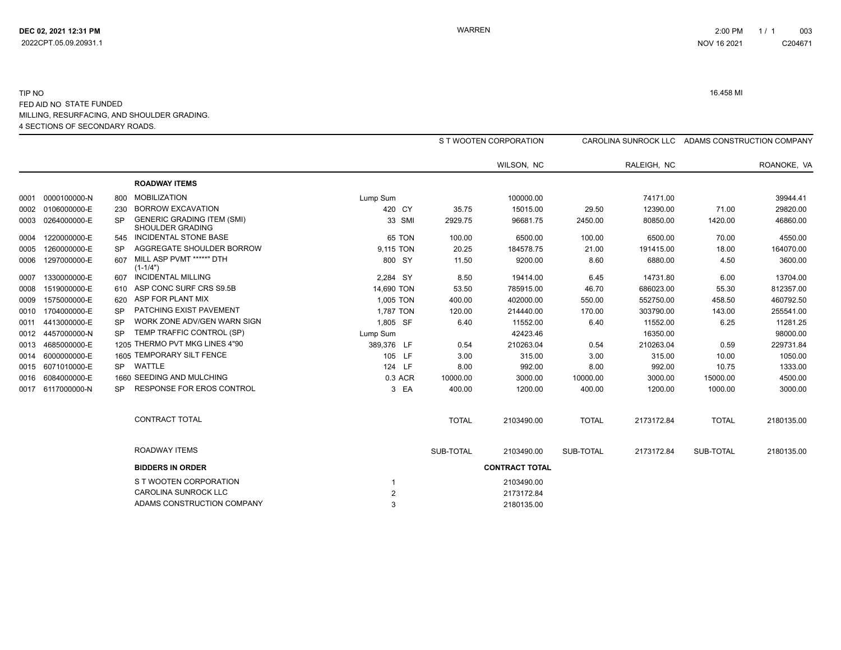#### 4 SECTIONS OF SECONDARY ROADS. TIP NO 16.458 MI FED AID NO STATE FUNDED MILLING, RESURFACING, AND SHOULDER GRADING.

|                   |           |                                                       |                |              | S T WOOTEN CORPORATION |              |             |              | CAROLINA SUNROCK LLC ADAMS CONSTRUCTION COMPANY |
|-------------------|-----------|-------------------------------------------------------|----------------|--------------|------------------------|--------------|-------------|--------------|-------------------------------------------------|
|                   |           |                                                       |                |              | WILSON, NC             |              | RALEIGH, NC |              | ROANOKE, VA                                     |
|                   |           | <b>ROADWAY ITEMS</b>                                  |                |              |                        |              |             |              |                                                 |
|                   | 800       | <b>MOBILIZATION</b>                                   | Lump Sum       |              | 100000.00              |              | 74171.00    |              | 39944.41                                        |
| 0002 0106000000-E | 230       | <b>BORROW EXCAVATION</b>                              | 420 CY         | 35.75        | 15015.00               | 29.50        | 12390.00    | 71.00        | 29820.00                                        |
| 0003 0264000000-E | SP        | <b>GENERIC GRADING ITEM (SMI)</b><br>SHOULDER GRADING | 33 SMI         | 2929.75      | 96681.75               | 2450.00      | 80850.00    | 1420.00      | 46860.00                                        |
| 0004 1220000000-E | 545       | <b>INCIDENTAL STONE BASE</b>                          | 65 TON         | 100.00       | 6500.00                | 100.00       | 6500.00     | 70.00        | 4550.00                                         |
| 0005 1260000000-E |           | AGGREGATE SHOULDER BORROW                             | 9,115 TON      | 20.25        | 184578.75              | 21.00        | 191415.00   | 18.00        | 164070.00                                       |
| 0006 1297000000-E | 607       | MILL ASP PVMT *****" DTH<br>$(1 - 1/4")$              | 800 SY         | 11.50        | 9200.00                | 8.60         | 6880.00     | 4.50         | 3600.00                                         |
| 0007 1330000000-E | 607       | <b>INCIDENTAL MILLING</b>                             | 2,284 SY       | 8.50         | 19414.00               | 6.45         | 14731.80    | 6.00         | 13704.00                                        |
| 0008 1519000000-E |           | ASP CONC SURF CRS S9.5B                               | 14,690 TON     | 53.50        | 785915.00              | 46.70        | 686023.00   | 55.30        | 812357.00                                       |
| 0009 1575000000-E | 620       | ASP FOR PLANT MIX                                     | 1,005 TON      | 400.00       | 402000.00              | 550.00       | 552750.00   | 458.50       | 460792.50                                       |
| 0010 1704000000-E | SP        | PATCHING EXIST PAVEMENT                               | 1,787 TON      | 120.00       | 214440.00              | 170.00       | 303790.00   | 143.00       | 255541.00                                       |
| 0011 4413000000-E | <b>SP</b> | WORK ZONE ADV/GEN WARN SIGN                           | 1,805 SF       | 6.40         | 11552.00               | 6.40         | 11552.00    | 6.25         | 11281.25                                        |
| 0012 4457000000-N | SP        | TEMP TRAFFIC CONTROL (SP)                             | Lump Sum       |              | 42423.46               |              | 16350.00    |              | 98000.00                                        |
| 0013 4685000000-E |           | 1205 THERMO PVT MKG LINES 4"90                        | 389,376 LF     | 0.54         | 210263.04              | 0.54         | 210263.04   | 0.59         | 229731.84                                       |
| 0014 6000000000-E |           | 1605 TEMPORARY SILT FENCE                             | 105 LF         | 3.00         | 315.00                 | 3.00         | 315.00      | 10.00        | 1050.00                                         |
| 0015 6071010000-E | <b>SP</b> | WATTLE                                                | 124 LF         | 8.00         | 992.00                 | 8.00         | 992.00      | 10.75        | 1333.00                                         |
| 0016 6084000000-E |           | 1660 SEEDING AND MULCHING                             | 0.3 ACR        | 10000.00     | 3000.00                | 10000.00     | 3000.00     | 15000.00     | 4500.00                                         |
| 0017 6117000000-N | SP.       | <b>RESPONSE FOR EROS CONTROL</b>                      | 3 EA           | 400.00       | 1200.00                | 400.00       | 1200.00     | 1000.00      | 3000.00                                         |
|                   |           | <b>CONTRACT TOTAL</b>                                 |                | <b>TOTAL</b> | 2103490.00             | <b>TOTAL</b> | 2173172.84  | <b>TOTAL</b> | 2180135.00                                      |
|                   |           | ROADWAY ITEMS                                         |                | SUB-TOTAL    | 2103490.00             | SUB-TOTAL    | 2173172.84  | SUB-TOTAL    | 2180135.00                                      |
|                   |           | <b>BIDDERS IN ORDER</b>                               |                |              | <b>CONTRACT TOTAL</b>  |              |             |              |                                                 |
|                   |           | S T WOOTEN CORPORATION                                |                |              | 2103490.00             |              |             |              |                                                 |
|                   |           | <b>CAROLINA SUNROCK LLC</b>                           | $\overline{2}$ |              | 2173172.84             |              |             |              |                                                 |
|                   |           | ADAMS CONSTRUCTION COMPANY                            | 3              |              | 2180135.00             |              |             |              |                                                 |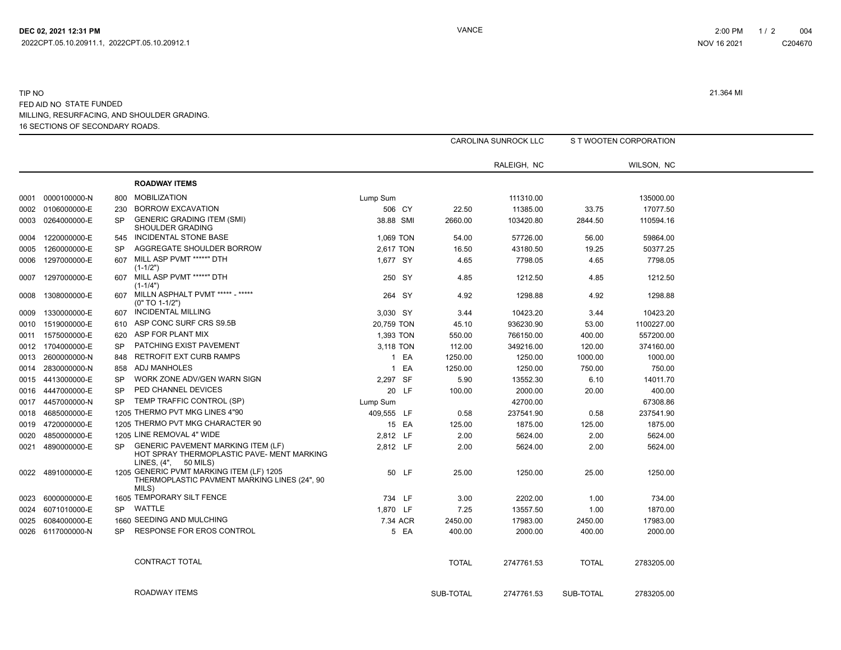#### 16 SECTIONS OF SECONDARY ROADS. TIP NO 21.364 MI FED AID NO STATE FUNDED MILLING, RESURFACING, AND SHOULDER GRADING.

|      |                   |           |                                                                                                                 |            |              | <b>CAROLINA SUNROCK LLC</b> |              | S T WOOTEN CORPORATION |
|------|-------------------|-----------|-----------------------------------------------------------------------------------------------------------------|------------|--------------|-----------------------------|--------------|------------------------|
|      |                   |           |                                                                                                                 |            |              | RALEIGH, NC                 |              | WILSON, NC             |
|      |                   |           | <b>ROADWAY ITEMS</b>                                                                                            |            |              |                             |              |                        |
| 0001 | 0000100000-N      | 800       | <b>MOBILIZATION</b>                                                                                             | Lump Sum   |              | 111310.00                   |              | 135000.00              |
| 0002 | 0106000000-E      | 230       | <b>BORROW EXCAVATION</b>                                                                                        | 506 CY     | 22.50        | 11385.00                    | 33.75        | 17077.50               |
| 0003 | 0264000000-E      | <b>SP</b> | <b>GENERIC GRADING ITEM (SMI)</b><br><b>SHOULDER GRADING</b>                                                    | 38.88 SMI  | 2660.00      | 103420.80                   | 2844.50      | 110594.16              |
| 0004 | 1220000000-E      | 545       | INCIDENTAL STONE BASE                                                                                           | 1,069 TON  | 54.00        | 57726.00                    | 56.00        | 59864.00               |
| 0005 | 1260000000-E      | <b>SP</b> | AGGREGATE SHOULDER BORROW                                                                                       | 2,617 TON  | 16.50        | 43180.50                    | 19.25        | 50377.25               |
| 0006 | 1297000000-E      | 607       | MILL ASP PVMT *****" DTH<br>$(1-1/2")$                                                                          | 1,677 SY   | 4.65         | 7798.05                     | 4.65         | 7798.05                |
| 0007 | 1297000000-E      | 607       | MILL ASP PVMT *****" DTH<br>$(1-1/4")$                                                                          | 250 SY     | 4.85         | 1212.50                     | 4.85         | 1212.50                |
| 0008 | 1308000000-E      | 607       | MILLN ASPHALT PVMT ***** - *****<br>$(0" TO 1-1/2")$                                                            | 264 SY     | 4.92         | 1298.88                     | 4.92         | 1298.88                |
| 0009 | 1330000000-E      | 607       | INCIDENTAL MILLING                                                                                              | 3,030 SY   | 3.44         | 10423.20                    | 3.44         | 10423.20               |
| 0010 | 1519000000-E      | 610       | ASP CONC SURF CRS S9.5B                                                                                         | 20,759 TON | 45.10        | 936230.90                   | 53.00        | 1100227.00             |
| 0011 | 1575000000-E      | 620       | ASP FOR PLANT MIX                                                                                               | 1,393 TON  | 550.00       | 766150.00                   | 400.00       | 557200.00              |
| 0012 | 1704000000-E      | <b>SP</b> | PATCHING EXIST PAVEMENT                                                                                         | 3,118 TON  | 112.00       | 349216.00                   | 120.00       | 374160.00              |
| 0013 | 2600000000-N      | 848       | <b>RETROFIT EXT CURB RAMPS</b>                                                                                  | 1 EA       | 1250.00      | 1250.00                     | 1000.00      | 1000.00                |
| 0014 | 2830000000-N      | 858       | <b>ADJ MANHOLES</b>                                                                                             | 1 EA       | 1250.00      | 1250.00                     | 750.00       | 750.00                 |
| 0015 | 4413000000-E      | <b>SP</b> | WORK ZONE ADV/GEN WARN SIGN                                                                                     | 2,297 SF   | 5.90         | 13552.30                    | 6.10         | 14011.70               |
|      | 0016 4447000000-E | <b>SP</b> | PED CHANNEL DEVICES                                                                                             | 20 LF      | 100.00       | 2000.00                     | 20.00        | 400.00                 |
| 0017 | 4457000000-N      | SP        | TEMP TRAFFIC CONTROL (SP)                                                                                       | Lump Sum   |              | 42700.00                    |              | 67308.86               |
| 0018 | 4685000000-E      |           | 1205 THERMO PVT MKG LINES 4"90                                                                                  | 409.555 LF | 0.58         | 237541.90                   | 0.58         | 237541.90              |
| 0019 | 4720000000-E      |           | 1205 THERMO PVT MKG CHARACTER 90                                                                                | 15 EA      | 125.00       | 1875.00                     | 125.00       | 1875.00                |
| 0020 | 4850000000-E      |           | 1205 LINE REMOVAL 4" WIDE                                                                                       | 2,812 LF   | 2.00         | 5624.00                     | 2.00         | 5624.00                |
| 0021 | 4890000000-E      | <b>SP</b> | <b>GENERIC PAVEMENT MARKING ITEM (LF)</b><br>HOT SPRAY THERMOPLASTIC PAVE- MENT MARKING<br>LINES, (4", 50 MILS) | 2,812 LF   | 2.00         | 5624.00                     | 2.00         | 5624.00                |
| 0022 | 4891000000-E      |           | 1205 GENERIC PVMT MARKING ITEM (LF) 1205<br>THERMOPLASTIC PAVMENT MARKING LINES (24", 90<br>MILS)               | 50 LF      | 25.00        | 1250.00                     | 25.00        | 1250.00                |
| 0023 | 6000000000-E      |           | 1605 TEMPORARY SILT FENCE                                                                                       | 734 LF     | 3.00         | 2202.00                     | 1.00         | 734.00                 |
|      | 0024 6071010000-E | SP        | WATTLE                                                                                                          | 1.870 LF   | 7.25         | 13557.50                    | 1.00         | 1870.00                |
| 0025 | 6084000000-E      |           | 1660 SEEDING AND MULCHING                                                                                       | 7.34 ACR   | 2450.00      | 17983.00                    | 2450.00      | 17983.00               |
| 0026 | 6117000000-N      | <b>SP</b> | RESPONSE FOR EROS CONTROL                                                                                       | 5 EA       | 400.00       | 2000.00                     | 400.00       | 2000.00                |
|      |                   |           | CONTRACT TOTAL                                                                                                  |            | <b>TOTAL</b> | 2747761.53                  | <b>TOTAL</b> | 2783205.00             |
|      |                   |           | ROADWAY ITEMS                                                                                                   |            | SUB-TOTAL    | 2747761.53                  | SUB-TOTAL    | 2783205.00             |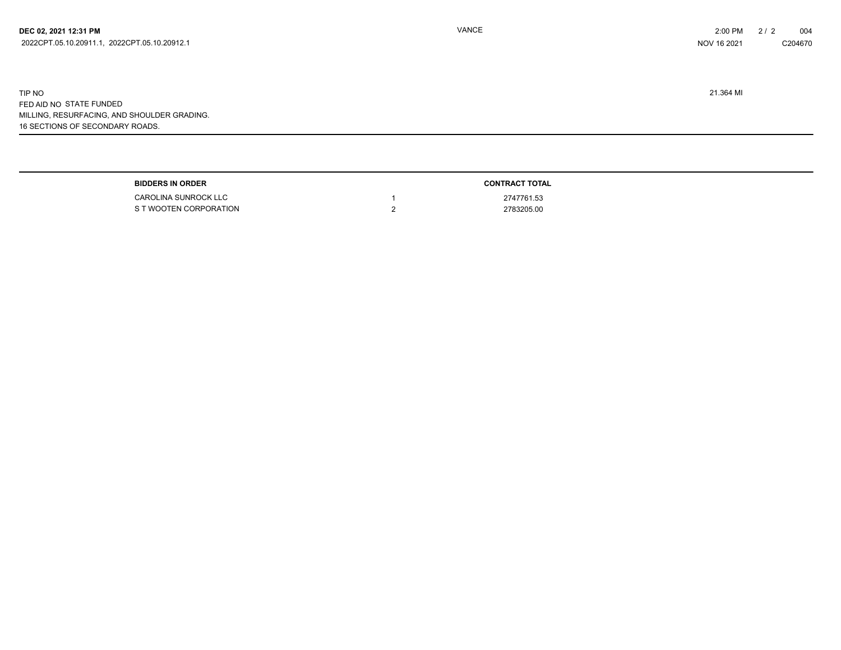16 SECTIONS OF SECONDARY ROADS. TIP NO 21.364 MI FED AID NO STATE FUNDED MILLING, RESURFACING, AND SHOULDER GRADING.

| <b>ORDER</b><br>םחחום<br>- - - | TOTAL      |
|--------------------------------|------------|
| <b>CAROLINA SUNROCK LLC</b>    | 2747761.53 |
| VOOTEN CORPORATION             | 2783205.00 |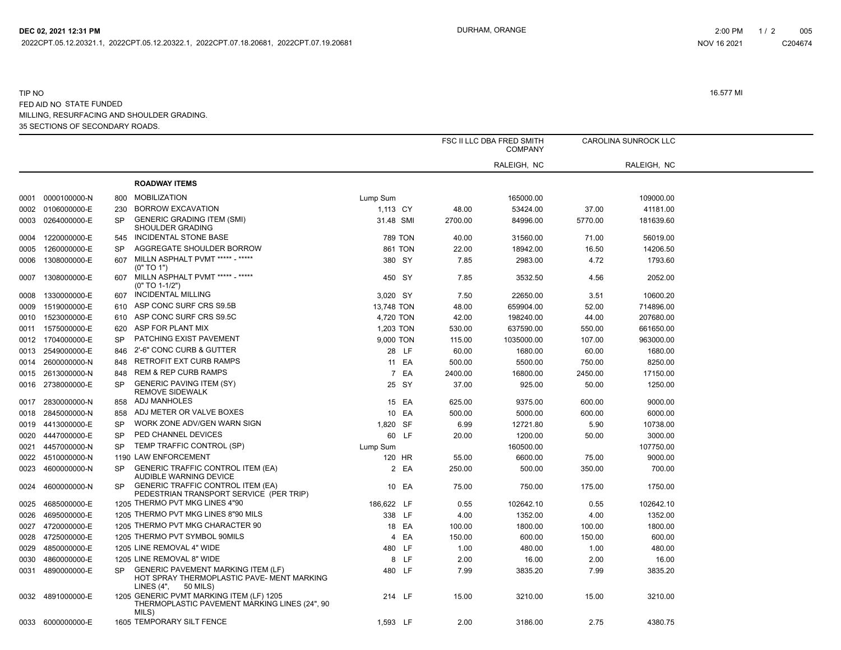2022CPT.05.12.20321.1, 2022CPT.05.12.20322.1, 2022CPT.07.18.20681, 2022CPT.07.19.20681

#### 35 SECTIONS OF SECONDARY ROADS. TIP NO 16.577 MI FED AID NO STATE FUNDED MILLING, RESURFACING AND SHOULDER GRADING.

|      |                   |           |                                                                                                                     |                |       |         | FSC II LLC DBA FRED SMITH<br><b>COMPANY</b> |         | CAROLINA SUNROCK LLC |  |
|------|-------------------|-----------|---------------------------------------------------------------------------------------------------------------------|----------------|-------|---------|---------------------------------------------|---------|----------------------|--|
|      |                   |           |                                                                                                                     |                |       |         | RALEIGH, NC                                 |         | RALEIGH, NC          |  |
|      |                   |           | <b>ROADWAY ITEMS</b>                                                                                                |                |       |         |                                             |         |                      |  |
| 0001 | 0000100000-N      | 800       | <b>MOBILIZATION</b>                                                                                                 | Lump Sum       |       |         | 165000.00                                   |         | 109000.00            |  |
| 0002 | 0106000000-E      | 230       | <b>BORROW EXCAVATION</b>                                                                                            | 1,113 CY       |       | 48.00   | 53424.00                                    | 37.00   | 41181.00             |  |
| 0003 | 0264000000-E      | <b>SP</b> | <b>GENERIC GRADING ITEM (SMI)</b><br>SHOULDER GRADING                                                               | 31.48 SMI      |       | 2700.00 | 84996.00                                    | 5770.00 | 181639.60            |  |
| 0004 | 1220000000-E      | 545       | <b>INCIDENTAL STONE BASE</b>                                                                                        | <b>789 TON</b> |       | 40.00   | 31560.00                                    | 71.00   | 56019.00             |  |
| 0005 | 1260000000-E      | <b>SP</b> | AGGREGATE SHOULDER BORROW                                                                                           | 861 TON        |       | 22.00   | 18942.00                                    | 16.50   | 14206.50             |  |
| 0006 | 1308000000-E      | 607       | MILLN ASPHALT PVMT ***** - *****<br>(0" TO 1")                                                                      | 380 SY         |       | 7.85    | 2983.00                                     | 4.72    | 1793.60              |  |
| 0007 | 1308000000-E      | 607       | MILLN ASPHALT PVMT ***** - *****<br>$(0" TO 1-1/2")$                                                                | 450 SY         |       | 7.85    | 3532.50                                     | 4.56    | 2052.00              |  |
| 0008 | 1330000000-E      | 607       | <b>INCIDENTAL MILLING</b>                                                                                           | 3,020 SY       |       | 7.50    | 22650.00                                    | 3.51    | 10600.20             |  |
| 0009 | 1519000000-E      | 610       | ASP CONC SURF CRS S9.5B                                                                                             | 13,748 TON     |       | 48.00   | 659904.00                                   | 52.00   | 714896.00            |  |
| 0010 | 1523000000-E      | 610       | ASP CONC SURF CRS S9.5C                                                                                             | 4,720 TON      |       | 42.00   | 198240.00                                   | 44.00   | 207680.00            |  |
| 0011 | 1575000000-E      | 620       | ASP FOR PLANT MIX                                                                                                   | 1,203 TON      |       | 530.00  | 637590.00                                   | 550.00  | 661650.00            |  |
|      | 0012 1704000000-E | <b>SP</b> | PATCHING EXIST PAVEMENT                                                                                             | 9,000 TON      |       | 115.00  | 1035000.00                                  | 107.00  | 963000.00            |  |
| 0013 | 2549000000-E      | 846       | 2'-6" CONC CURB & GUTTER                                                                                            |                | 28 LF | 60.00   | 1680.00                                     | 60.00   | 1680.00              |  |
| 0014 | 2600000000-N      | 848       | RETROFIT EXT CURB RAMPS                                                                                             |                | 11 EA | 500.00  | 5500.00                                     | 750.00  | 8250.00              |  |
|      | 0015 2613000000-N | 848       | <b>REM &amp; REP CURB RAMPS</b>                                                                                     |                | 7 EA  | 2400.00 | 16800.00                                    | 2450.00 | 17150.00             |  |
| 0016 | 2738000000-E      | SP        | <b>GENERIC PAVING ITEM (SY)</b><br><b>REMOVE SIDEWALK</b>                                                           |                | 25 SY | 37.00   | 925.00                                      | 50.00   | 1250.00              |  |
| 0017 | 2830000000-N      | 858       | ADJ MANHOLES                                                                                                        |                | 15 EA | 625.00  | 9375.00                                     | 600.00  | 9000.00              |  |
| 0018 | 2845000000-N      | 858       | ADJ METER OR VALVE BOXES                                                                                            |                | 10 EA | 500.00  | 5000.00                                     | 600.00  | 6000.00              |  |
| 0019 | 4413000000-E      | <b>SP</b> | WORK ZONE ADV/GEN WARN SIGN                                                                                         | 1,820 SF       |       | 6.99    | 12721.80                                    | 5.90    | 10738.00             |  |
| 0020 | 4447000000-E      | <b>SP</b> | PED CHANNEL DEVICES                                                                                                 |                | 60 LF | 20.00   | 1200.00                                     | 50.00   | 3000.00              |  |
| 0021 | 4457000000-N      | <b>SP</b> | TEMP TRAFFIC CONTROL (SP)                                                                                           | Lump Sum       |       |         | 160500.00                                   |         | 107750.00            |  |
| 0022 | 4510000000-N      |           | 1190 LAW ENFORCEMENT                                                                                                | 120 HR         |       | 55.00   | 6600.00                                     | 75.00   | 9000.00              |  |
| 0023 | 4600000000-N      | SP        | <b>GENERIC TRAFFIC CONTROL ITEM (EA)</b><br>AUDIBLE WARNING DEVICE                                                  |                | 2 EA  | 250.00  | 500.00                                      | 350.00  | 700.00               |  |
|      | 0024 4600000000-N | SP        | <b>GENERIC TRAFFIC CONTROL ITEM (EA)</b><br>PEDESTRIAN TRANSPORT SERVICE (PER TRIP)                                 |                | 10 EA | 75.00   | 750.00                                      | 175.00  | 1750.00              |  |
| 0025 | 4685000000-E      |           | 1205 THERMO PVT MKG LINES 4"90                                                                                      | 186,622 LF     |       | 0.55    | 102642.10                                   | 0.55    | 102642.10            |  |
| 0026 | 4695000000-E      |           | 1205 THERMO PVT MKG LINES 8"90 MILS                                                                                 | 338 LF         |       | 4.00    | 1352.00                                     | 4.00    | 1352.00              |  |
|      | 0027 4720000000-E |           | 1205 THERMO PVT MKG CHARACTER 90                                                                                    |                | 18 EA | 100.00  | 1800.00                                     | 100.00  | 1800.00              |  |
|      | 0028 4725000000-E |           | 1205 THERMO PVT SYMBOL 90MILS                                                                                       |                | 4 EA  | 150.00  | 600.00                                      | 150.00  | 600.00               |  |
| 0029 | 4850000000-E      |           | 1205 LINE REMOVAL 4" WIDE                                                                                           | 480 LF         |       | 1.00    | 480.00                                      | 1.00    | 480.00               |  |
| 0030 | 4860000000-E      |           | 1205 LINE REMOVAL 8" WIDE                                                                                           |                | 8 LF  | 2.00    | 16.00                                       | 2.00    | 16.00                |  |
| 0031 | 4890000000-E      | SP        | <b>GENERIC PAVEMENT MARKING ITEM (LF)</b><br>HOT SPRAY THERMOPLASTIC PAVE- MENT MARKING<br>50 MILS)<br>LINES $(4",$ | 480 LF         |       | 7.99    | 3835.20                                     | 7.99    | 3835.20              |  |
|      | 0032 4891000000-E |           | 1205 GENERIC PVMT MARKING ITEM (LF) 1205<br>THERMOPLASTIC PAVEMENT MARKING LINES (24", 90<br>MILS)                  | 214 LF         |       | 15.00   | 3210.00                                     | 15.00   | 3210.00              |  |
|      | 0033 6000000000-E |           | 1605 TEMPORARY SILT FENCE                                                                                           | 1,593 LF       |       | 2.00    | 3186.00                                     | 2.75    | 4380.75              |  |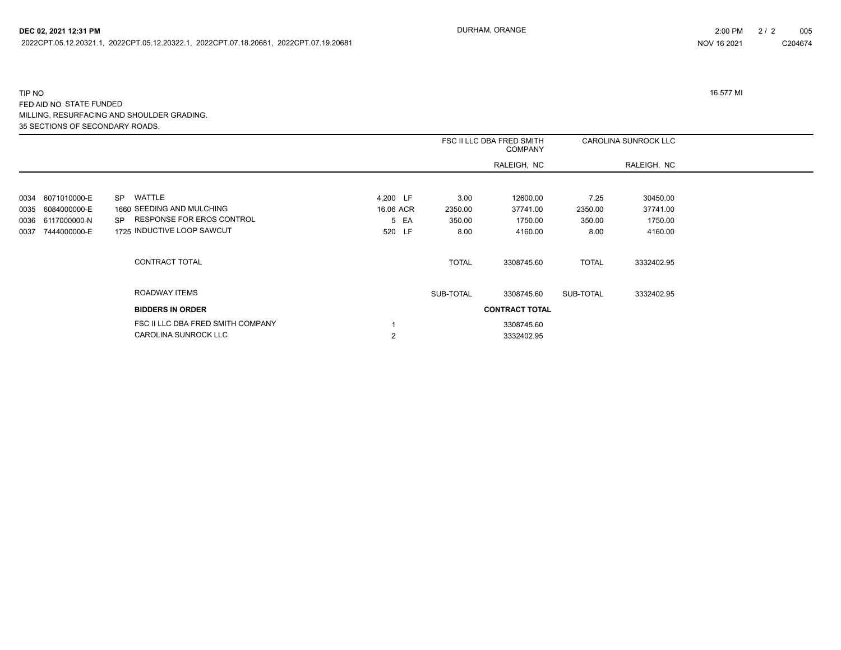2022CPT.05.12.20321.1, 2022CPT.05.12.20322.1, 2022CPT.07.18.20681, 2022CPT.07.19.20681

#### 35 SECTIONS OF SECONDARY ROADS. TIP NO 16.577 MI FED AID NO STATE FUNDED MILLING, RESURFACING AND SHOULDER GRADING.

|      |                   |                                   |           |              | FSC II LLC DBA FRED SMITH<br><b>COMPANY</b> |              | CAROLINA SUNROCK LLC |  |
|------|-------------------|-----------------------------------|-----------|--------------|---------------------------------------------|--------------|----------------------|--|
|      |                   |                                   |           |              | RALEIGH, NC                                 |              | RALEIGH, NC          |  |
|      |                   |                                   |           |              |                                             |              |                      |  |
|      | 0034 6071010000-E | WATTLE<br><b>SP</b>               | 4,200 LF  | 3.00         | 12600.00                                    | 7.25         | 30450.00             |  |
| 0035 | 6084000000-E      | 1660 SEEDING AND MULCHING         | 16.06 ACR | 2350.00      | 37741.00                                    | 2350.00      | 37741.00             |  |
| 0036 | 6117000000-N      | RESPONSE FOR EROS CONTROL<br>SP.  | 5 EA      | 350.00       | 1750.00                                     | 350.00       | 1750.00              |  |
| 0037 | 7444000000-E      | 1725 INDUCTIVE LOOP SAWCUT        | 520 LF    | 8.00         | 4160.00                                     | 8.00         | 4160.00              |  |
|      |                   | CONTRACT TOTAL                    |           | <b>TOTAL</b> | 3308745.60                                  | <b>TOTAL</b> | 3332402.95           |  |
|      |                   | ROADWAY ITEMS                     |           | SUB-TOTAL    | 3308745.60                                  | SUB-TOTAL    | 3332402.95           |  |
|      |                   | <b>BIDDERS IN ORDER</b>           |           |              | <b>CONTRACT TOTAL</b>                       |              |                      |  |
|      |                   | FSC II LLC DBA FRED SMITH COMPANY |           |              | 3308745.60                                  |              |                      |  |
|      |                   | CAROLINA SUNROCK LLC              | 2         |              | 3332402.95                                  |              |                      |  |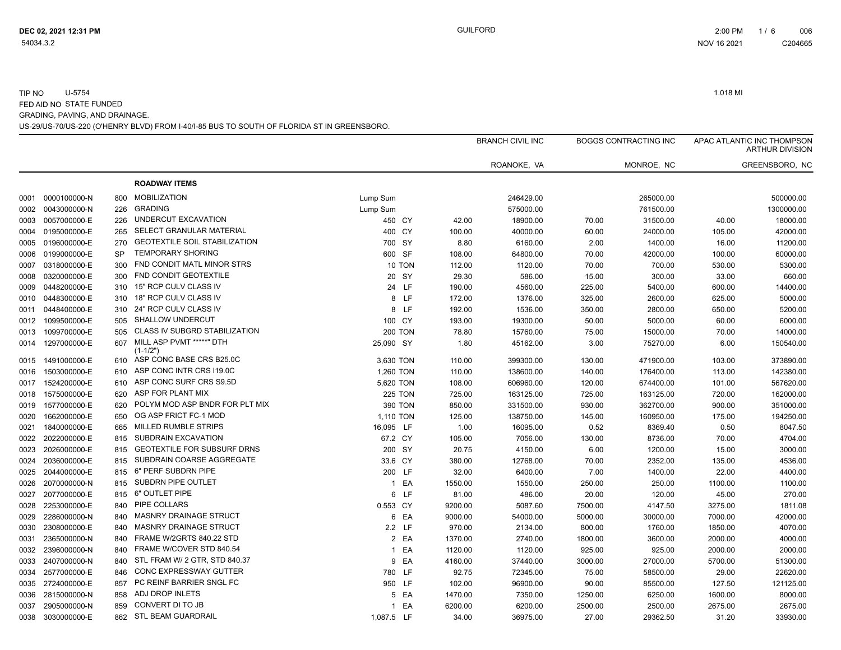|      |              |           |                                        |                |         | <b>BRANCH CIVIL INC</b> |         | <b>BOGGS CONTRACTING INC</b> |         | APAC ATLANTIC INC THOMPSON<br><b>ARTHUR DIVISION</b> |
|------|--------------|-----------|----------------------------------------|----------------|---------|-------------------------|---------|------------------------------|---------|------------------------------------------------------|
|      |              |           |                                        |                |         | ROANOKE, VA             |         | MONROE, NC                   |         | GREENSBORO, NC                                       |
|      |              |           | <b>ROADWAY ITEMS</b>                   |                |         |                         |         |                              |         |                                                      |
| 0001 | 0000100000-N | 800       | <b>MOBILIZATION</b>                    | Lump Sum       |         | 246429.00               |         | 265000.00                    |         | 500000.00                                            |
| 0002 | 0043000000-N | 226       | <b>GRADING</b>                         | Lump Sum       |         | 575000.00               |         | 761500.00                    |         | 1300000.00                                           |
| 0003 | 0057000000-E | 226       | UNDERCUT EXCAVATION                    | 450 CY         | 42.00   | 18900.00                | 70.00   | 31500.00                     | 40.00   | 18000.00                                             |
| 0004 | 0195000000-E | 265       | SELECT GRANULAR MATERIAL               | 400 CY         | 100.00  | 40000.00                | 60.00   | 24000.00                     | 105.00  | 42000.00                                             |
| 0005 | 0196000000-E | 270       | <b>GEOTEXTILE SOIL STABILIZATION</b>   | 700 SY         | 8.80    | 6160.00                 | 2.00    | 1400.00                      | 16.00   | 11200.00                                             |
| 0006 | 0199000000-E | <b>SP</b> | <b>TEMPORARY SHORING</b>               | 600 SF         | 108.00  | 64800.00                | 70.00   | 42000.00                     | 100.00  | 60000.00                                             |
| 0007 | 0318000000-E | 300       | FND CONDIT MATL MINOR STRS             | 10 TON         | 112.00  | 1120.00                 | 70.00   | 700.00                       | 530.00  | 5300.00                                              |
| 0008 | 0320000000-E | 300       | FND CONDIT GEOTEXTILE                  | 20 SY          | 29.30   | 586.00                  | 15.00   | 300.00                       | 33.00   | 660.00                                               |
| 0009 | 0448200000-E | 310       | 15" RCP CULV CLASS IV                  | 24 LF          | 190.00  | 4560.00                 | 225.00  | 5400.00                      | 600.00  | 14400.00                                             |
| 0010 | 0448300000-E | 310       | 18" RCP CULV CLASS IV                  | 8 LF           | 172.00  | 1376.00                 | 325.00  | 2600.00                      | 625.00  | 5000.00                                              |
| 0011 | 0448400000-E | 310       | 24" RCP CULV CLASS IV                  | 8 LF           | 192.00  | 1536.00                 | 350.00  | 2800.00                      | 650.00  | 5200.00                                              |
| 0012 | 1099500000-E | 505       | <b>SHALLOW UNDERCUT</b>                | 100 CY         | 193.00  | 19300.00                | 50.00   | 5000.00                      | 60.00   | 6000.00                                              |
| 0013 | 1099700000-E | 505       | <b>CLASS IV SUBGRD STABILIZATION</b>   | <b>200 TON</b> | 78.80   | 15760.00                | 75.00   | 15000.00                     | 70.00   | 14000.00                                             |
| 0014 | 1297000000-E | 607       | MILL ASP PVMT *****" DTH<br>$(1-1/2")$ | 25,090 SY      | 1.80    | 45162.00                | 3.00    | 75270.00                     | 6.00    | 150540.00                                            |
| 0015 | 1491000000-E | 610       | ASP CONC BASE CRS B25.0C               | 3,630 TON      | 110.00  | 399300.00               | 130.00  | 471900.00                    | 103.00  | 373890.00                                            |
| 0016 | 1503000000-E | 610       | ASP CONC INTR CRS I19.0C               | 1,260 TON      | 110.00  | 138600.00               | 140.00  | 176400.00                    | 113.00  | 142380.00                                            |
| 0017 | 1524200000-E | 610       | ASP CONC SURF CRS S9.5D                | 5,620 TON      | 108.00  | 606960.00               | 120.00  | 674400.00                    | 101.00  | 567620.00                                            |
| 0018 | 1575000000-E | 620       | ASP FOR PLANT MIX                      | <b>225 TON</b> | 725.00  | 163125.00               | 725.00  | 163125.00                    | 720.00  | 162000.00                                            |
| 0019 | 1577000000-E | 620       | POLYM MOD ASP BNDR FOR PLT MIX         | 390 TON        | 850.00  | 331500.00               | 930.00  | 362700.00                    | 900.00  | 351000.00                                            |
| 0020 | 1662000000-E | 650       | OG ASP FRICT FC-1 MOD                  | 1,110 TON      | 125.00  | 138750.00               | 145.00  | 160950.00                    | 175.00  | 194250.00                                            |
| 0021 | 1840000000-E | 665       | <b>MILLED RUMBLE STRIPS</b>            | 16,095 LF      | 1.00    | 16095.00                | 0.52    | 8369.40                      | 0.50    | 8047.50                                              |
| 0022 | 2022000000-E | 815       | SUBDRAIN EXCAVATION                    | 67.2 CY        | 105.00  | 7056.00                 | 130.00  | 8736.00                      | 70.00   | 4704.00                                              |
| 0023 | 2026000000-E | 815       | <b>GEOTEXTILE FOR SUBSURF DRNS</b>     | 200 SY         | 20.75   | 4150.00                 | 6.00    | 1200.00                      | 15.00   | 3000.00                                              |
| 0024 | 2036000000-E | 815       | SUBDRAIN COARSE AGGREGATE              | 33.6 CY        | 380.00  | 12768.00                | 70.00   | 2352.00                      | 135.00  | 4536.00                                              |
| 0025 | 2044000000-E | 815       | 6" PERF SUBDRN PIPE                    | 200 LF         | 32.00   | 6400.00                 | 7.00    | 1400.00                      | 22.00   | 4400.00                                              |
| 0026 | 2070000000-N | 815       | SUBDRN PIPE OUTLET                     | 1 EA           | 1550.00 | 1550.00                 | 250.00  | 250.00                       | 1100.00 | 1100.00                                              |
| 0027 | 2077000000-E | 815       | 6" OUTLET PIPE                         | 6 LF           | 81.00   | 486.00                  | 20.00   | 120.00                       | 45.00   | 270.00                                               |
| 0028 | 2253000000-E | 840       | PIPE COLLARS                           | 0.553 CY       | 9200.00 | 5087.60                 | 7500.00 | 4147.50                      | 3275.00 | 1811.08                                              |
| 0029 | 2286000000-N | 840       | <b>MASNRY DRAINAGE STRUCT</b>          | 6 EA           | 9000.00 | 54000.00                | 5000.00 | 30000.00                     | 7000.00 | 42000.00                                             |
| 0030 | 2308000000-E | 840       | <b>MASNRY DRAINAGE STRUCT</b>          | 2.2 LF         | 970.00  | 2134.00                 | 800.00  | 1760.00                      | 1850.00 | 4070.00                                              |
| 0031 | 2365000000-N | 840       | FRAME W/2GRTS 840.22 STD               | 2 EA           | 1370.00 | 2740.00                 | 1800.00 | 3600.00                      | 2000.00 | 4000.00                                              |
| 0032 | 2396000000-N | 840       | FRAME W/COVER STD 840.54               | 1 EA           | 1120.00 | 1120.00                 | 925.00  | 925.00                       | 2000.00 | 2000.00                                              |
| 0033 | 2407000000-N | 840       | STL FRAM W/ 2 GTR, STD 840.37          | EA<br>9        | 4160.00 | 37440.00                | 3000.00 | 27000.00                     | 5700.00 | 51300.00                                             |
| 0034 | 2577000000-E | 846       | CONC EXPRESSWAY GUTTER                 | 780 LF         | 92.75   | 72345.00                | 75.00   | 58500.00                     | 29.00   | 22620.00                                             |
| 0035 | 2724000000-E | 857       | PC REINF BARRIER SNGL FC               | 950 LF         | 102.00  | 96900.00                | 90.00   | 85500.00                     | 127.50  | 121125.00                                            |
| 0036 | 2815000000-N | 858       | ADJ DROP INLETS                        | 5 EA           | 1470.00 | 7350.00                 | 1250.00 | 6250.00                      | 1600.00 | 8000.00                                              |
| 0037 | 2905000000-N | 859       | CONVERT DI TO JB                       | 1 EA           | 6200.00 | 6200.00                 | 2500.00 | 2500.00                      | 2675.00 | 2675.00                                              |
| 0038 | 3030000000-E | 862       | <b>STL BEAM GUARDRAIL</b>              | 1,087.5 LF     | 34.00   | 36975.00                | 27.00   | 29362.50                     | 31.20   | 33930.00                                             |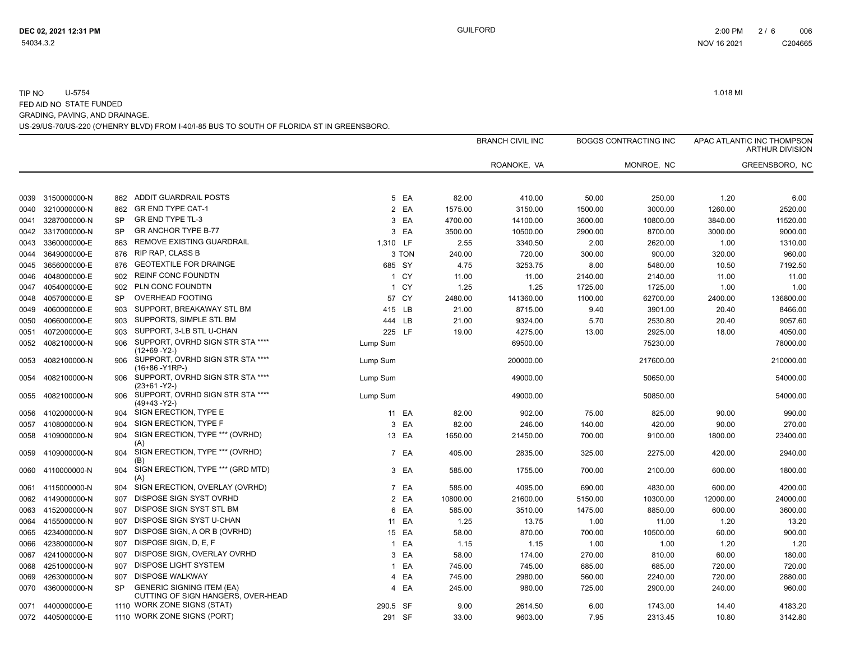|      |                   |           |                                                                        |                |        |          | <b>BRANCH CIVIL INC</b> |         | <b>BOGGS CONTRACTING INC</b> |          | APAC ATLANTIC INC THOMPSON<br><b>ARTHUR DIVISION</b> |
|------|-------------------|-----------|------------------------------------------------------------------------|----------------|--------|----------|-------------------------|---------|------------------------------|----------|------------------------------------------------------|
|      |                   |           |                                                                        |                |        |          | ROANOKE, VA             |         | MONROE, NC                   |          | GREENSBORO, NC                                       |
|      | 0039 3150000000-N | 862       | ADDIT GUARDRAIL POSTS                                                  |                | 5 EA   | 82.00    | 410.00                  | 50.00   | 250.00                       | 1.20     | 6.00                                                 |
| 0040 | 3210000000-N      | 862       | <b>GR END TYPE CAT-1</b>                                               |                | 2 EA   | 1575.00  | 3150.00                 | 1500.00 | 3000.00                      | 1260.00  | 2520.00                                              |
| 0041 | 3287000000-N      | <b>SP</b> | <b>GR END TYPE TL-3</b>                                                | 3              | EA     | 4700.00  | 14100.00                | 3600.00 | 10800.00                     | 3840.00  | 11520.00                                             |
| 0042 | 3317000000-N      | <b>SP</b> | <b>GR ANCHOR TYPE B-77</b>                                             |                | 3 EA   | 3500.00  | 10500.00                | 2900.00 | 8700.00                      | 3000.00  | 9000.00                                              |
| 0043 | 3360000000-E      | 863       | REMOVE EXISTING GUARDRAIL                                              | 1,310 LF       |        | 2.55     | 3340.50                 | 2.00    | 2620.00                      | 1.00     | 1310.00                                              |
| 0044 | 3649000000-E      | 876       | <b>RIP RAP, CLASS B</b>                                                |                | 3 TON  | 240.00   | 720.00                  | 300.00  | 900.00                       | 320.00   | 960.00                                               |
| 0045 | 3656000000-E      | 876       | <b>GEOTEXTILE FOR DRAINGE</b>                                          |                | 685 SY | 4.75     | 3253.75                 | 8.00    | 5480.00                      | 10.50    | 7192.50                                              |
| 0046 | 4048000000-E      | 902       | <b>REINF CONC FOUNDTN</b>                                              |                | 1 CY   | 11.00    | 11.00                   | 2140.00 | 2140.00                      | 11.00    | 11.00                                                |
| 0047 | 4054000000-E      | 902       | PLN CONC FOUNDTN                                                       |                | 1 CY   | 1.25     | 1.25                    | 1725.00 | 1725.00                      | 1.00     | 1.00                                                 |
| 0048 | 4057000000-E      | <b>SP</b> | <b>OVERHEAD FOOTING</b>                                                |                | 57 CY  | 2480.00  | 141360.00               | 1100.00 | 62700.00                     | 2400.00  | 136800.00                                            |
| 0049 | 4060000000-E      | 903       | SUPPORT, BREAKAWAY STL BM                                              | 415 LB         |        | 21.00    | 8715.00                 | 9.40    | 3901.00                      | 20.40    | 8466.00                                              |
| 0050 | 4066000000-E      | 903       | SUPPORTS, SIMPLE STL BM                                                | 444 LB         |        | 21.00    | 9324.00                 | 5.70    | 2530.80                      | 20.40    | 9057.60                                              |
| 0051 | 4072000000-E      | 903       | SUPPORT, 3-LB STL U-CHAN                                               | 225 LF         |        | 19.00    | 4275.00                 | 13.00   | 2925.00                      | 18.00    | 4050.00                                              |
| 0052 | 4082100000-N      | 906       | SUPPORT, OVRHD SIGN STR STA ****<br>(12+69 -Y2-)                       | Lump Sum       |        |          | 69500.00                |         | 75230.00                     |          | 78000.00                                             |
| 0053 | 4082100000-N      | 906       | SUPPORT, OVRHD SIGN STR STA ****<br>(16+86 - Y1RP-)                    | Lump Sum       |        |          | 200000.00               |         | 217600.00                    |          | 210000.00                                            |
| 0054 | 4082100000-N      | 906       | SUPPORT, OVRHD SIGN STR STA ****<br>$(23+61 - Y2-)$                    | Lump Sum       |        |          | 49000.00                |         | 50650.00                     |          | 54000.00                                             |
| 0055 | 4082100000-N      | 906       | SUPPORT, OVRHD SIGN STR STA ****<br>(49+43 -Y2-)                       | Lump Sum       |        |          | 49000.00                |         | 50850.00                     |          | 54000.00                                             |
| 0056 | 4102000000-N      | 904       | SIGN ERECTION, TYPE E                                                  |                | 11 EA  | 82.00    | 902.00                  | 75.00   | 825.00                       | 90.00    | 990.00                                               |
| 0057 | 4108000000-N      | 904       | SIGN ERECTION, TYPE F                                                  |                | 3 EA   | 82.00    | 246.00                  | 140.00  | 420.00                       | 90.00    | 270.00                                               |
| 0058 | 4109000000-N      | 904       | SIGN ERECTION, TYPE *** (OVRHD)<br>(A)                                 |                | 13 EA  | 1650.00  | 21450.00                | 700.00  | 9100.00                      | 1800.00  | 23400.00                                             |
| 0059 | 4109000000-N      | 904       | SIGN ERECTION, TYPE *** (OVRHD)<br>(B)                                 | $\overline{7}$ | EA     | 405.00   | 2835.00                 | 325.00  | 2275.00                      | 420.00   | 2940.00                                              |
| 0060 | 4110000000-N      | 904       | SIGN ERECTION, TYPE *** (GRD MTD)<br>(A)                               |                | 3 EA   | 585.00   | 1755.00                 | 700.00  | 2100.00                      | 600.00   | 1800.00                                              |
| 0061 | 4115000000-N      | 904       | SIGN ERECTION, OVERLAY (OVRHD)                                         |                | 7 EA   | 585.00   | 4095.00                 | 690.00  | 4830.00                      | 600.00   | 4200.00                                              |
| 0062 | 4149000000-N      | 907       | DISPOSE SIGN SYST OVRHD                                                |                | 2 EA   | 10800.00 | 21600.00                | 5150.00 | 10300.00                     | 12000.00 | 24000.00                                             |
| 0063 | 4152000000-N      | 907       | DISPOSE SIGN SYST STL BM                                               |                | 6 EA   | 585.00   | 3510.00                 | 1475.00 | 8850.00                      | 600.00   | 3600.00                                              |
| 0064 | 4155000000-N      | 907       | DISPOSE SIGN SYST U-CHAN                                               |                | 11 EA  | 1.25     | 13.75                   | 1.00    | 11.00                        | 1.20     | 13.20                                                |
| 0065 | 4234000000-N      | 907       | DISPOSE SIGN, A OR B (OVRHD)                                           |                | 15 EA  | 58.00    | 870.00                  | 700.00  | 10500.00                     | 60.00    | 900.00                                               |
| 0066 | 4238000000-N      | 907       | DISPOSE SIGN, D, E, F                                                  |                | 1 EA   | 1.15     | 1.15                    | 1.00    | 1.00                         | 1.20     | 1.20                                                 |
| 0067 | 4241000000-N      | 907       | DISPOSE SIGN, OVERLAY OVRHD                                            |                | 3 EA   | 58.00    | 174.00                  | 270.00  | 810.00                       | 60.00    | 180.00                                               |
| 0068 | 4251000000-N      | 907       | <b>DISPOSE LIGHT SYSTEM</b>                                            | 1              | EA     | 745.00   | 745.00                  | 685.00  | 685.00                       | 720.00   | 720.00                                               |
| 0069 | 4263000000-N      | 907       | <b>DISPOSE WALKWAY</b>                                                 | 4              | EA     | 745.00   | 2980.00                 | 560.00  | 2240.00                      | 720.00   | 2880.00                                              |
| 0070 | 4360000000-N      | <b>SP</b> | <b>GENERIC SIGNING ITEM (EA)</b><br>CUTTING OF SIGN HANGERS, OVER-HEAD | 4              | EA     | 245.00   | 980.00                  | 725.00  | 2900.00                      | 240.00   | 960.00                                               |
| 0071 | 4400000000-E      |           | 1110 WORK ZONE SIGNS (STAT)                                            | 290.5 SF       |        | 9.00     | 2614.50                 | 6.00    | 1743.00                      | 14.40    | 4183.20                                              |
|      | 0072 4405000000-E |           | 1110 WORK ZONE SIGNS (PORT)                                            |                | 291 SF | 33.00    | 9603.00                 | 7.95    | 2313.45                      | 10.80    | 3142.80                                              |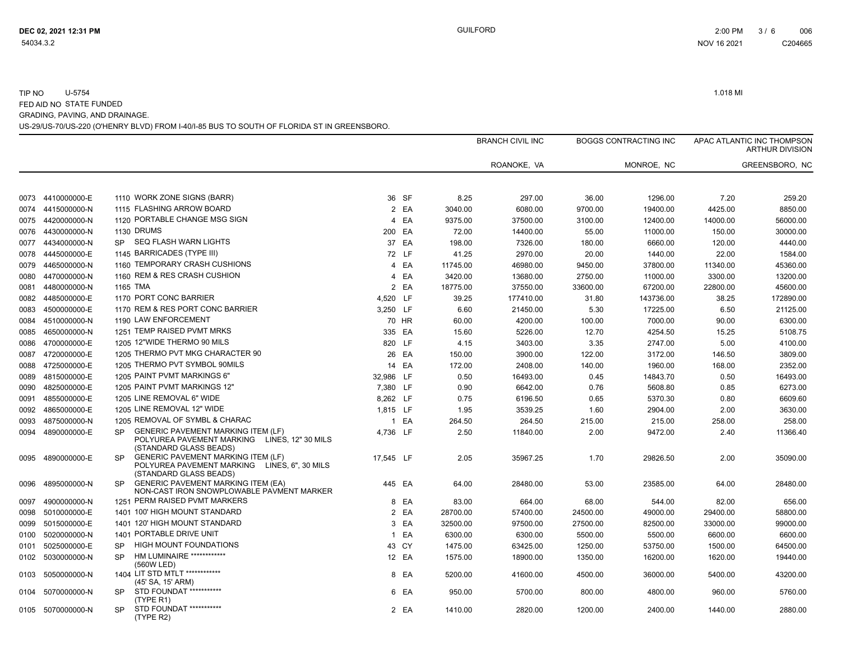|      |                   |           |                                                                                                                        |                |       |          | <b>BRANCH CIVIL INC</b> |          | <b>BOGGS CONTRACTING INC</b> |          | APAC ATLANTIC INC THOMPSON<br><b>ARTHUR DIVISION</b> |
|------|-------------------|-----------|------------------------------------------------------------------------------------------------------------------------|----------------|-------|----------|-------------------------|----------|------------------------------|----------|------------------------------------------------------|
|      |                   |           |                                                                                                                        |                |       |          | ROANOKE, VA             |          | MONROE, NC                   |          | GREENSBORO, NC                                       |
|      | 0073 4410000000-E |           | 1110 WORK ZONE SIGNS (BARR)                                                                                            |                | 36 SF | 8.25     | 297.00                  | 36.00    | 1296.00                      | 7.20     | 259.20                                               |
| 0074 | 4415000000-N      |           | 1115 FLASHING ARROW BOARD                                                                                              |                | 2 EA  | 3040.00  | 6080.00                 | 9700.00  | 19400.00                     | 4425.00  | 8850.00                                              |
| 0075 | 4420000000-N      |           | 1120 PORTABLE CHANGE MSG SIGN                                                                                          | 4              | EA    | 9375.00  | 37500.00                | 3100.00  | 12400.00                     | 14000.00 | 56000.00                                             |
| 0076 | 4430000000-N      |           | 1130 DRUMS                                                                                                             | 200 EA         |       | 72.00    | 14400.00                | 55.00    | 11000.00                     | 150.00   | 30000.00                                             |
| 0077 | 4434000000-N      | <b>SP</b> | <b>SEQ FLASH WARN LIGHTS</b>                                                                                           |                | 37 EA | 198.00   | 7326.00                 | 180.00   | 6660.00                      | 120.00   | 4440.00                                              |
| 0078 | 4445000000-E      |           | 1145 BARRICADES (TYPE III)                                                                                             |                | 72 LF | 41.25    | 2970.00                 | 20.00    | 1440.00                      | 22.00    | 1584.00                                              |
| 0079 | 4465000000-N      |           | 1160 TEMPORARY CRASH CUSHIONS                                                                                          |                | 4 EA  | 11745.00 | 46980.00                | 9450.00  | 37800.00                     | 11340.00 | 45360.00                                             |
| 0080 | 4470000000-N      |           | 1160 REM & RES CRASH CUSHION                                                                                           | $\overline{4}$ | EA    | 3420.00  | 13680.00                | 2750.00  | 11000.00                     | 3300.00  | 13200.00                                             |
| 0081 | 4480000000-N      |           | 1165 TMA                                                                                                               |                | 2 EA  | 18775.00 | 37550.00                | 33600.00 | 67200.00                     | 22800.00 | 45600.00                                             |
| 0082 | 4485000000-E      |           | 1170 PORT CONC BARRIER                                                                                                 | 4,520 LF       |       | 39.25    | 177410.00               | 31.80    | 143736.00                    | 38.25    | 172890.00                                            |
| 0083 | 4500000000-E      |           | 1170 REM & RES PORT CONC BARRIER                                                                                       | 3,250 LF       |       | 6.60     | 21450.00                | 5.30     | 17225.00                     | 6.50     | 21125.00                                             |
| 0084 | 4510000000-N      |           | 1190 LAW ENFORCEMENT                                                                                                   |                | 70 HR | 60.00    | 4200.00                 | 100.00   | 7000.00                      | 90.00    | 6300.00                                              |
| 0085 | 4650000000-N      |           | 1251 TEMP RAISED PVMT MRKS                                                                                             | 335 EA         |       | 15.60    | 5226.00                 | 12.70    | 4254.50                      | 15.25    | 5108.75                                              |
| 0086 | 4700000000-E      |           | 1205 12"WIDE THERMO 90 MILS                                                                                            | 820 LF         |       | 4.15     | 3403.00                 | 3.35     | 2747.00                      | 5.00     | 4100.00                                              |
| 0087 | 4720000000-E      |           | 1205 THERMO PVT MKG CHARACTER 90                                                                                       |                | 26 EA | 150.00   | 3900.00                 | 122.00   | 3172.00                      | 146.50   | 3809.00                                              |
| 0088 | 4725000000-E      |           | 1205 THERMO PVT SYMBOL 90MILS                                                                                          |                | 14 EA | 172.00   | 2408.00                 | 140.00   | 1960.00                      | 168.00   | 2352.00                                              |
| 0089 | 4815000000-E      |           | 1205 PAINT PVMT MARKINGS 6"                                                                                            | 32,986 LF      |       | 0.50     | 16493.00                | 0.45     | 14843.70                     | 0.50     | 16493.00                                             |
| 0090 | 4825000000-E      |           | 1205 PAINT PVMT MARKINGS 12"                                                                                           | 7,380 LF       |       | 0.90     | 6642.00                 | 0.76     | 5608.80                      | 0.85     | 6273.00                                              |
| 0091 | 4855000000-E      |           | 1205 LINE REMOVAL 6" WIDE                                                                                              | 8,262 LF       |       | 0.75     | 6196.50                 | 0.65     | 5370.30                      | 0.80     | 6609.60                                              |
| 0092 | 4865000000-E      |           | 1205 LINE REMOVAL 12" WIDE                                                                                             | 1,815 LF       |       | 1.95     | 3539.25                 | 1.60     | 2904.00                      | 2.00     | 3630.00                                              |
| 0093 | 4875000000-N      |           | 1205 REMOVAL OF SYMBL & CHARAC                                                                                         |                | 1 EA  | 264.50   | 264.50                  | 215.00   | 215.00                       | 258.00   | 258.00                                               |
| 0094 | 4890000000-E      | <b>SP</b> | <b>GENERIC PAVEMENT MARKING ITEM (LF)</b><br>POLYUREA PAVEMENT MARKING<br>LINES, 12" 30 MILS<br>(STANDARD GLASS BEADS) | 4.736 LF       |       | 2.50     | 11840.00                | 2.00     | 9472.00                      | 2.40     | 11366.40                                             |
| 0095 | 4890000000-E      | <b>SP</b> | <b>GENERIC PAVEMENT MARKING ITEM (LF)</b><br>POLYUREA PAVEMENT MARKING LINES, 6", 30 MILS<br>(STANDARD GLASS BEADS)    | 17,545 LF      |       | 2.05     | 35967.25                | 1.70     | 29826.50                     | 2.00     | 35090.00                                             |
| 0096 | 4895000000-N      | <b>SP</b> | <b>GENERIC PAVEMENT MARKING ITEM (EA)</b><br>NON-CAST IRON SNOWPLOWABLE PAVMENT MARKER                                 | 445 EA         |       | 64.00    | 28480.00                | 53.00    | 23585.00                     | 64.00    | 28480.00                                             |
| 0097 | 4900000000-N      |           | 1251 PERM RAISED PVMT MARKERS                                                                                          |                | 8 EA  | 83.00    | 664.00                  | 68.00    | 544.00                       | 82.00    | 656.00                                               |
| 0098 | 5010000000-E      |           | 1401 100' HIGH MOUNT STANDARD                                                                                          |                | 2 EA  | 28700.00 | 57400.00                | 24500.00 | 49000.00                     | 29400.00 | 58800.00                                             |
| 0099 | 5015000000-E      |           | 1401 120' HIGH MOUNT STANDARD                                                                                          | 3              | EA    | 32500.00 | 97500.00                | 27500.00 | 82500.00                     | 33000.00 | 99000.00                                             |
| 0100 | 5020000000-N      |           | 1401 PORTABLE DRIVE UNIT                                                                                               | $\mathbf{1}$   | EA    | 6300.00  | 6300.00                 | 5500.00  | 5500.00                      | 6600.00  | 6600.00                                              |
| 0101 | 5025000000-E      | SP        | HIGH MOUNT FOUNDATIONS                                                                                                 |                | 43 CY | 1475.00  | 63425.00                | 1250.00  | 53750.00                     | 1500.00  | 64500.00                                             |
| 0102 | 5030000000-N      | <b>SP</b> | HM LUMINAIRE ************<br>(560W LED)                                                                                |                | 12 EA | 1575.00  | 18900.00                | 1350.00  | 16200.00                     | 1620.00  | 19440.00                                             |
| 0103 | 5050000000-N      |           | 1404 LIT STD MTLT ************<br>(45' SA, 15' ARM)                                                                    | 8              | EA    | 5200.00  | 41600.00                | 4500.00  | 36000.00                     | 5400.00  | 43200.00                                             |
| 0104 | 5070000000-N      | <b>SP</b> | STD FOUNDAT ***********<br>(TYPE R1)                                                                                   |                | 6 EA  | 950.00   | 5700.00                 | 800.00   | 4800.00                      | 960.00   | 5760.00                                              |
| 0105 | 5070000000-N      | <b>SP</b> | STD FOUNDAT ***********<br>(TYPE R2)                                                                                   |                | 2 EA  | 1410.00  | 2820.00                 | 1200.00  | 2400.00                      | 1440.00  | 2880.00                                              |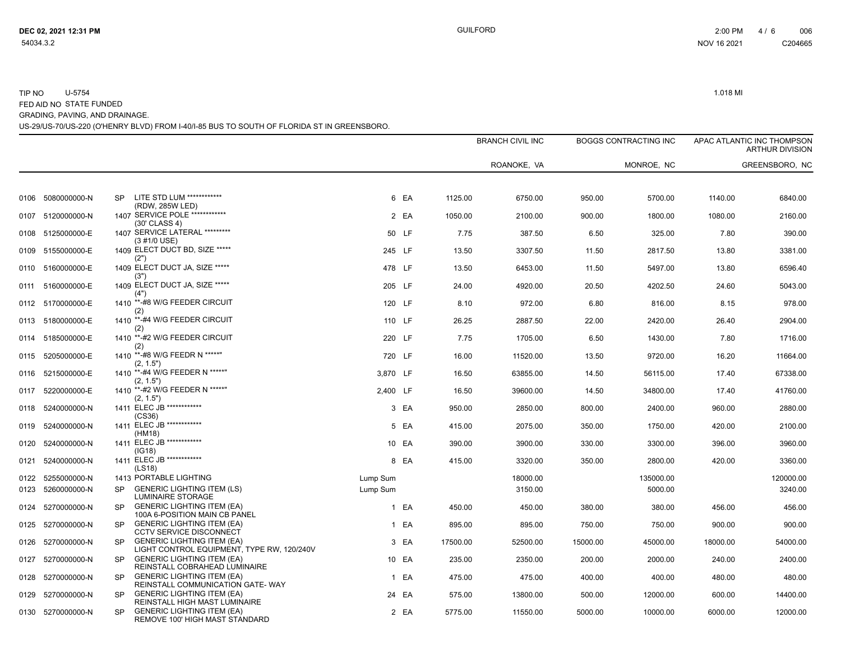|              |                              |           |                                                                                                      |                      |        |          | <b>BRANCH CIVIL INC</b> |          | <b>BOGGS CONTRACTING INC</b> |          | APAC ATLANTIC INC THOMPSON<br><b>ARTHUR DIVISION</b> |
|--------------|------------------------------|-----------|------------------------------------------------------------------------------------------------------|----------------------|--------|----------|-------------------------|----------|------------------------------|----------|------------------------------------------------------|
|              |                              |           |                                                                                                      |                      |        |          | ROANOKE, VA             |          | MONROE, NC                   |          | GREENSBORO, NC                                       |
|              | 0106 5080000000-N            | <b>SP</b> | LITE STD LUM ************                                                                            |                      | 6 EA   | 1125.00  | 6750.00                 | 950.00   | 5700.00                      | 1140.00  | 6840.00                                              |
|              | 0107 5120000000-N            |           | (RDW, 285W LED)<br>1407 SERVICE POLE ************<br>$(30'$ CLASS 4)                                 |                      | 2 EA   | 1050.00  | 2100.00                 | 900.00   | 1800.00                      | 1080.00  | 2160.00                                              |
| 0108         | 5125000000-E                 |           | 1407 SERVICE LATERAL *********<br>(3 #1/0 USE)                                                       |                      | 50 LF  | 7.75     | 387.50                  | 6.50     | 325.00                       | 7.80     | 390.00                                               |
| 0109         | 5155000000-E                 |           | 1409 ELECT DUCT BD, SIZE *****<br>(2")                                                               |                      | 245 LF | 13.50    | 3307.50                 | 11.50    | 2817.50                      | 13.80    | 3381.00                                              |
|              | 0110 5160000000-E            |           | 1409 ELECT DUCT JA, SIZE *****<br>(3")                                                               |                      | 478 LF | 13.50    | 6453.00                 | 11.50    | 5497.00                      | 13.80    | 6596.40                                              |
| 0111         | 5160000000-E                 |           | 1409 ELECT DUCT JA, SIZE *****<br>(4"                                                                |                      | 205 LF | 24.00    | 4920.00                 | 20.50    | 4202.50                      | 24.60    | 5043.00                                              |
| 0112         | 5170000000-E                 |           | 1410 **-#8 W/G FEEDER CIRCUIT<br>(2)                                                                 |                      | 120 LF | 8.10     | 972.00                  | 6.80     | 816.00                       | 8.15     | 978.00                                               |
|              | 0113 5180000000-E            |           | 1410 **-#4 W/G FEEDER CIRCUIT<br>(2)                                                                 |                      | 110 LF | 26.25    | 2887.50                 | 22.00    | 2420.00                      | 26.40    | 2904.00                                              |
| 0114         | 5185000000-E                 |           | 1410 **-#2 W/G FEEDER CIRCUIT<br>(2)                                                                 |                      | 220 LF | 7.75     | 1705.00                 | 6.50     | 1430.00                      | 7.80     | 1716.00                                              |
| 0115         | 5205000000-E                 |           | 1410 **-#8 W/G FEEDR N *****"<br>(2, 1.5")                                                           |                      | 720 LF | 16.00    | 11520.00                | 13.50    | 9720.00                      | 16.20    | 11664.00                                             |
| 0116         | 5215000000-E                 |           | 1410 **-#4 W/G FEEDER N *****"<br>(2, 1.5")                                                          | 3,870 LF             |        | 16.50    | 63855.00                | 14.50    | 56115.00                     | 17.40    | 67338.00                                             |
| 0117         | 5220000000-E                 |           | 1410 **- #2 W/G FEEDER N *****"<br>(2, 1.5")                                                         | 2.400 LF             |        | 16.50    | 39600.00                | 14.50    | 34800.00                     | 17.40    | 41760.00                                             |
| 0118         | 5240000000-N                 |           | 1411 ELEC JB ************<br>(CS36)                                                                  |                      | 3 EA   | 950.00   | 2850.00                 | 800.00   | 2400.00                      | 960.00   | 2880.00                                              |
| 0119         | 5240000000-N                 |           | 1411 ELEC JB ************<br>(HM18)                                                                  |                      | 5 EA   | 415.00   | 2075.00                 | 350.00   | 1750.00                      | 420.00   | 2100.00                                              |
| 0120         | 5240000000-N                 |           | 1411 ELEC JB ************<br>(IG18)                                                                  |                      | 10 EA  | 390.00   | 3900.00                 | 330.00   | 3300.00                      | 396.00   | 3960.00                                              |
| 0121         | 5240000000-N                 |           | 1411 ELEC JB ************<br>(LS18)                                                                  |                      | 8 EA   | 415.00   | 3320.00                 | 350.00   | 2800.00                      | 420.00   | 3360.00                                              |
| 0122<br>0123 | 5255000000-N<br>5260000000-N | <b>SP</b> | 1413 PORTABLE LIGHTING<br><b>GENERIC LIGHTING ITEM (LS)</b>                                          | Lump Sum<br>Lump Sum |        |          | 18000.00<br>3150.00     |          | 135000.00<br>5000.00         |          | 120000.00<br>3240.00                                 |
| 0124         | 5270000000-N                 | <b>SP</b> | LUMINAIRE STORAGE<br><b>GENERIC LIGHTING ITEM (EA)</b>                                               |                      | 1 EA   | 450.00   | 450.00                  | 380.00   | 380.00                       | 456.00   | 456.00                                               |
| 0125         | 5270000000-N                 | <b>SP</b> | 100A 6-POSITION MAIN CB PANEL<br><b>GENERIC LIGHTING ITEM (EA)</b>                                   |                      | 1 EA   | 895.00   | 895.00                  | 750.00   | 750.00                       | 900.00   | 900.00                                               |
| 0126         | 5270000000-N                 | <b>SP</b> | <b>CCTV SERVICE DISCONNECT</b><br><b>GENERIC LIGHTING ITEM (EA)</b>                                  |                      | 3 EA   | 17500.00 | 52500.00                | 15000.00 | 45000.00                     | 18000.00 | 54000.00                                             |
| 0127         | 5270000000-N                 | <b>SP</b> | LIGHT CONTROL EQUIPMENT, TYPE RW, 120/240V<br><b>GENERIC LIGHTING ITEM (EA)</b>                      |                      | 10 EA  | 235.00   | 2350.00                 | 200.00   | 2000.00                      | 240.00   | 2400.00                                              |
| 0128         | 5270000000-N                 | <b>SP</b> | REINSTALL COBRAHEAD LUMINAIRE<br><b>GENERIC LIGHTING ITEM (EA)</b>                                   |                      | 1 EA   | 475.00   | 475.00                  | 400.00   | 400.00                       | 480.00   | 480.00                                               |
| 0129         | 5270000000-N                 | <b>SP</b> | REINSTALL COMMUNICATION GATE-WAY<br><b>GENERIC LIGHTING ITEM (EA)</b>                                |                      | 24 EA  | 575.00   | 13800.00                | 500.00   | 12000.00                     | 600.00   | 14400.00                                             |
|              | 0130 5270000000-N            | <b>SP</b> | REINSTALL HIGH MAST LUMINAIRE<br><b>GENERIC LIGHTING ITEM (EA)</b><br>REMOVE 100' HIGH MAST STANDARD |                      | 2 EA   | 5775.00  | 11550.00                | 5000.00  | 10000.00                     | 6000.00  | 12000.00                                             |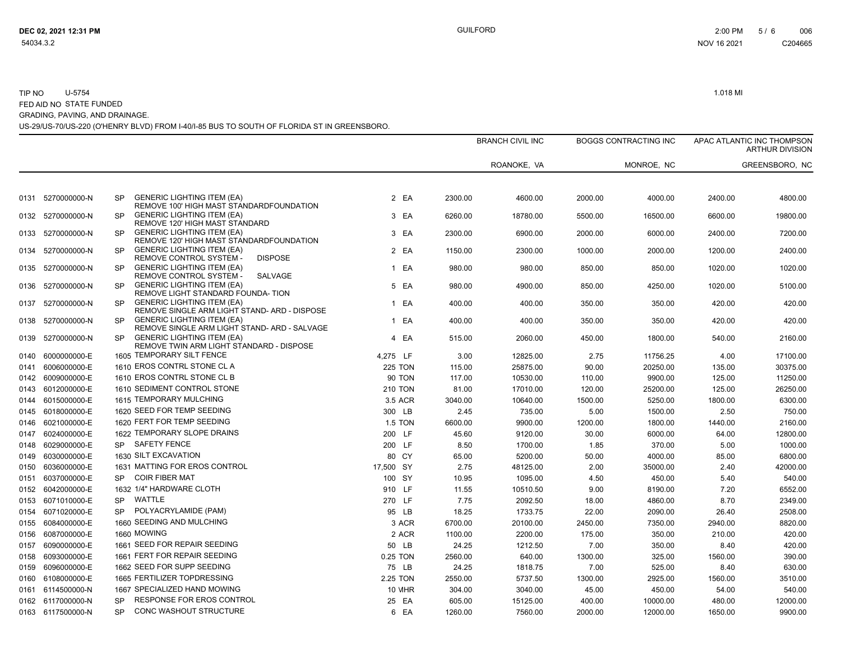|      |                                   |                        |                                                                                                                 |                |                  | <b>BRANCH CIVIL INC</b> |                  | <b>BOGGS CONTRACTING INC</b> |                   | APAC ATLANTIC INC THOMPSON<br><b>ARTHUR DIVISION</b> |
|------|-----------------------------------|------------------------|-----------------------------------------------------------------------------------------------------------------|----------------|------------------|-------------------------|------------------|------------------------------|-------------------|------------------------------------------------------|
|      |                                   |                        |                                                                                                                 |                |                  | ROANOKE, VA             |                  | MONROE, NC                   |                   | GREENSBORO, NC                                       |
| 0131 | 5270000000-N                      | <b>SP</b>              | <b>GENERIC LIGHTING ITEM (EA)</b>                                                                               | 2 EA           | 2300.00          | 4600.00                 | 2000.00          | 4000.00                      | 2400.00           | 4800.00                                              |
| 0132 | 5270000000-N                      | <b>SP</b>              | REMOVE 100' HIGH MAST STANDARDFOUNDATION<br><b>GENERIC LIGHTING ITEM (EA)</b><br>REMOVE 120' HIGH MAST STANDARD | 3 EA           | 6260.00          | 18780.00                | 5500.00          | 16500.00                     | 6600.00           | 19800.00                                             |
|      | 0133 5270000000-N                 | <b>SP</b>              | <b>GENERIC LIGHTING ITEM (EA)</b><br>REMOVE 120' HIGH MAST STANDARDFOUNDATION                                   | 3 EA           | 2300.00          | 6900.00                 | 2000.00          | 6000.00                      | 2400.00           | 7200.00                                              |
| 0134 | 5270000000-N                      | <b>SP</b>              | <b>GENERIC LIGHTING ITEM (EA)</b><br>REMOVE CONTROL SYSTEM -<br><b>DISPOSE</b>                                  | 2 EA           | 1150.00          | 2300.00                 | 1000.00          | 2000.00                      | 1200.00           | 2400.00                                              |
| 0135 | 5270000000-N                      | <b>SP</b>              | <b>GENERIC LIGHTING ITEM (EA)</b><br>REMOVE CONTROL SYSTEM -<br><b>SALVAGE</b>                                  | 1 EA           | 980.00           | 980.00                  | 850.00           | 850.00                       | 1020.00           | 1020.00                                              |
| 0137 | 0136 5270000000-N<br>5270000000-N | <b>SP</b><br><b>SP</b> | <b>GENERIC LIGHTING ITEM (EA)</b><br>REMOVE LIGHT STANDARD FOUNDA-TION<br><b>GENERIC LIGHTING ITEM (EA)</b>     | 5 EA<br>1 EA   | 980.00<br>400.00 | 4900.00<br>400.00       | 850.00<br>350.00 | 4250.00<br>350.00            | 1020.00<br>420.00 | 5100.00<br>420.00                                    |
| 0138 | 5270000000-N                      | <b>SP</b>              | REMOVE SINGLE ARM LIGHT STAND- ARD - DISPOSE<br><b>GENERIC LIGHTING ITEM (EA)</b>                               | 1 EA           | 400.00           | 400.00                  | 350.00           | 350.00                       | 420.00            | 420.00                                               |
| 0139 | 5270000000-N                      | <b>SP</b>              | REMOVE SINGLE ARM LIGHT STAND- ARD - SALVAGE<br><b>GENERIC LIGHTING ITEM (EA)</b>                               | 4 EA           | 515.00           | 2060.00                 | 450.00           | 1800.00                      | 540.00            | 2160.00                                              |
| 0140 | 6000000000-E                      |                        | REMOVE TWIN ARM LIGHT STANDARD - DISPOSE<br>1605 TEMPORARY SILT FENCE                                           | 4,275 LF       | 3.00             | 12825.00                | 2.75             | 11756.25                     | 4.00              | 17100.00                                             |
| 0141 | 6006000000-E                      |                        | 1610 EROS CONTRL STONE CL A                                                                                     | <b>225 TON</b> | 115.00           | 25875.00                | 90.00            | 20250.00                     | 135.00            | 30375.00                                             |
| 0142 | 6009000000-E                      |                        | 1610 EROS CONTRL STONE CL B                                                                                     | <b>90 TON</b>  | 117.00           | 10530.00                | 110.00           | 9900.00                      | 125.00            | 11250.00                                             |
| 0143 | 6012000000-E                      |                        | 1610 SEDIMENT CONTROL STONE                                                                                     | <b>210 TON</b> | 81.00            | 17010.00                | 120.00           | 25200.00                     | 125.00            | 26250.00                                             |
| 0144 | 6015000000-E                      |                        | 1615 TEMPORARY MULCHING                                                                                         | 3.5 ACR        | 3040.00          | 10640.00                | 1500.00          | 5250.00                      | 1800.00           | 6300.00                                              |
| 0145 | 6018000000-E                      |                        | 1620 SEED FOR TEMP SEEDING                                                                                      | 300 LB         | 2.45             | 735.00                  | 5.00             | 1500.00                      | 2.50              | 750.00                                               |
| 0146 | 6021000000-E                      |                        | 1620 FERT FOR TEMP SEEDING                                                                                      | <b>1.5 TON</b> | 6600.00          | 9900.00                 | 1200.00          | 1800.00                      | 1440.00           | 2160.00                                              |
| 0147 | 6024000000-E                      |                        | 1622 TEMPORARY SLOPE DRAINS                                                                                     | 200 LF         | 45.60            | 9120.00                 | 30.00            | 6000.00                      | 64.00             | 12800.00                                             |
| 0148 | 6029000000-E                      | <b>SP</b>              | <b>SAFETY FENCE</b>                                                                                             | 200 LF         | 8.50             | 1700.00                 | 1.85             | 370.00                       | 5.00              | 1000.00                                              |
| 0149 | 6030000000-E                      |                        | 1630 SILT EXCAVATION                                                                                            | 80 CY          | 65.00            | 5200.00                 | 50.00            | 4000.00                      | 85.00             | 6800.00                                              |
| 0150 | 6036000000-E                      |                        | 1631 MATTING FOR EROS CONTROL                                                                                   | 17.500 SY      | 2.75             | 48125.00                | 2.00             | 35000.00                     | 2.40              | 42000.00                                             |
| 0151 | 6037000000-E                      | <b>SP</b>              | <b>COIR FIBER MAT</b>                                                                                           | 100 SY         | 10.95            | 1095.00                 | 4.50             | 450.00                       | 5.40              | 540.00                                               |
| 0152 | 6042000000-E                      |                        | 1632 1/4" HARDWARE CLOTH                                                                                        | 910 LF         | 11.55            | 10510.50                | 9.00             | 8190.00                      | 7.20              | 6552.00                                              |
| 0153 | 6071010000-E                      | <b>SP</b>              | WATTLE                                                                                                          | 270 LF         | 7.75             | 2092.50                 | 18.00            | 4860.00                      | 8.70              | 2349.00                                              |
| 0154 | 6071020000-E                      | <b>SP</b>              | POLYACRYLAMIDE (PAM)                                                                                            | 95 LB          | 18.25            | 1733.75                 | 22.00            | 2090.00                      | 26.40             | 2508.00                                              |
| 0155 | 6084000000-E                      |                        | 1660 SEEDING AND MULCHING                                                                                       | 3 ACR          | 6700.00          | 20100.00                | 2450.00          | 7350.00                      | 2940.00           | 8820.00                                              |
| 0156 | 6087000000-E                      |                        | 1660 MOWING                                                                                                     | 2 ACR          | 1100.00          | 2200.00                 | 175.00           | 350.00                       | 210.00            | 420.00                                               |
| 0157 | 6090000000-E                      |                        | 1661 SEED FOR REPAIR SEEDING                                                                                    | 50 LB          | 24.25            | 1212.50                 | 7.00             | 350.00                       | 8.40              | 420.00                                               |
| 0158 | 6093000000-E                      |                        | 1661 FERT FOR REPAIR SEEDING                                                                                    | 0.25 TON       | 2560.00          | 640.00                  | 1300.00          | 325.00                       | 1560.00           | 390.00                                               |
| 0159 | 6096000000-E                      |                        | 1662 SEED FOR SUPP SEEDING                                                                                      | 75 LB          | 24.25            | 1818.75                 | 7.00             | 525.00                       | 8.40              | 630.00                                               |
| 0160 | 6108000000-E                      |                        | 1665 FERTILIZER TOPDRESSING                                                                                     | 2.25 TON       | 2550.00          | 5737.50                 | 1300.00          | 2925.00                      | 1560.00           | 3510.00                                              |
| 0161 | 6114500000-N                      |                        | 1667 SPECIALIZED HAND MOWING                                                                                    | <b>10 MHR</b>  | 304.00           | 3040.00                 | 45.00            | 450.00                       | 54.00             | 540.00                                               |
|      | 0162 6117000000-N                 | <b>SP</b>              | RESPONSE FOR EROS CONTROL                                                                                       | 25 EA          | 605.00           | 15125.00                | 400.00           | 10000.00                     | 480.00            | 12000.00                                             |
|      | 0163 6117500000-N                 | <b>SP</b>              | CONC WASHOUT STRUCTURE                                                                                          | 6 EA           | 1260.00          | 7560.00                 | 2000.00          | 12000.00                     | 1650.00           | 9900.00                                              |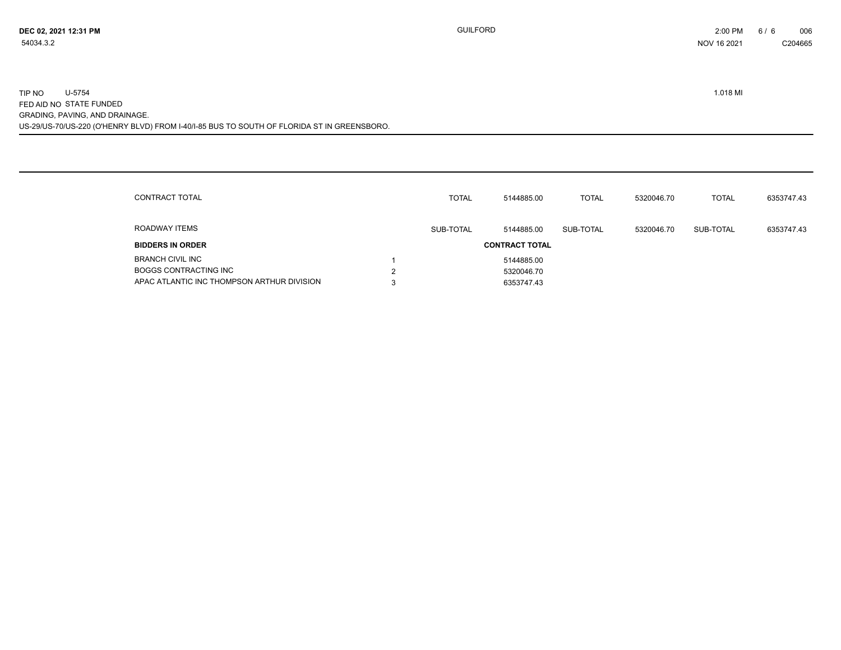| CONTRACT TOTAL                             |        | <b>TOTAL</b> | 5144885.00            | <b>TOTAL</b> | 5320046.70 | <b>TOTAL</b> | 6353747.43 |
|--------------------------------------------|--------|--------------|-----------------------|--------------|------------|--------------|------------|
| ROADWAY ITEMS                              |        | SUB-TOTAL    | 5144885.00            | SUB-TOTAL    | 5320046.70 | SUB-TOTAL    | 6353747.43 |
| <b>BIDDERS IN ORDER</b>                    |        |              | <b>CONTRACT TOTAL</b> |              |            |              |            |
| <b>BRANCH CIVIL INC</b>                    |        |              | 5144885.00            |              |            |              |            |
| <b>BOGGS CONTRACTING INC</b>               | າ<br>ے |              | 5320046.70            |              |            |              |            |
| APAC ATLANTIC INC THOMPSON ARTHUR DIVISION | 3      |              | 6353747.43            |              |            |              |            |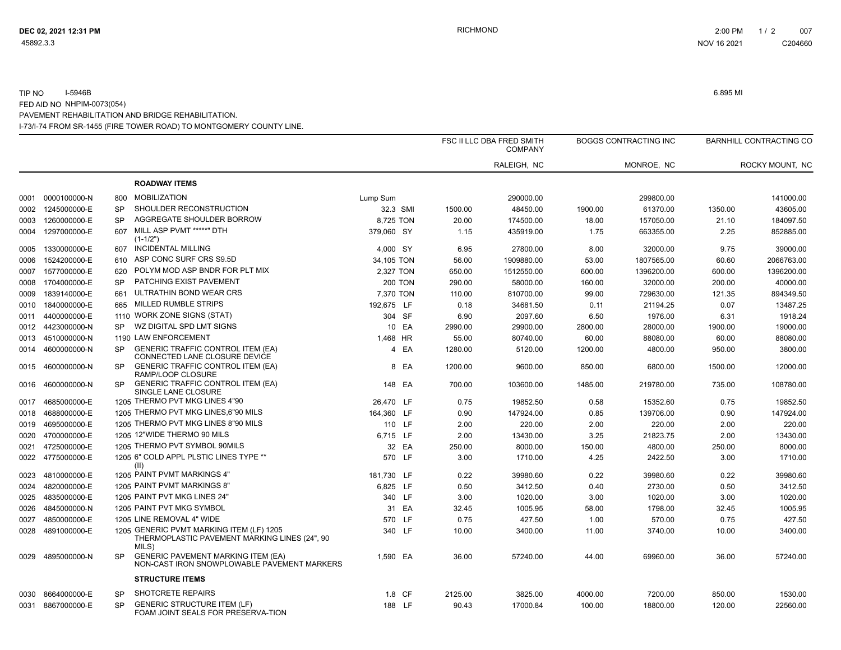#### I-73/I-74 FROM SR-1455 (FIRE TOWER ROAD) TO MONTGOMERY COUNTY LINE. TIP NO I-5946B 6.895 MI FED AID NO NHPIM-0073(054) PAVEMENT REHABILITATION AND BRIDGE REHABILITATION.

|      |                   |           |                                                                                                    |            |                |         | FSC II LLC DBA FRED SMITH<br><b>COMPANY</b> |         | BOGGS CONTRACTING INC |         | <b>BARNHILL CONTRACTING CO</b> |
|------|-------------------|-----------|----------------------------------------------------------------------------------------------------|------------|----------------|---------|---------------------------------------------|---------|-----------------------|---------|--------------------------------|
|      |                   |           |                                                                                                    |            |                |         | RALEIGH, NC                                 |         | MONROE, NC            |         | ROCKY MOUNT, NC                |
|      |                   |           | <b>ROADWAY ITEMS</b>                                                                               |            |                |         |                                             |         |                       |         |                                |
|      | 0001 0000100000-N | 800       | <b>MOBILIZATION</b>                                                                                | Lump Sum   |                |         | 290000.00                                   |         | 299800.00             |         | 141000.00                      |
| 0002 | 1245000000-E      | <b>SP</b> | SHOULDER RECONSTRUCTION                                                                            | 32.3 SMI   |                | 1500.00 | 48450.00                                    | 1900.00 | 61370.00              | 1350.00 | 43605.00                       |
| 0003 | 1260000000-E      | <b>SP</b> | AGGREGATE SHOULDER BORROW                                                                          | 8,725 TON  |                | 20.00   | 174500.00                                   | 18.00   | 157050.00             | 21.10   | 184097.50                      |
| 0004 | 1297000000-E      | 607       | MILL ASP PVMT *****" DTH<br>$(1-1/2")$                                                             | 379,060 SY |                | 1.15    | 435919.00                                   | 1.75    | 663355.00             | 2.25    | 852885.00                      |
| 0005 | 1330000000-E      | 607       | <b>INCIDENTAL MILLING</b>                                                                          | 4,000 SY   |                | 6.95    | 27800.00                                    | 8.00    | 32000.00              | 9.75    | 39000.00                       |
| 0006 | 1524200000-E      | 610       | ASP CONC SURF CRS S9.5D                                                                            | 34,105 TON |                | 56.00   | 1909880.00                                  | 53.00   | 1807565.00            | 60.60   | 2066763.00                     |
| 0007 | 1577000000-E      | 620       | POLYM MOD ASP BNDR FOR PLT MIX                                                                     | 2,327 TON  |                | 650.00  | 1512550.00                                  | 600.00  | 1396200.00            | 600.00  | 1396200.00                     |
| 0008 | 1704000000-E      | <b>SP</b> | PATCHING EXIST PAVEMENT                                                                            |            | <b>200 TON</b> | 290.00  | 58000.00                                    | 160.00  | 32000.00              | 200.00  | 40000.00                       |
| 0009 | 1839140000-E      | 661       | ULTRATHIN BOND WEAR CRS                                                                            | 7,370 TON  |                | 110.00  | 810700.00                                   | 99.00   | 729630.00             | 121.35  | 894349.50                      |
| 0010 | 1840000000-E      | 665       | <b>MILLED RUMBLE STRIPS</b>                                                                        | 192,675 LF |                | 0.18    | 34681.50                                    | 0.11    | 21194.25              | 0.07    | 13487.25                       |
| 0011 | 4400000000-E      |           | 1110 WORK ZONE SIGNS (STAT)                                                                        | 304 SF     |                | 6.90    | 2097.60                                     | 6.50    | 1976.00               | 6.31    | 1918.24                        |
|      | 0012 4423000000-N | <b>SP</b> | WZ DIGITAL SPD LMT SIGNS                                                                           |            | 10 EA          | 2990.00 | 29900.00                                    | 2800.00 | 28000.00              | 1900.00 | 19000.00                       |
|      | 0013 4510000000-N |           | 1190 LAW ENFORCEMENT                                                                               | 1,468 HR   |                | 55.00   | 80740.00                                    | 60.00   | 88080.00              | 60.00   | 88080.00                       |
| 0014 | 4600000000-N      | <b>SP</b> | <b>GENERIC TRAFFIC CONTROL ITEM (EA)</b><br>CONNECTED LANE CLOSURE DEVICE                          |            | 4 EA           | 1280.00 | 5120.00                                     | 1200.00 | 4800.00               | 950.00  | 3800.00                        |
| 0015 | 4600000000-N      | <b>SP</b> | <b>GENERIC TRAFFIC CONTROL ITEM (EA)</b><br>RAMP/LOOP CLOSURE                                      |            | 8 EA           | 1200.00 | 9600.00                                     | 850.00  | 6800.00               | 1500.00 | 12000.00                       |
| 0016 | 4600000000-N      | <b>SP</b> | <b>GENERIC TRAFFIC CONTROL ITEM (EA)</b><br>SINGLE LANE CLOSURE                                    | 148 EA     |                | 700.00  | 103600.00                                   | 1485.00 | 219780.00             | 735.00  | 108780.00                      |
| 0017 | 4685000000-E      |           | 1205 THERMO PVT MKG LINES 4"90                                                                     | 26,470 LF  |                | 0.75    | 19852.50                                    | 0.58    | 15352.60              | 0.75    | 19852.50                       |
| 0018 | 4688000000-E      |           | 1205 THERMO PVT MKG LINES, 6"90 MILS                                                               | 164,360 LF |                | 0.90    | 147924.00                                   | 0.85    | 139706.00             | 0.90    | 147924.00                      |
|      | 0019 4695000000-E |           | 1205 THERMO PVT MKG LINES 8"90 MILS                                                                | 110 LF     |                | 2.00    | 220.00                                      | 2.00    | 220.00                | 2.00    | 220.00                         |
| 0020 | 4700000000-E      |           | 1205 12"WIDE THERMO 90 MILS                                                                        | 6,715 LF   |                | 2.00    | 13430.00                                    | 3.25    | 21823.75              | 2.00    | 13430.00                       |
| 0021 | 4725000000-E      |           | 1205 THERMO PVT SYMBOL 90MILS                                                                      |            | 32 EA          | 250.00  | 8000.00                                     | 150.00  | 4800.00               | 250.00  | 8000.00                        |
|      | 0022 4775000000-E |           | 1205 6" COLD APPL PLSTIC LINES TYPE **<br>(11)                                                     | 570 LF     |                | 3.00    | 1710.00                                     | 4.25    | 2422.50               | 3.00    | 1710.00                        |
|      | 0023 4810000000-E |           | 1205 PAINT PVMT MARKINGS 4"                                                                        | 181,730 LF |                | 0.22    | 39980.60                                    | 0.22    | 39980.60              | 0.22    | 39980.60                       |
| 0024 | 4820000000-E      |           | 1205 PAINT PVMT MARKINGS 8"                                                                        | 6,825 LF   |                | 0.50    | 3412.50                                     | 0.40    | 2730.00               | 0.50    | 3412.50                        |
| 0025 | 4835000000-E      |           | 1205 PAINT PVT MKG LINES 24"                                                                       | 340 LF     |                | 3.00    | 1020.00                                     | 3.00    | 1020.00               | 3.00    | 1020.00                        |
| 0026 | 4845000000-N      |           | 1205 PAINT PVT MKG SYMBOL                                                                          |            | 31 EA          | 32.45   | 1005.95                                     | 58.00   | 1798.00               | 32.45   | 1005.95                        |
| 0027 | 4850000000-E      |           | 1205 LINE REMOVAL 4" WIDE                                                                          | 570 LF     |                | 0.75    | 427.50                                      | 1.00    | 570.00                | 0.75    | 427.50                         |
| 0028 | 4891000000-E      |           | 1205 GENERIC PVMT MARKING ITEM (LF) 1205<br>THERMOPLASTIC PAVEMENT MARKING LINES (24", 90<br>MILS) | 340 LF     |                | 10.00   | 3400.00                                     | 11.00   | 3740.00               | 10.00   | 3400.00                        |
|      | 0029 4895000000-N | <b>SP</b> | <b>GENERIC PAVEMENT MARKING ITEM (EA)</b><br>NON-CAST IRON SNOWPLOWABLE PAVEMENT MARKERS           | 1,590 EA   |                | 36.00   | 57240.00                                    | 44.00   | 69960.00              | 36.00   | 57240.00                       |
|      |                   |           | <b>STRUCTURE ITEMS</b>                                                                             |            |                |         |                                             |         |                       |         |                                |
| 0030 | 8664000000-E      | <b>SP</b> | SHOTCRETE REPAIRS                                                                                  | 1.8 CF     |                | 2125.00 | 3825.00                                     | 4000.00 | 7200.00               | 850.00  | 1530.00                        |
|      | 0031 8867000000-E | <b>SP</b> | <b>GENERIC STRUCTURE ITEM (LF)</b><br>FOAM JOINT SEALS FOR PRESERVA-TION                           | 188 LF     |                | 90.43   | 17000.84                                    | 100.00  | 18800.00              | 120.00  | 22560.00                       |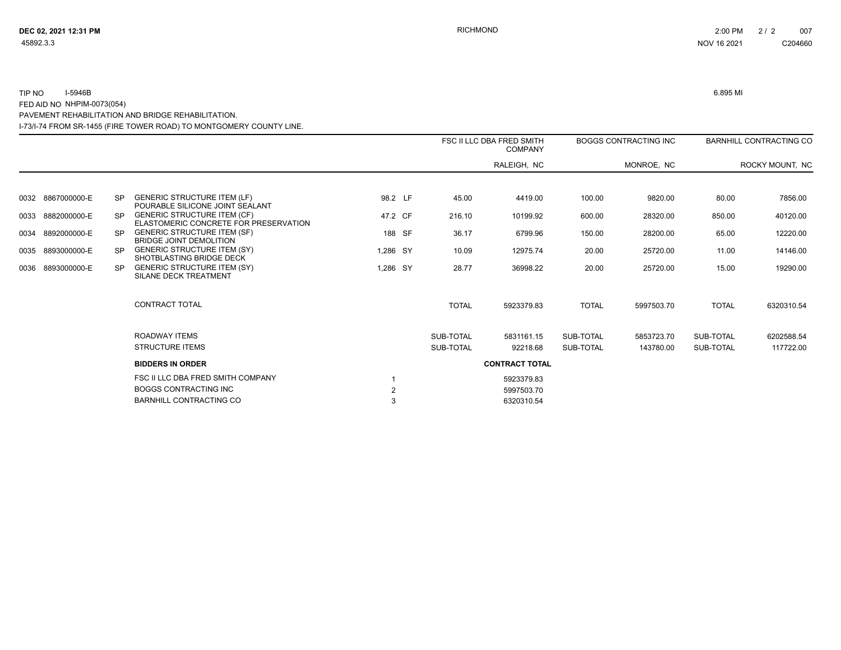$\overline{\phantom{a}}$ 

# I-73/I-74 FROM SR-1455 (FIRE TOWER ROAD) TO MONTGOMERY COUNTY LINE. TIP NO I-5946B 6.895 MI FED AID NO NHPIM-0073(054) PAVEMENT REHABILITATION AND BRIDGE REHABILITATION.

|      |                   |           |                                                                                                     |                     |              | FSC II LLC DBA FRED SMITH<br><b>COMPANY</b> |              | <b>BOGGS CONTRACTING INC</b> |              | <b>BARNHILL CONTRACTING CO</b> |
|------|-------------------|-----------|-----------------------------------------------------------------------------------------------------|---------------------|--------------|---------------------------------------------|--------------|------------------------------|--------------|--------------------------------|
|      |                   |           |                                                                                                     |                     |              | RALEIGH, NC                                 |              | MONROE, NC                   |              | ROCKY MOUNT, NC                |
|      |                   |           |                                                                                                     |                     |              |                                             |              |                              |              |                                |
|      | 0032 8867000000-E | SP.       | <b>GENERIC STRUCTURE ITEM (LF)</b><br>POURABLE SILICONE JOINT SEALANT                               | 98.2 LF             | 45.00        | 4419.00                                     | 100.00       | 9820.00                      | 80.00        | 7856.00                        |
|      | 0033 8882000000-E | <b>SP</b> | <b>GENERIC STRUCTURE ITEM (CF)</b><br>ELASTOMERIC CONCRETE FOR PRESERVATION                         | 47.2 CF             | 216.10       | 10199.92                                    | 600.00       | 28320.00                     | 850.00       | 40120.00                       |
| 0034 | 8892000000-E      | <b>SP</b> | <b>GENERIC STRUCTURE ITEM (SF)</b><br><b>BRIDGE JOINT DEMOLITION</b>                                | 188 SF              | 36.17        | 6799.96                                     | 150.00       | 28200.00                     | 65.00        | 12220.00                       |
|      | 0035 8893000000-E | <b>SP</b> | <b>GENERIC STRUCTURE ITEM (SY)</b><br><b>SHOTBLASTING BRIDGE DECK</b>                               | 1,286 SY            | 10.09        | 12975.74                                    | 20.00        | 25720.00                     | 11.00        | 14146.00                       |
| 0036 | 8893000000-E      | <b>SP</b> | <b>GENERIC STRUCTURE ITEM (SY)</b><br>SILANE DECK TREATMENT                                         | 1,286 SY            | 28.77        | 36998.22                                    | 20.00        | 25720.00                     | 15.00        | 19290.00                       |
|      |                   |           | <b>CONTRACT TOTAL</b>                                                                               |                     | <b>TOTAL</b> | 5923379.83                                  | <b>TOTAL</b> | 5997503.70                   | <b>TOTAL</b> | 6320310.54                     |
|      |                   |           | ROADWAY ITEMS                                                                                       |                     | SUB-TOTAL    | 5831161.15                                  | SUB-TOTAL    | 5853723.70                   | SUB-TOTAL    | 6202588.54                     |
|      |                   |           | <b>STRUCTURE ITEMS</b>                                                                              |                     | SUB-TOTAL    | 92218.68                                    | SUB-TOTAL    | 143780.00                    | SUB-TOTAL    | 117722.00                      |
|      |                   |           | <b>BIDDERS IN ORDER</b>                                                                             |                     |              | <b>CONTRACT TOTAL</b>                       |              |                              |              |                                |
|      |                   |           | FSC II LLC DBA FRED SMITH COMPANY<br><b>BOGGS CONTRACTING INC</b><br><b>BARNHILL CONTRACTING CO</b> | $\overline{2}$<br>3 |              | 5923379.83<br>5997503.70                    |              |                              |              |                                |
|      |                   |           |                                                                                                     |                     |              | 6320310.54                                  |              |                              |              |                                |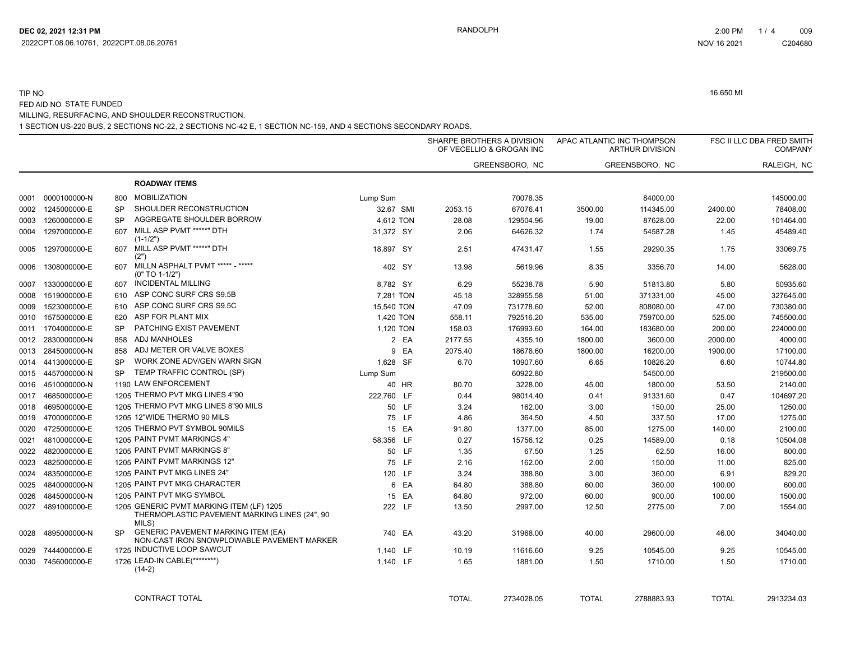#### 1 SECTION US-220 BUS, 2 SECTIONS NC-22, 2 SECTIONS NC-42 E, 1 SECTION NC-159, AND 4 SECTIONS SECONDARY ROADS. TIP NO 16.650 MI FED AID NO STATE FUNDED MILLING, RESURFACING, AND SHOULDER RECONSTRUCTION.

|      |                   |           |                                                                                                    |            |              | SHARPE BROTHERS A DIVISION<br>OF VECELLIO & GROGAN INC | APAC ATLANTIC INC THOMPSON | <b>ARTHUR DIVISION</b> |              | FSC II LLC DBA FRED SMITH<br><b>COMPANY</b> |
|------|-------------------|-----------|----------------------------------------------------------------------------------------------------|------------|--------------|--------------------------------------------------------|----------------------------|------------------------|--------------|---------------------------------------------|
|      |                   |           |                                                                                                    |            |              | GREENSBORO, NC                                         |                            | GREENSBORO, NC         |              | RALEIGH, NC                                 |
|      |                   |           | <b>ROADWAY ITEMS</b>                                                                               |            |              |                                                        |                            |                        |              |                                             |
| 0001 | 0000100000-N      | 800       | <b>MOBILIZATION</b>                                                                                | Lump Sum   |              | 70078.35                                               |                            | 84000.00               |              | 145000.00                                   |
| 0002 | 1245000000-E      | <b>SP</b> | SHOULDER RECONSTRUCTION                                                                            | 32.67 SMI  | 2053.15      | 67076.41                                               | 3500.00                    | 114345.00              | 2400.00      | 78408.00                                    |
| 0003 | 1260000000-E      | <b>SP</b> | AGGREGATE SHOULDER BORROW                                                                          | 4,612 TON  | 28.08        | 129504.96                                              | 19.00                      | 87628.00               | 22.00        | 101464.00                                   |
| 0004 | 1297000000-E      | 607       | MILL ASP PVMT *****" DTH<br>$(1-1/2")$                                                             | 31,372 SY  | 2.06         | 64626.32                                               | 1.74                       | 54587.28               | 1.45         | 45489.40                                    |
| 0005 | 1297000000-E      | 607       | MILL ASP PVMT *****" DTH<br>(2")                                                                   | 18,897 SY  | 2.51         | 47431.47                                               | 1.55                       | 29290.35               | 1.75         | 33069.75                                    |
| 0006 | 1308000000-E      | 607       | MILLN ASPHALT PVMT ***** - *****<br>$(0" TO 1-1/2")$                                               | 402 SY     | 13.98        | 5619.96                                                | 8.35                       | 3356.70                | 14.00        | 5628.00                                     |
| 0007 | 1330000000-E      | 607       | <b>INCIDENTAL MILLING</b>                                                                          | 8,782 SY   | 6.29         | 55238.78                                               | 5.90                       | 51813.80               | 5.80         | 50935.60                                    |
| 0008 | 1519000000-E      | 610       | ASP CONC SURF CRS S9.5B                                                                            | 7,281 TON  | 45.18        | 328955.58                                              | 51.00                      | 371331.00              | 45.00        | 327645.00                                   |
| 0009 | 1523000000-E      | 610       | ASP CONC SURF CRS S9.5C                                                                            | 15,540 TON | 47.09        | 731778.60                                              | 52.00                      | 808080.00              | 47.00        | 730380.00                                   |
| 0010 | 1575000000-E      | 620       | ASP FOR PLANT MIX                                                                                  | 1,420 TON  | 558.11       | 792516.20                                              | 535.00                     | 759700.00              | 525.00       | 745500.00                                   |
| 0011 | 1704000000-E      | <b>SP</b> | PATCHING EXIST PAVEMENT                                                                            | 1,120 TON  | 158.03       | 176993.60                                              | 164.00                     | 183680.00              | 200.00       | 224000.00                                   |
| 0012 | 2830000000-N      | 858       | ADJ MANHOLES                                                                                       | 2 EA       | 2177.55      | 4355.10                                                | 1800.00                    | 3600.00                | 2000.00      | 4000.00                                     |
| 0013 | 2845000000-N      | 858       | ADJ METER OR VALVE BOXES                                                                           | 9 EA       | 2075.40      | 18678.60                                               | 1800.00                    | 16200.00               | 1900.00      | 17100.00                                    |
|      | 0014 4413000000-E | <b>SP</b> | WORK ZONE ADV/GEN WARN SIGN                                                                        | 1,628 SF   | 6.70         | 10907.60                                               | 6.65                       | 10826.20               | 6.60         | 10744.80                                    |
|      | 0015 4457000000-N | <b>SP</b> | TEMP TRAFFIC CONTROL (SP)                                                                          | Lump Sum   |              | 60922.80                                               |                            | 54500.00               |              | 219500.00                                   |
|      | 0016 4510000000-N |           | 1190 LAW ENFORCEMENT                                                                               | 40 HR      | 80.70        | 3228.00                                                | 45.00                      | 1800.00                | 53.50        | 2140.00                                     |
|      | 0017 4685000000-E |           | 1205 THERMO PVT MKG LINES 4"90                                                                     | 222,760 LF | 0.44         | 98014.40                                               | 0.41                       | 91331.60               | 0.47         | 104697.20                                   |
| 0018 | 4695000000-E      |           | 1205 THERMO PVT MKG LINES 8"90 MILS                                                                | 50 LF      | 3.24         | 162.00                                                 | 3.00                       | 150.00                 | 25.00        | 1250.00                                     |
| 0019 | 4700000000-E      |           | 1205 12"WIDE THERMO 90 MILS                                                                        | 75 LF      | 4.86         | 364.50                                                 | 4.50                       | 337.50                 | 17.00        | 1275.00                                     |
| 0020 | 4725000000-E      |           | 1205 THERMO PVT SYMBOL 90MILS                                                                      | 15 EA      | 91.80        | 1377.00                                                | 85.00                      | 1275.00                | 140.00       | 2100.00                                     |
| 0021 | 4810000000-E      |           | 1205 PAINT PVMT MARKINGS 4"                                                                        | 58,356 LF  | 0.27         | 15756.12                                               | 0.25                       | 14589.00               | 0.18         | 10504.08                                    |
| 0022 | 4820000000-E      |           | 1205 PAINT PVMT MARKINGS 8"                                                                        | 50 LF      | 1.35         | 67.50                                                  | 1.25                       | 62.50                  | 16.00        | 800.00                                      |
| 0023 | 4825000000-E      |           | 1205 PAINT PVMT MARKINGS 12"                                                                       | 75 LF      | 2.16         | 162.00                                                 | 2.00                       | 150.00                 | 11.00        | 825.00                                      |
| 0024 | 4835000000-E      |           | 1205 PAINT PVT MKG LINES 24"                                                                       | 120 LF     | 3.24         | 388.80                                                 | 3.00                       | 360.00                 | 6.91         | 829.20                                      |
| 0025 | 4840000000-N      |           | 1205 PAINT PVT MKG CHARACTER                                                                       | 6 EA       | 64.80        | 388.80                                                 | 60.00                      | 360.00                 | 100.00       | 600.00                                      |
| 0026 | 4845000000-N      |           | 1205 PAINT PVT MKG SYMBOL                                                                          | 15 EA      | 64.80        | 972.00                                                 | 60.00                      | 900.00                 | 100.00       | 1500.00                                     |
| 0027 | 4891000000-E      |           | 1205 GENERIC PVMT MARKING ITEM (LF) 1205<br>THERMOPLASTIC PAVEMENT MARKING LINES (24", 90<br>MILS) | 222 LF     | 13.50        | 2997.00                                                | 12.50                      | 2775.00                | 7.00         | 1554.00                                     |
| 0028 | 4895000000-N      | SP.       | <b>GENERIC PAVEMENT MARKING ITEM (EA)</b><br>NON-CAST IRON SNOWPLOWABLE PAVEMENT MARKER            | 740 EA     | 43.20        | 31968.00                                               | 40.00                      | 29600.00               | 46.00        | 34040.00                                    |
| 0029 | 7444000000-E      |           | 1725 INDUCTIVE LOOP SAWCUT                                                                         | 1,140 LF   | 10.19        | 11616.60                                               | 9.25                       | 10545.00               | 9.25         | 10545.00                                    |
|      | 0030 7456000000-E |           | 1726 LEAD-IN CABLE(********)<br>$(14-2)$                                                           | 1,140 LF   | 1.65         | 1881.00                                                | 1.50                       | 1710.00                | 1.50         | 1710.00                                     |
|      |                   |           | CONTRACT TOTAL                                                                                     |            | <b>TOTAL</b> | 2734028.05                                             | <b>TOTAL</b>               | 2788883.93             | <b>TOTAL</b> | 2913234.03                                  |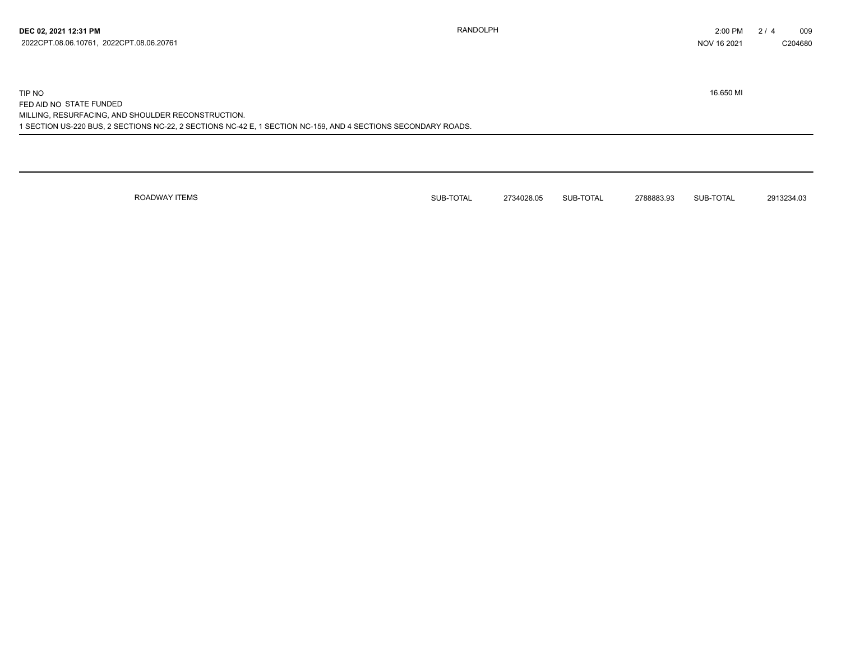1 SECTION US-220 BUS, 2 SECTIONS NC-22, 2 SECTIONS NC-42 E, 1 SECTION NC-159, AND 4 SECTIONS SECONDARY ROADS. TIP NO 16.650 MI FED AID NO STATE FUNDED MILLING, RESURFACING, AND SHOULDER RECONSTRUCTION.

ROADWAY ITEMS **SUB-TOTAL 2734028.05** SUB-TOTAL 2788883.93 SUB-TOTAL 2913234.03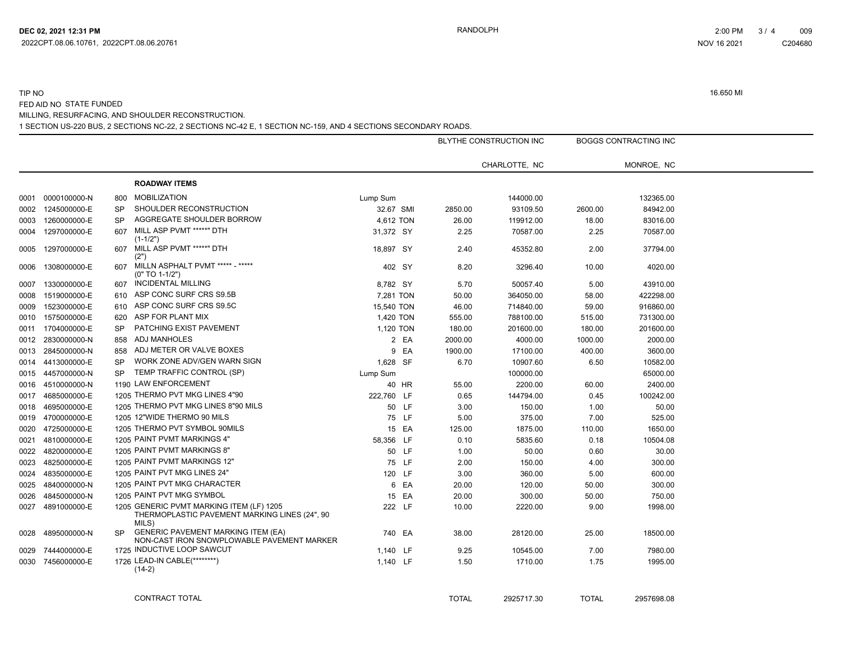### 1 SECTION US-220 BUS, 2 SECTIONS NC-22, 2 SECTIONS NC-42 E, 1 SECTION NC-159, AND 4 SECTIONS SECONDARY ROADS. TIP NO 16.650 MI FED AID NO STATE FUNDED MILLING, RESURFACING, AND SHOULDER RECONSTRUCTION.

|      |                   |           |                                                                                                    |            |       |              | BLYTHE CONSTRUCTION INC |              | <b>BOGGS CONTRACTING INC</b> |
|------|-------------------|-----------|----------------------------------------------------------------------------------------------------|------------|-------|--------------|-------------------------|--------------|------------------------------|
|      |                   |           |                                                                                                    |            |       |              | CHARLOTTE, NC           |              | MONROE, NC                   |
|      |                   |           | <b>ROADWAY ITEMS</b>                                                                               |            |       |              |                         |              |                              |
| 0001 | 0000100000-N      | 800       | <b>MOBILIZATION</b>                                                                                | Lump Sum   |       |              | 144000.00               |              | 132365.00                    |
| 0002 | 1245000000-E      | <b>SP</b> | SHOULDER RECONSTRUCTION                                                                            | 32.67 SMI  |       | 2850.00      | 93109.50                | 2600.00      | 84942.00                     |
| 0003 | 1260000000-E      | SP        | AGGREGATE SHOULDER BORROW                                                                          | 4,612 TON  |       | 26.00        | 119912.00               | 18.00        | 83016.00                     |
| 0004 | 1297000000-E      | 607       | MILL ASP PVMT *****" DTH<br>$(1-1/2")$                                                             | 31,372 SY  |       | 2.25         | 70587.00                | 2.25         | 70587.00                     |
| 0005 | 1297000000-E      | 607       | MILL ASP PVMT *****" DTH<br>(2")                                                                   | 18,897 SY  |       | 2.40         | 45352.80                | 2.00         | 37794.00                     |
| 0006 | 1308000000-E      | 607       | MILLN ASPHALT PVMT ***** - *****<br>$(0" TO 1-1/2")$                                               | 402 SY     |       | 8.20         | 3296.40                 | 10.00        | 4020.00                      |
| 0007 | 1330000000-E      | 607       | <b>INCIDENTAL MILLING</b>                                                                          | 8,782 SY   |       | 5.70         | 50057.40                | 5.00         | 43910.00                     |
| 0008 | 1519000000-E      | 610       | ASP CONC SURF CRS S9.5B                                                                            | 7,281 TON  |       | 50.00        | 364050.00               | 58.00        | 422298.00                    |
| 0009 | 1523000000-E      | 610       | ASP CONC SURF CRS S9.5C                                                                            | 15,540 TON |       | 46.00        | 714840.00               | 59.00        | 916860.00                    |
| 0010 | 1575000000-E      | 620       | ASP FOR PLANT MIX                                                                                  | 1,420 TON  |       | 555.00       | 788100.00               | 515.00       | 731300.00                    |
| 0011 | 1704000000-E      | <b>SP</b> | PATCHING EXIST PAVEMENT                                                                            | 1,120 TON  |       | 180.00       | 201600.00               | 180.00       | 201600.00                    |
| 0012 | 2830000000-N      | 858       | <b>ADJ MANHOLES</b>                                                                                |            | 2 EA  | 2000.00      | 4000.00                 | 1000.00      | 2000.00                      |
| 0013 | 2845000000-N      | 858       | ADJ METER OR VALVE BOXES                                                                           |            | 9 EA  | 1900.00      | 17100.00                | 400.00       | 3600.00                      |
| 0014 | 4413000000-E      | SP        | WORK ZONE ADV/GEN WARN SIGN                                                                        | 1,628 SF   |       | 6.70         | 10907.60                | 6.50         | 10582.00                     |
| 0015 | 4457000000-N      | <b>SP</b> | TEMP TRAFFIC CONTROL (SP)                                                                          | Lump Sum   |       |              | 100000.00               |              | 65000.00                     |
|      | 0016 4510000000-N |           | 1190 LAW ENFORCEMENT                                                                               |            | 40 HR | 55.00        | 2200.00                 | 60.00        | 2400.00                      |
| 0017 | 4685000000-E      |           | 1205 THERMO PVT MKG LINES 4"90                                                                     | 222,760 LF |       | 0.65         | 144794.00               | 0.45         | 100242.00                    |
| 0018 | 4695000000-E      |           | 1205 THERMO PVT MKG LINES 8"90 MILS                                                                | 50 LF      |       | 3.00         | 150.00                  | 1.00         | 50.00                        |
| 0019 | 4700000000-E      |           | 1205 12"WIDE THERMO 90 MILS                                                                        |            | 75 LF | 5.00         | 375.00                  | 7.00         | 525.00                       |
| 0020 | 4725000000-E      |           | 1205 THERMO PVT SYMBOL 90MILS                                                                      |            | 15 EA | 125.00       | 1875.00                 | 110.00       | 1650.00                      |
| 0021 | 4810000000-E      |           | 1205 PAINT PVMT MARKINGS 4"                                                                        | 58,356 LF  |       | 0.10         | 5835.60                 | 0.18         | 10504.08                     |
| 0022 | 4820000000-E      |           | 1205 PAINT PVMT MARKINGS 8"                                                                        |            | 50 LF | 1.00         | 50.00                   | 0.60         | 30.00                        |
| 0023 | 4825000000-E      |           | 1205 PAINT PVMT MARKINGS 12"                                                                       | 75 LF      |       | 2.00         | 150.00                  | 4.00         | 300.00                       |
| 0024 | 4835000000-E      |           | 1205 PAINT PVT MKG LINES 24"                                                                       | 120 LF     |       | 3.00         | 360.00                  | 5.00         | 600.00                       |
| 0025 | 4840000000-N      |           | 1205 PAINT PVT MKG CHARACTER                                                                       |            | 6 EA  | 20.00        | 120.00                  | 50.00        | 300.00                       |
| 0026 | 4845000000-N      |           | 1205 PAINT PVT MKG SYMBOL                                                                          |            | 15 EA | 20.00        | 300.00                  | 50.00        | 750.00                       |
| 0027 | 4891000000-E      |           | 1205 GENERIC PVMT MARKING ITEM (LF) 1205<br>THERMOPLASTIC PAVEMENT MARKING LINES (24", 90<br>MILS) | 222 LF     |       | 10.00        | 2220.00                 | 9.00         | 1998.00                      |
| 0028 | 4895000000-N      | SP        | <b>GENERIC PAVEMENT MARKING ITEM (EA)</b><br>NON-CAST IRON SNOWPLOWABLE PAVEMENT MARKER            | 740 EA     |       | 38.00        | 28120.00                | 25.00        | 18500.00                     |
| 0029 | 7444000000-E      |           | 1725 INDUCTIVE LOOP SAWCUT                                                                         | 1,140 LF   |       | 9.25         | 10545.00                | 7.00         | 7980.00                      |
|      | 0030 7456000000-E |           | 1726 LEAD-IN CABLE(********)<br>$(14-2)$                                                           | 1,140 LF   |       | 1.50         | 1710.00                 | 1.75         | 1995.00                      |
|      |                   |           | CONTRACT TOTAL                                                                                     |            |       | <b>TOTAL</b> | 2925717.30              | <b>TOTAL</b> | 2957698.08                   |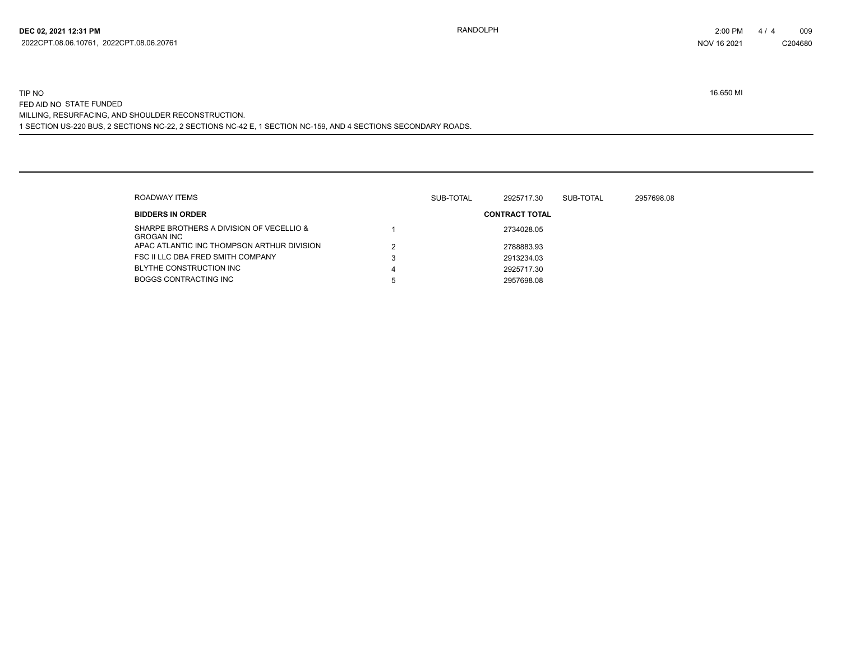## 1 SECTION US-220 BUS, 2 SECTIONS NC-22, 2 SECTIONS NC-42 E, 1 SECTION NC-159, AND 4 SECTIONS SECONDARY ROADS. TIP NO 16.650 MI FED AID NO STATE FUNDED MILLING, RESURFACING, AND SHOULDER RECONSTRUCTION.

| ROADWAY ITEMS                                                 |   | 2957698.08<br>SUB-TOTAL<br>2925717.30<br>SUB-TOTAL |                       |  |  |  |  |  |
|---------------------------------------------------------------|---|----------------------------------------------------|-----------------------|--|--|--|--|--|
| <b>BIDDERS IN ORDER</b>                                       |   |                                                    | <b>CONTRACT TOTAL</b> |  |  |  |  |  |
| SHARPE BROTHERS A DIVISION OF VECELLIO &<br><b>GROGAN INC</b> |   |                                                    | 2734028.05            |  |  |  |  |  |
| APAC ATLANTIC INC THOMPSON ARTHUR DIVISION                    |   |                                                    | 2788883.93            |  |  |  |  |  |
| FSC II LLC DBA FRED SMITH COMPANY                             | 3 |                                                    | 2913234.03            |  |  |  |  |  |
| BLYTHE CONSTRUCTION INC                                       | 4 |                                                    | 2925717.30            |  |  |  |  |  |
| <b>BOGGS CONTRACTING INC</b>                                  | 5 |                                                    | 2957698.08            |  |  |  |  |  |

C204680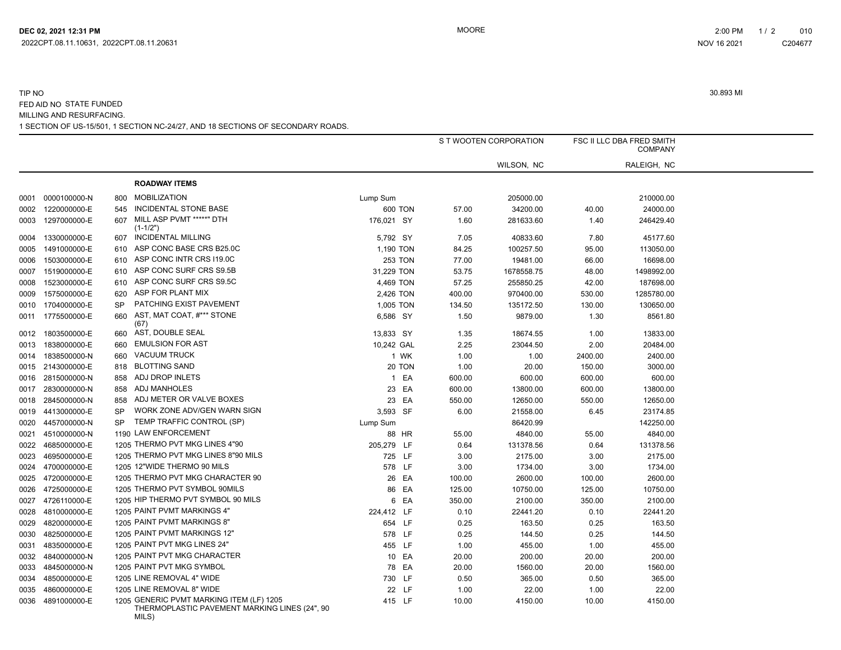# 1 SECTION OF US-15/501, 1 SECTION NC-24/27, AND 18 SECTIONS OF SECONDARY ROADS. TIP NO 30.893 MI FED AID NO STATE FUNDED MILLING AND RESURFACING.

|      |                   |           |                                                        | S T WOOTEN CORPORATION |        | FSC II LLC DBA FRED SMITH<br><b>COMPANY</b> |         |             |  |
|------|-------------------|-----------|--------------------------------------------------------|------------------------|--------|---------------------------------------------|---------|-------------|--|
|      |                   |           |                                                        |                        |        |                                             |         |             |  |
|      |                   |           |                                                        |                        |        | WILSON, NC                                  |         | RALEIGH, NC |  |
|      |                   |           | <b>ROADWAY ITEMS</b>                                   |                        |        |                                             |         |             |  |
| 0001 | 0000100000-N      | 800       | <b>MOBILIZATION</b>                                    | Lump Sum               |        | 205000.00                                   |         | 210000.00   |  |
| 0002 | 1220000000-E      | 545       | INCIDENTAL STONE BASE                                  | 600 TON                | 57.00  | 34200.00                                    | 40.00   | 24000.00    |  |
| 0003 | 1297000000-E      | 607       | MILL ASP PVMT *****" DTH<br>$(1-1/2")$                 | 176,021 SY             | 1.60   | 281633.60                                   | 1.40    | 246429.40   |  |
| 0004 | 1330000000-E      | 607       | <b>INCIDENTAL MILLING</b>                              | 5,792 SY               | 7.05   | 40833.60                                    | 7.80    | 45177.60    |  |
| 0005 | 1491000000-E      | 610       | ASP CONC BASE CRS B25.0C                               | 1,190 TON              | 84.25  | 100257.50                                   | 95.00   | 113050.00   |  |
| 0006 | 1503000000-E      | 610       | ASP CONC INTR CRS I19.0C                               | <b>253 TON</b>         | 77.00  | 19481.00                                    | 66.00   | 16698.00    |  |
| 0007 | 1519000000-E      | 610       | ASP CONC SURF CRS S9.5B                                | 31,229 TON             | 53.75  | 1678558.75                                  | 48.00   | 1498992.00  |  |
| 0008 | 1523000000-E      | 610       | ASP CONC SURF CRS S9.5C                                | 4,469 TON              | 57.25  | 255850.25                                   | 42.00   | 187698.00   |  |
| 0009 | 1575000000-E      | 620       | ASP FOR PLANT MIX                                      | 2,426 TON              | 400.00 | 970400.00                                   | 530.00  | 1285780.00  |  |
| 0010 | 1704000000-E      | <b>SP</b> | PATCHING EXIST PAVEMENT                                | 1,005 TON              | 134.50 | 135172.50                                   | 130.00  | 130650.00   |  |
| 0011 | 1775500000-E      | 660       | AST, MAT COAT, #*** STONE<br>(67)                      | 6,586 SY               | 1.50   | 9879.00                                     | 1.30    | 8561.80     |  |
| 0012 | 1803500000-E      | 660       | AST, DOUBLE SEAL                                       | 13,833 SY              | 1.35   | 18674.55                                    | 1.00    | 13833.00    |  |
| 0013 | 1838000000-E      | 660       | <b>EMULSION FOR AST</b>                                | 10,242 GAL             | 2.25   | 23044.50                                    | 2.00    | 20484.00    |  |
| 0014 | 1838500000-N      | 660       | <b>VACUUM TRUCK</b>                                    | 1 WK                   | 1.00   | 1.00                                        | 2400.00 | 2400.00     |  |
| 0015 | 2143000000-E      | 818       | <b>BLOTTING SAND</b>                                   | 20 TON                 | 1.00   | 20.00                                       | 150.00  | 3000.00     |  |
| 0016 | 2815000000-N      | 858       | ADJ DROP INLETS                                        | 1 EA                   | 600.00 | 600.00                                      | 600.00  | 600.00      |  |
| 0017 | 2830000000-N      | 858       | ADJ MANHOLES                                           | 23 EA                  | 600.00 | 13800.00                                    | 600.00  | 13800.00    |  |
|      | 0018 2845000000-N | 858       | ADJ METER OR VALVE BOXES                               | 23 EA                  | 550.00 | 12650.00                                    | 550.00  | 12650.00    |  |
|      | 0019 4413000000-E | <b>SP</b> | WORK ZONE ADV/GEN WARN SIGN                            | 3,593 SF               | 6.00   | 21558.00                                    | 6.45    | 23174.85    |  |
| 0020 | 4457000000-N      | <b>SP</b> | TEMP TRAFFIC CONTROL (SP)                              | Lump Sum               |        | 86420.99                                    |         | 142250.00   |  |
| 0021 | 4510000000-N      |           | 1190 LAW ENFORCEMENT                                   | 88 HR                  | 55.00  | 4840.00                                     | 55.00   | 4840.00     |  |
| 0022 | 4685000000-E      |           | 1205 THERMO PVT MKG LINES 4"90                         | 205,279 LF             | 0.64   | 131378.56                                   | 0.64    | 131378.56   |  |
| 0023 | 4695000000-E      |           | 1205 THERMO PVT MKG LINES 8"90 MILS                    | 725 LF                 | 3.00   | 2175.00                                     | 3.00    | 2175.00     |  |
| 0024 | 4700000000-E      |           | 1205 12"WIDE THERMO 90 MILS                            | 578 LF                 | 3.00   | 1734.00                                     | 3.00    | 1734.00     |  |
| 0025 | 4720000000-E      |           | 1205 THERMO PVT MKG CHARACTER 90                       | 26 EA                  | 100.00 | 2600.00                                     | 100.00  | 2600.00     |  |
| 0026 | 4725000000-E      |           | 1205 THERMO PVT SYMBOL 90MILS                          | 86 EA                  | 125.00 | 10750.00                                    | 125.00  | 10750.00    |  |
| 0027 | 4726110000-E      |           | 1205 HIP THERMO PVT SYMBOL 90 MILS                     | 6 EA                   | 350.00 | 2100.00                                     | 350.00  | 2100.00     |  |
| 0028 | 4810000000-E      |           | 1205 PAINT PVMT MARKINGS 4"                            | 224,412 LF             | 0.10   | 22441.20                                    | 0.10    | 22441.20    |  |
| 0029 | 4820000000-E      |           | 1205 PAINT PVMT MARKINGS 8"                            | 654 LF                 | 0.25   | 163.50                                      | 0.25    | 163.50      |  |
| 0030 | 4825000000-E      |           | 1205 PAINT PVMT MARKINGS 12"                           | 578 LF                 | 0.25   | 144.50                                      | 0.25    | 144.50      |  |
| 0031 | 4835000000-E      |           | 1205 PAINT PVT MKG LINES 24"                           | 455 LF                 | 1.00   | 455.00                                      | 1.00    | 455.00      |  |
| 0032 | 4840000000-N      |           | 1205 PAINT PVT MKG CHARACTER                           | 10 EA                  | 20.00  | 200.00                                      | 20.00   | 200.00      |  |
| 0033 | 4845000000-N      |           | 1205 PAINT PVT MKG SYMBOL                              | 78 EA                  | 20.00  | 1560.00                                     | 20.00   | 1560.00     |  |
| 0034 | 4850000000-E      |           | 1205 LINE REMOVAL 4" WIDE                              | 730 LF                 | 0.50   | 365.00                                      | 0.50    | 365.00      |  |
| 0035 | 4860000000-E      |           | 1205 LINE REMOVAL 8" WIDE                              | 22 LF                  | 1.00   | 22.00                                       | 1.00    | 22.00       |  |
| 0036 | 4891000000-E      |           | 1205 GENERIC PVMT MARKING ITEM (LF) 1205               | 415 LF                 | 10.00  | 4150.00                                     | 10.00   | 4150.00     |  |
|      |                   |           | THERMOPLASTIC PAVEMENT MARKING LINES (24", 90<br>MILS) |                        |        |                                             |         |             |  |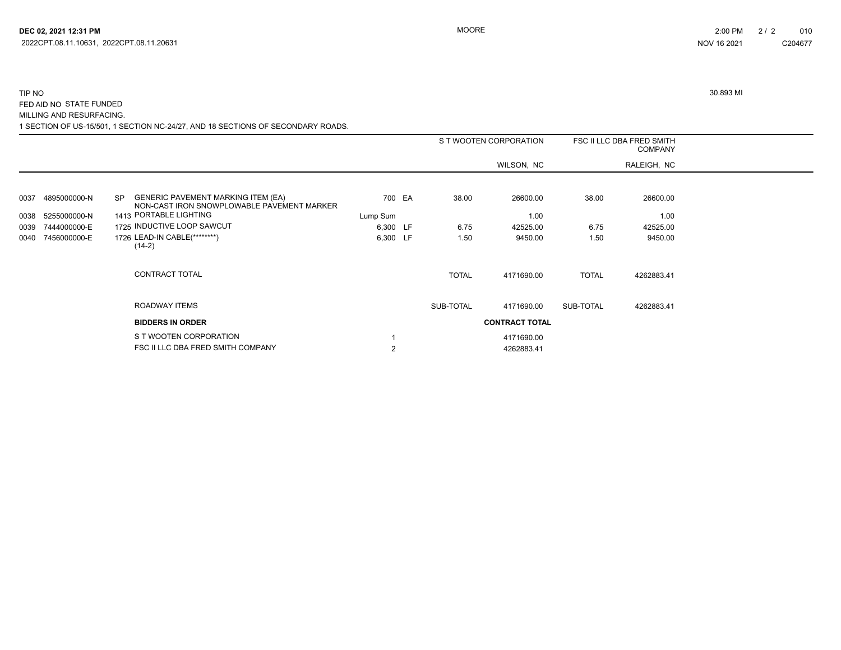# 1 SECTION OF US-15/501, 1 SECTION NC-24/27, AND 18 SECTIONS OF SECONDARY ROADS. TIP NO 30.893 MI FED AID NO STATE FUNDED MILLING AND RESURFACING.

|      |              |                                                                                                      | S T WOOTEN CORPORATION |  |              | FSC II LLC DBA FRED SMITH<br><b>COMPANY</b> |              |             |  |
|------|--------------|------------------------------------------------------------------------------------------------------|------------------------|--|--------------|---------------------------------------------|--------------|-------------|--|
|      |              |                                                                                                      |                        |  |              | WILSON, NC                                  |              | RALEIGH, NC |  |
|      |              |                                                                                                      |                        |  |              |                                             |              |             |  |
| 0037 | 4895000000-N | <b>GENERIC PAVEMENT MARKING ITEM (EA)</b><br><b>SP</b><br>NON-CAST IRON SNOWPLOWABLE PAVEMENT MARKER | 700 EA                 |  | 38.00        | 26600.00                                    | 38.00        | 26600.00    |  |
| 0038 | 5255000000-N | 1413 PORTABLE LIGHTING                                                                               | Lump Sum               |  |              | 1.00                                        |              | 1.00        |  |
| 0039 | 7444000000-E | 1725 INDUCTIVE LOOP SAWCUT                                                                           | 6,300 LF               |  | 6.75         | 42525.00                                    | 6.75         | 42525.00    |  |
| 0040 | 7456000000-E | 1726 LEAD-IN CABLE(********)<br>$(14-2)$                                                             | 6,300 LF               |  | 1.50         | 9450.00                                     | 1.50         | 9450.00     |  |
|      |              | <b>CONTRACT TOTAL</b>                                                                                |                        |  | <b>TOTAL</b> | 4171690.00                                  | <b>TOTAL</b> | 4262883.41  |  |
|      |              | ROADWAY ITEMS                                                                                        |                        |  | SUB-TOTAL    | 4171690.00                                  | SUB-TOTAL    | 4262883.41  |  |
|      |              | <b>BIDDERS IN ORDER</b>                                                                              |                        |  |              | <b>CONTRACT TOTAL</b>                       |              |             |  |
|      |              | S T WOOTEN CORPORATION                                                                               |                        |  |              | 4171690.00                                  |              |             |  |
|      |              | FSC II LLC DBA FRED SMITH COMPANY                                                                    | $\overline{2}$         |  |              | 4262883.41                                  |              |             |  |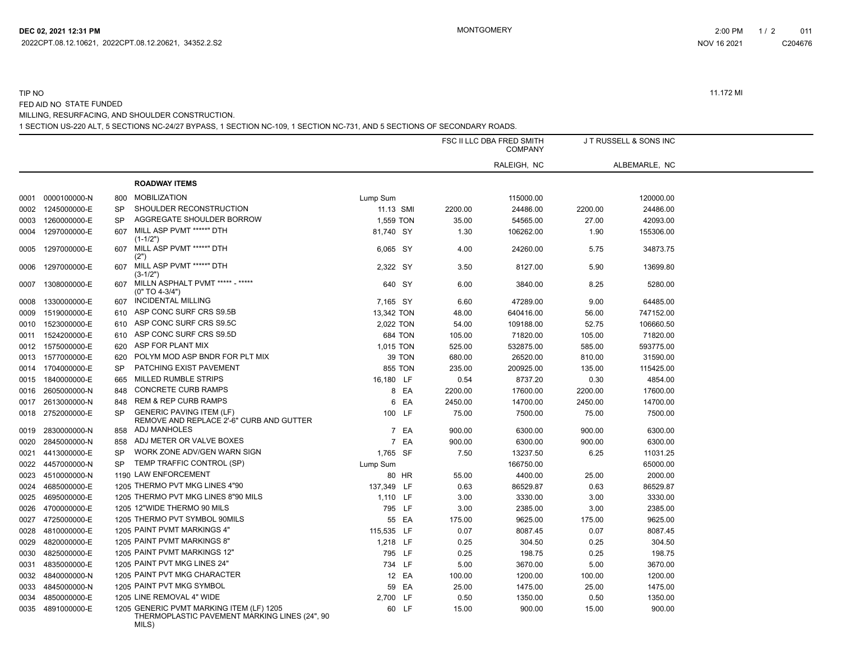1 SECTION US-220 ALT, 5 SECTIONS NC-24/27 BYPASS, 1 SECTION NC-109, 1 SECTION NC-731, AND 5 SECTIONS OF SECONDARY ROADS. MILLING, RESURFACING, AND SHOULDER CONSTRUCTION.

|      |                   |           |                                                                                           |                |        |         | FSC II LLC DBA FRED SMITH<br><b>COMPANY</b> |         | J T RUSSELL & SONS INC |
|------|-------------------|-----------|-------------------------------------------------------------------------------------------|----------------|--------|---------|---------------------------------------------|---------|------------------------|
|      |                   |           |                                                                                           |                |        |         | RALEIGH, NC                                 |         | ALBEMARLE, NC          |
|      |                   |           | <b>ROADWAY ITEMS</b>                                                                      |                |        |         |                                             |         |                        |
| 0001 | 0000100000-N      | 800       | <b>MOBILIZATION</b>                                                                       | Lump Sum       |        |         | 115000.00                                   |         | 120000.00              |
| 0002 | 1245000000-E      | <b>SP</b> | SHOULDER RECONSTRUCTION                                                                   | 11.13 SMI      |        | 2200.00 | 24486.00                                    | 2200.00 | 24486.00               |
| 0003 | 1260000000-E      | <b>SP</b> | AGGREGATE SHOULDER BORROW                                                                 | 1,559 TON      |        | 35.00   | 54565.00                                    | 27.00   | 42093.00               |
| 0004 | 1297000000-E      | 607       | MILL ASP PVMT *****" DTH<br>$(1-1/2")$                                                    | 81,740 SY      |        | 1.30    | 106262.00                                   | 1.90    | 155306.00              |
| 0005 | 1297000000-E      | 607       | MILL ASP PVMT *****" DTH<br>(2")                                                          | 6,065 SY       |        | 4.00    | 24260.00                                    | 5.75    | 34873.75               |
| 0006 | 1297000000-E      | 607       | MILL ASP PVMT *****" DTH<br>$(3-1/2")$                                                    | 2,322 SY       |        | 3.50    | 8127.00                                     | 5.90    | 13699.80               |
| 0007 | 1308000000-E      | 607       | MILLN ASPHALT PVMT ***** - *****<br>$(0" TO 4-3/4")$                                      | 640 SY         |        | 6.00    | 3840.00                                     | 8.25    | 5280.00                |
| 0008 | 1330000000-E      | 607       | <b>INCIDENTAL MILLING</b>                                                                 | 7,165 SY       |        | 6.60    | 47289.00                                    | 9.00    | 64485.00               |
| 0009 | 1519000000-E      | 610       | ASP CONC SURF CRS S9.5B                                                                   | 13,342 TON     |        | 48.00   | 640416.00                                   | 56.00   | 747152.00              |
| 0010 | 1523000000-E      | 610       | ASP CONC SURF CRS S9.5C                                                                   | 2,022 TON      |        | 54.00   | 109188.00                                   | 52.75   | 106660.50              |
| 0011 | 1524200000-E      | 610       | ASP CONC SURF CRS S9.5D                                                                   | <b>684 TON</b> |        | 105.00  | 71820.00                                    | 105.00  | 71820.00               |
| 0012 | 1575000000-E      | 620       | ASP FOR PLANT MIX                                                                         | 1,015 TON      |        | 525.00  | 532875.00                                   | 585.00  | 593775.00              |
| 0013 | 1577000000-E      | 620       | POLYM MOD ASP BNDR FOR PLT MIX                                                            |                | 39 TON | 680.00  | 26520.00                                    | 810.00  | 31590.00               |
| 0014 | 1704000000-E      | SP        | PATCHING EXIST PAVEMENT                                                                   | <b>855 TON</b> |        | 235.00  | 200925.00                                   | 135.00  | 115425.00              |
| 0015 | 1840000000-E      | 665       | <b>MILLED RUMBLE STRIPS</b>                                                               | 16,180 LF      |        | 0.54    | 8737.20                                     | 0.30    | 4854.00                |
| 0016 | 2605000000-N      | 848       | <b>CONCRETE CURB RAMPS</b>                                                                |                | 8 EA   | 2200.00 | 17600.00                                    | 2200.00 | 17600.00               |
| 0017 | 2613000000-N      | 848       | <b>REM &amp; REP CURB RAMPS</b>                                                           | 6              | EA     | 2450.00 | 14700.00                                    | 2450.00 | 14700.00               |
| 0018 | 2752000000-E      | <b>SP</b> | <b>GENERIC PAVING ITEM (LF)</b><br>REMOVE AND REPLACE 2'-6" CURB AND GUTTER               | 100 LF         |        | 75.00   | 7500.00                                     | 75.00   | 7500.00                |
| 0019 | 2830000000-N      | 858       | ADJ MANHOLES                                                                              |                | 7 EA   | 900.00  | 6300.00                                     | 900.00  | 6300.00                |
| 0020 | 2845000000-N      | 858       | ADJ METER OR VALVE BOXES                                                                  |                | 7 EA   | 900.00  | 6300.00                                     | 900.00  | 6300.00                |
| 0021 | 4413000000-E      | <b>SP</b> | WORK ZONE ADV/GEN WARN SIGN                                                               | 1,765 SF       |        | 7.50    | 13237.50                                    | 6.25    | 11031.25               |
| 0022 | 4457000000-N      | <b>SP</b> | TEMP TRAFFIC CONTROL (SP)                                                                 | Lump Sum       |        |         | 166750.00                                   |         | 65000.00               |
| 0023 | 4510000000-N      |           | 1190 LAW ENFORCEMENT                                                                      |                | 80 HR  | 55.00   | 4400.00                                     | 25.00   | 2000.00                |
| 0024 | 4685000000-E      |           | 1205 THERMO PVT MKG LINES 4"90                                                            | 137,349 LF     |        | 0.63    | 86529.87                                    | 0.63    | 86529.87               |
| 0025 | 4695000000-E      |           | 1205 THERMO PVT MKG LINES 8"90 MILS                                                       | 1,110 LF       |        | 3.00    | 3330.00                                     | 3.00    | 3330.00                |
| 0026 | 4700000000-E      |           | 1205 12"WIDE THERMO 90 MILS                                                               | 795 LF         |        | 3.00    | 2385.00                                     | 3.00    | 2385.00                |
| 0027 | 4725000000-E      |           | 1205 THERMO PVT SYMBOL 90MILS                                                             |                | 55 EA  | 175.00  | 9625.00                                     | 175.00  | 9625.00                |
| 0028 | 4810000000-E      |           | 1205 PAINT PVMT MARKINGS 4"                                                               | 115,535 LF     |        | 0.07    | 8087.45                                     | 0.07    | 8087.45                |
| 0029 | 4820000000-E      |           | 1205 PAINT PVMT MARKINGS 8"                                                               | 1,218 LF       |        | 0.25    | 304.50                                      | 0.25    | 304.50                 |
| 0030 | 4825000000-E      |           | 1205 PAINT PVMT MARKINGS 12"                                                              | 795 LF         |        | 0.25    | 198.75                                      | 0.25    | 198.75                 |
| 0031 | 4835000000-E      |           | 1205 PAINT PVT MKG LINES 24"                                                              | 734 LF         |        | 5.00    | 3670.00                                     | 5.00    | 3670.00                |
| 0032 | 4840000000-N      |           | 1205 PAINT PVT MKG CHARACTER                                                              |                | 12 EA  | 100.00  | 1200.00                                     | 100.00  | 1200.00                |
| 0033 | 4845000000-N      |           | 1205 PAINT PVT MKG SYMBOL                                                                 | 59             | EA     | 25.00   | 1475.00                                     | 25.00   | 1475.00                |
| 0034 | 4850000000-E      |           | 1205 LINE REMOVAL 4" WIDE                                                                 | 2,700 LF       |        | 0.50    | 1350.00                                     | 0.50    | 1350.00                |
|      | 0035 4891000000-E |           | 1205 GENERIC PVMT MARKING ITEM (LF) 1205<br>THERMOPLASTIC PAVEMENT MARKING LINES (24", 90 |                | 60 LF  | 15.00   | 900.00                                      | 15.00   | 900.00                 |

C204676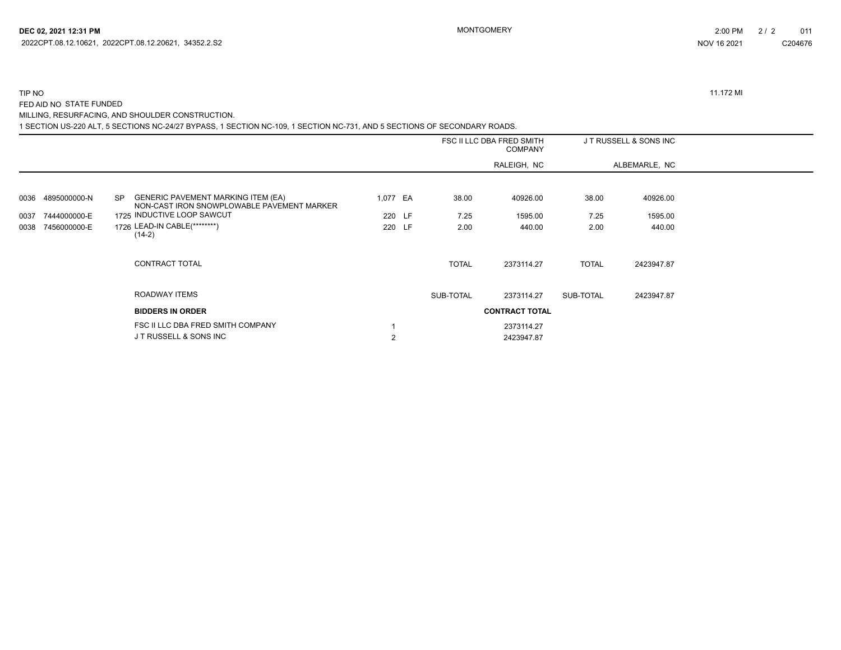#### TIP NO 11.172 MI FED AID NO STATE FUNDED MILLING, RESURFACING, AND SHOULDER CONSTRUCTION.

1 SECTION US-220 ALT, 5 SECTIONS NC-24/27 BYPASS, 1 SECTION NC-109, 1 SECTION NC-731, AND 5 SECTIONS OF SECONDARY ROADS.

|      |              |                                                                                                      |                |  | FSC II LLC DBA FRED SMITH<br><b>COMPANY</b> |                       | JT RUSSELL & SONS INC |               |  |
|------|--------------|------------------------------------------------------------------------------------------------------|----------------|--|---------------------------------------------|-----------------------|-----------------------|---------------|--|
|      |              |                                                                                                      |                |  |                                             | RALEIGH, NC           |                       | ALBEMARLE, NC |  |
|      |              |                                                                                                      |                |  |                                             |                       |                       |               |  |
| 0036 | 4895000000-N | <b>GENERIC PAVEMENT MARKING ITEM (EA)</b><br><b>SP</b><br>NON-CAST IRON SNOWPLOWABLE PAVEMENT MARKER | 1,077 EA       |  | 38.00                                       | 40926.00              | 38.00                 | 40926.00      |  |
| 0037 | 7444000000-E | 1725 INDUCTIVE LOOP SAWCUT                                                                           | 220 LF         |  | 7.25                                        | 1595.00               | 7.25                  | 1595.00       |  |
| 0038 | 7456000000-E | 1726 LEAD-IN CABLE(********)<br>$(14-2)$                                                             | 220 LF         |  | 2.00                                        | 440.00                | 2.00                  | 440.00        |  |
|      |              | CONTRACT TOTAL                                                                                       |                |  | <b>TOTAL</b>                                | 2373114.27            | <b>TOTAL</b>          | 2423947.87    |  |
|      |              | ROADWAY ITEMS                                                                                        |                |  | SUB-TOTAL                                   | 2373114.27            | SUB-TOTAL             | 2423947.87    |  |
|      |              | <b>BIDDERS IN ORDER</b>                                                                              |                |  |                                             | <b>CONTRACT TOTAL</b> |                       |               |  |
|      |              | FSC II LLC DBA FRED SMITH COMPANY                                                                    |                |  |                                             | 2373114.27            |                       |               |  |
|      |              | J T RUSSELL & SONS INC                                                                               | $\overline{2}$ |  |                                             | 2423947.87            |                       |               |  |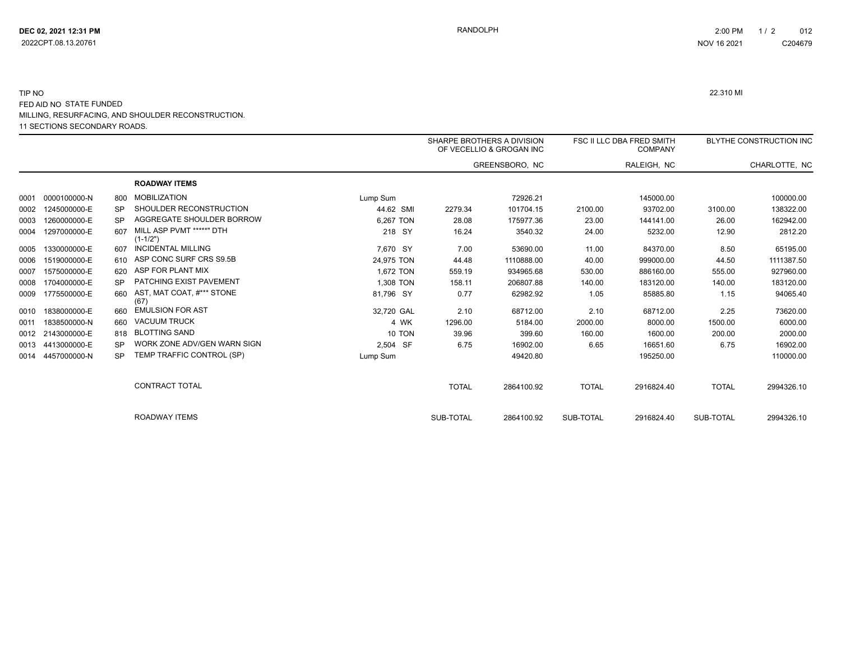#### 11 SECTIONS SECONDARY ROADS. TIP NO 22.310 MI FED AID NO STATE FUNDED MILLING, RESURFACING, AND SHOULDER RECONSTRUCTION.

|      |              |           |                                          |            | SHARPE BROTHERS A DIVISION | OF VECELLIO & GROGAN INC |              | <b>FSC II LLC DBA FRED SMITH</b><br><b>COMPANY</b> |              | BLYTHE CONSTRUCTION INC |
|------|--------------|-----------|------------------------------------------|------------|----------------------------|--------------------------|--------------|----------------------------------------------------|--------------|-------------------------|
|      |              |           |                                          |            |                            | GREENSBORO, NC           |              | RALEIGH, NC                                        |              | CHARLOTTE, NC           |
|      |              |           | <b>ROADWAY ITEMS</b>                     |            |                            |                          |              |                                                    |              |                         |
| 0001 | 0000100000-N | 800       | <b>MOBILIZATION</b>                      | Lump Sum   |                            | 72926.21                 |              | 145000.00                                          |              | 100000.00               |
| 0002 | 1245000000-E | <b>SP</b> | SHOULDER RECONSTRUCTION                  | 44.62 SMI  | 2279.34                    | 101704.15                | 2100.00      | 93702.00                                           | 3100.00      | 138322.00               |
| 0003 | 1260000000-E | SP        | AGGREGATE SHOULDER BORROW                | 6,267 TON  | 28.08                      | 175977.36                | 23.00        | 144141.00                                          | 26.00        | 162942.00               |
| 0004 | 1297000000-E | 607       | MILL ASP PVMT *****" DTH<br>$(1 - 1/2")$ | 218 SY     | 16.24                      | 3540.32                  | 24.00        | 5232.00                                            | 12.90        | 2812.20                 |
| 0005 | 1330000000-E | 607       | <b>INCIDENTAL MILLING</b>                | 7,670 SY   | 7.00                       | 53690.00                 | 11.00        | 84370.00                                           | 8.50         | 65195.00                |
| 0006 | 1519000000-E | 610       | ASP CONC SURF CRS S9.5B                  | 24,975 TON | 44.48                      | 1110888.00               | 40.00        | 999000.00                                          | 44.50        | 1111387.50              |
| 0007 | 1575000000-E | 620       | ASP FOR PLANT MIX                        | 1.672 TON  | 559.19                     | 934965.68                | 530.00       | 886160.00                                          | 555.00       | 927960.00               |
| 0008 | 1704000000-E | SP        | PATCHING EXIST PAVEMENT                  | 1.308 TON  | 158.11                     | 206807.88                | 140.00       | 183120.00                                          | 140.00       | 183120.00               |
| 0009 | 1775500000-E | 660       | AST, MAT COAT, #*** STONE<br>(67)        | 81,796 SY  | 0.77                       | 62982.92                 | 1.05         | 85885.80                                           | 1.15         | 94065.40                |
| 0010 | 1838000000-E | 660       | <b>EMULSION FOR AST</b>                  | 32,720 GAL | 2.10                       | 68712.00                 | 2.10         | 68712.00                                           | 2.25         | 73620.00                |
| 0011 | 1838500000-N | 660       | <b>VACUUM TRUCK</b>                      | 4 WK       | 1296.00                    | 5184.00                  | 2000.00      | 8000.00                                            | 1500.00      | 6000.00                 |
| 0012 | 2143000000-E | 818       | <b>BLOTTING SAND</b>                     | 10 TON     | 39.96                      | 399.60                   | 160.00       | 1600.00                                            | 200.00       | 2000.00                 |
| 0013 | 4413000000-E | SP        | WORK ZONE ADV/GEN WARN SIGN              | 2,504 SF   | 6.75                       | 16902.00                 | 6.65         | 16651.60                                           | 6.75         | 16902.00                |
| 0014 | 4457000000-N | SP        | TEMP TRAFFIC CONTROL (SP)                | Lump Sum   |                            | 49420.80                 |              | 195250.00                                          |              | 110000.00               |
|      |              |           | <b>CONTRACT TOTAL</b>                    |            | <b>TOTAL</b>               | 2864100.92               | <b>TOTAL</b> | 2916824.40                                         | <b>TOTAL</b> | 2994326.10              |
|      |              |           | <b>ROADWAY ITEMS</b>                     |            | SUB-TOTAL                  | 2864100.92               | SUB-TOTAL    | 2916824.40                                         | SUB-TOTAL    | 2994326.10              |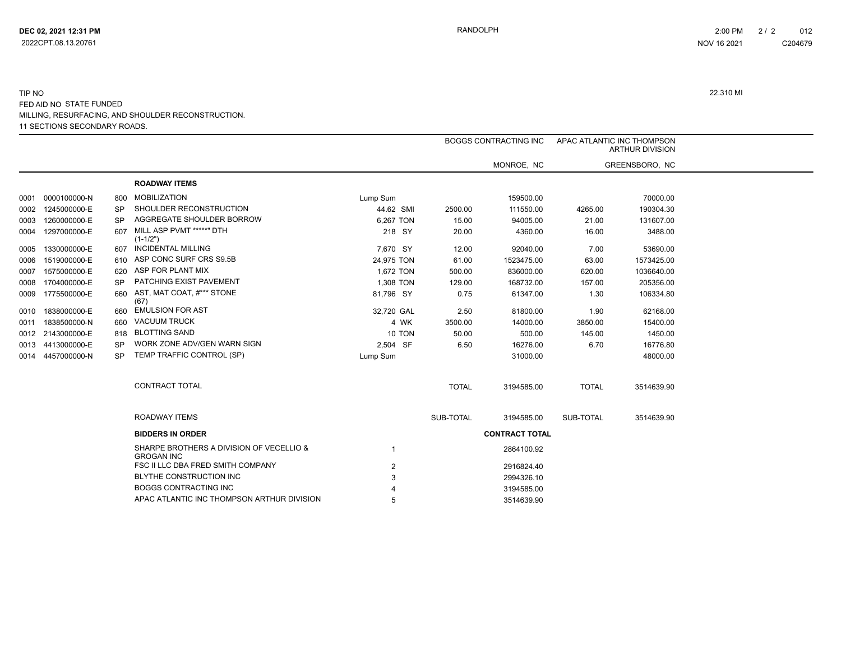#### 11 SECTIONS SECONDARY ROADS. TIP NO 22.310 MI FED AID NO STATE FUNDED MILLING, RESURFACING, AND SHOULDER RECONSTRUCTION.

|      |                   |     |                                                               |            |              | <b>BOGGS CONTRACTING INC</b> | APAC ATLANTIC INC THOMPSON<br><b>ARTHUR DIVISION</b> |                |  |
|------|-------------------|-----|---------------------------------------------------------------|------------|--------------|------------------------------|------------------------------------------------------|----------------|--|
|      |                   |     |                                                               |            |              | MONROE, NC                   |                                                      | GREENSBORO, NC |  |
|      |                   |     | <b>ROADWAY ITEMS</b>                                          |            |              |                              |                                                      |                |  |
| 0001 | 0000100000-N      | 800 | <b>MOBILIZATION</b>                                           | Lump Sum   |              | 159500.00                    |                                                      | 70000.00       |  |
|      | 0002 1245000000-E | SP  | SHOULDER RECONSTRUCTION                                       | 44.62 SMI  | 2500.00      | 111550.00                    | 4265.00                                              | 190304.30      |  |
| 0003 | 1260000000-E      | SP  | AGGREGATE SHOULDER BORROW                                     | 6,267 TON  | 15.00        | 94005.00                     | 21.00                                                | 131607.00      |  |
| 0004 | 1297000000-E      | 607 | MILL ASP PVMT *****" DTH<br>$(1-1/2")$                        | 218 SY     | 20.00        | 4360.00                      | 16.00                                                | 3488.00        |  |
| 0005 | 1330000000-E      |     | 607 INCIDENTAL MILLING                                        | 7,670 SY   | 12.00        | 92040.00                     | 7.00                                                 | 53690.00       |  |
| 0006 | 1519000000-E      |     | ASP CONC SURF CRS S9.5B                                       | 24.975 TON | 61.00        | 1523475.00                   | 63.00                                                | 1573425.00     |  |
| 0007 | 1575000000-E      | 620 | ASP FOR PLANT MIX                                             | 1,672 TON  | 500.00       | 836000.00                    | 620.00                                               | 1036640.00     |  |
|      | 0008 1704000000-E | SP  | PATCHING EXIST PAVEMENT                                       | 1,308 TON  | 129.00       | 168732.00                    | 157.00                                               | 205356.00      |  |
|      | 0009 1775500000-E | 660 | AST, MAT COAT, #*** STONE<br>(67)                             | 81,796 SY  | 0.75         | 61347.00                     | 1.30                                                 | 106334.80      |  |
| 0010 | 1838000000-E      | 660 | <b>EMULSION FOR AST</b>                                       | 32,720 GAL | 2.50         | 81800.00                     | 1.90                                                 | 62168.00       |  |
| 0011 | 1838500000-N      | 660 | <b>VACUUM TRUCK</b>                                           | 4 WK       | 3500.00      | 14000.00                     | 3850.00                                              | 15400.00       |  |
|      | 0012 2143000000-E | 818 | <b>BLOTTING SAND</b>                                          | 10 TON     | 50.00        | 500.00                       | 145.00                                               | 1450.00        |  |
|      | 0013 4413000000-E | SP  | WORK ZONE ADV/GEN WARN SIGN                                   | 2,504 SF   | 6.50         | 16276.00                     | 6.70                                                 | 16776.80       |  |
|      | 0014 4457000000-N | SP. | TEMP TRAFFIC CONTROL (SP)                                     | Lump Sum   |              | 31000.00                     |                                                      | 48000.00       |  |
|      |                   |     | <b>CONTRACT TOTAL</b>                                         |            | <b>TOTAL</b> | 3194585.00                   | <b>TOTAL</b>                                         | 3514639.90     |  |
|      |                   |     | ROADWAY ITEMS                                                 |            | SUB-TOTAL    | 3194585.00                   | SUB-TOTAL                                            | 3514639.90     |  |
|      |                   |     | <b>BIDDERS IN ORDER</b>                                       |            |              | <b>CONTRACT TOTAL</b>        |                                                      |                |  |
|      |                   |     | SHARPE BROTHERS A DIVISION OF VECELLIO &<br><b>GROGAN INC</b> |            |              | 2864100.92                   |                                                      |                |  |
|      |                   |     | FSC II LLC DBA FRED SMITH COMPANY                             | 2          |              | 2916824.40                   |                                                      |                |  |
|      |                   |     | BLYTHE CONSTRUCTION INC                                       |            |              | 2994326.10                   |                                                      |                |  |
|      |                   |     | <b>BOGGS CONTRACTING INC</b>                                  |            |              | 3194585.00                   |                                                      |                |  |
|      |                   |     | APAC ATLANTIC INC THOMPSON ARTHUR DIVISION                    |            |              | 3514639.90                   |                                                      |                |  |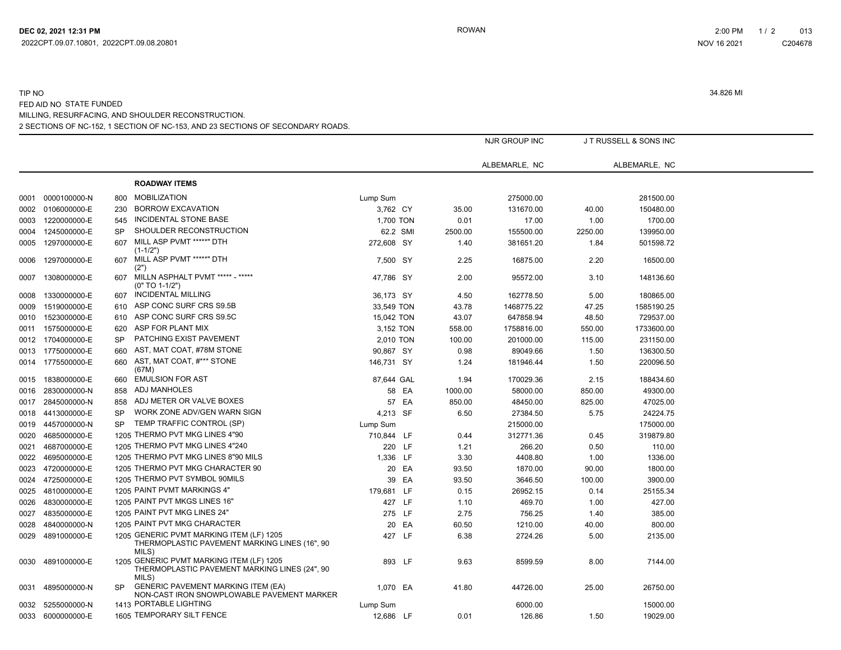## 2 SECTIONS OF NC-152, 1 SECTION OF NC-153, AND 23 SECTIONS OF SECONDARY ROADS. TIP NO 34.826 MI FED AID NO STATE FUNDED MILLING, RESURFACING, AND SHOULDER RECONSTRUCTION.

|      |                   |           |                                                                                                    |            |       |         | NJR GROUP INC |         | JT RUSSELL & SONS INC |
|------|-------------------|-----------|----------------------------------------------------------------------------------------------------|------------|-------|---------|---------------|---------|-----------------------|
|      |                   |           |                                                                                                    |            |       |         | ALBEMARLE, NC |         | ALBEMARLE, NC         |
|      |                   |           | <b>ROADWAY ITEMS</b>                                                                               |            |       |         |               |         |                       |
| 0001 | 0000100000-N      | 800       | <b>MOBILIZATION</b>                                                                                | Lump Sum   |       |         | 275000.00     |         | 281500.00             |
| 0002 | 0106000000-E      | 230       | <b>BORROW EXCAVATION</b>                                                                           | 3,762 CY   |       | 35.00   | 131670.00     | 40.00   | 150480.00             |
| 0003 | 1220000000-E      | 545       | INCIDENTAL STONE BASE                                                                              | 1,700 TON  |       | 0.01    | 17.00         | 1.00    | 1700.00               |
| 0004 | 1245000000-E      | SP        | SHOULDER RECONSTRUCTION                                                                            | 62.2 SMI   |       | 2500.00 | 155500.00     | 2250.00 | 139950.00             |
| 0005 | 1297000000-E      | 607       | MILL ASP PVMT *****" DTH<br>$(1-1/2")$                                                             | 272,608 SY |       | 1.40    | 381651.20     | 1.84    | 501598.72             |
| 0006 | 1297000000-E      | 607       | MILL ASP PVMT *****" DTH<br>(2")                                                                   | 7,500 SY   |       | 2.25    | 16875.00      | 2.20    | 16500.00              |
| 0007 | 1308000000-E      | 607       | MILLN ASPHALT PVMT ***** - *****<br>$(0" TO 1-1/2")$                                               | 47,786 SY  |       | 2.00    | 95572.00      | 3.10    | 148136.60             |
| 0008 | 1330000000-E      | 607       | <b>INCIDENTAL MILLING</b>                                                                          | 36,173 SY  |       | 4.50    | 162778.50     | 5.00    | 180865.00             |
| 0009 | 1519000000-E      | 610       | ASP CONC SURF CRS S9.5B                                                                            | 33,549 TON |       | 43.78   | 1468775.22    | 47.25   | 1585190.25            |
| 0010 | 1523000000-E      | 610       | ASP CONC SURF CRS S9.5C                                                                            | 15,042 TON |       | 43.07   | 647858.94     | 48.50   | 729537.00             |
| 0011 | 1575000000-E      | 620       | ASP FOR PLANT MIX                                                                                  | 3,152 TON  |       | 558.00  | 1758816.00    | 550.00  | 1733600.00            |
|      | 0012 1704000000-E | SP        | PATCHING EXIST PAVEMENT                                                                            | 2,010 TON  |       | 100.00  | 201000.00     | 115.00  | 231150.00             |
|      | 0013 1775000000-E | 660       | AST, MAT COAT, #78M STONE                                                                          | 90,867 SY  |       | 0.98    | 89049.66      | 1.50    | 136300.50             |
|      | 0014 1775500000-E | 660       | AST, MAT COAT, #*** STONE<br>(67M)                                                                 | 146,731 SY |       | 1.24    | 181946.44     | 1.50    | 220096.50             |
| 0015 | 1838000000-E      | 660       | <b>EMULSION FOR AST</b>                                                                            | 87,644 GAL |       | 1.94    | 170029.36     | 2.15    | 188434.60             |
| 0016 | 2830000000-N      | 858       | ADJ MANHOLES                                                                                       |            | 58 EA | 1000.00 | 58000.00      | 850.00  | 49300.00              |
| 0017 | 2845000000-N      | 858       | ADJ METER OR VALVE BOXES                                                                           |            | 57 EA | 850.00  | 48450.00      | 825.00  | 47025.00              |
| 0018 | 4413000000-E      | <b>SP</b> | WORK ZONE ADV/GEN WARN SIGN                                                                        | 4,213 SF   |       | 6.50    | 27384.50      | 5.75    | 24224.75              |
| 0019 | 4457000000-N      | <b>SP</b> | TEMP TRAFFIC CONTROL (SP)                                                                          | Lump Sum   |       |         | 215000.00     |         | 175000.00             |
| 0020 | 4685000000-E      |           | 1205 THERMO PVT MKG LINES 4"90                                                                     | 710,844 LF |       | 0.44    | 312771.36     | 0.45    | 319879.80             |
| 0021 | 4687000000-E      |           | 1205 THERMO PVT MKG LINES 4"240                                                                    | 220 LF     |       | 1.21    | 266.20        | 0.50    | 110.00                |
| 0022 | 4695000000-E      |           | 1205 THERMO PVT MKG LINES 8"90 MILS                                                                | 1,336 LF   |       | 3.30    | 4408.80       | 1.00    | 1336.00               |
| 0023 | 4720000000-E      |           | 1205 THERMO PVT MKG CHARACTER 90                                                                   |            | 20 EA | 93.50   | 1870.00       | 90.00   | 1800.00               |
| 0024 | 4725000000-E      |           | 1205 THERMO PVT SYMBOL 90MILS                                                                      |            | 39 EA | 93.50   | 3646.50       | 100.00  | 3900.00               |
| 0025 | 4810000000-E      |           | 1205 PAINT PVMT MARKINGS 4"                                                                        | 179,681    | LF    | 0.15    | 26952.15      | 0.14    | 25155.34              |
| 0026 | 4830000000-E      |           | 1205 PAINT PVT MKGS LINES 16"                                                                      | 427 LF     |       | 1.10    | 469.70        | 1.00    | 427.00                |
| 0027 | 4835000000-E      |           | 1205 PAINT PVT MKG LINES 24"                                                                       | 275 LF     |       | 2.75    | 756.25        | 1.40    | 385.00                |
| 0028 | 4840000000-N      |           | 1205 PAINT PVT MKG CHARACTER                                                                       |            | 20 EA | 60.50   | 1210.00       | 40.00   | 800.00                |
| 0029 | 4891000000-E      |           | 1205 GENERIC PVMT MARKING ITEM (LF) 1205<br>THERMOPLASTIC PAVEMENT MARKING LINES (16", 90<br>MILS) | 427 LF     |       | 6.38    | 2724.26       | 5.00    | 2135.00               |
| 0030 | 4891000000-E      |           | 1205 GENERIC PVMT MARKING ITEM (LF) 1205<br>THERMOPLASTIC PAVEMENT MARKING LINES (24", 90<br>MILS) | 893 LF     |       | 9.63    | 8599.59       | 8.00    | 7144.00               |
| 0031 | 4895000000-N      | <b>SP</b> | <b>GENERIC PAVEMENT MARKING ITEM (EA)</b><br>NON-CAST IRON SNOWPLOWABLE PAVEMENT MARKER            | 1,070 EA   |       | 41.80   | 44726.00      | 25.00   | 26750.00              |
| 0032 | 5255000000-N      |           | 1413 PORTABLE LIGHTING                                                                             | Lump Sum   |       |         | 6000.00       |         | 15000.00              |
|      | 0033 6000000000-E |           | 1605 TEMPORARY SILT FENCE                                                                          | 12,686 LF  |       | 0.01    | 126.86        | 1.50    | 19029.00              |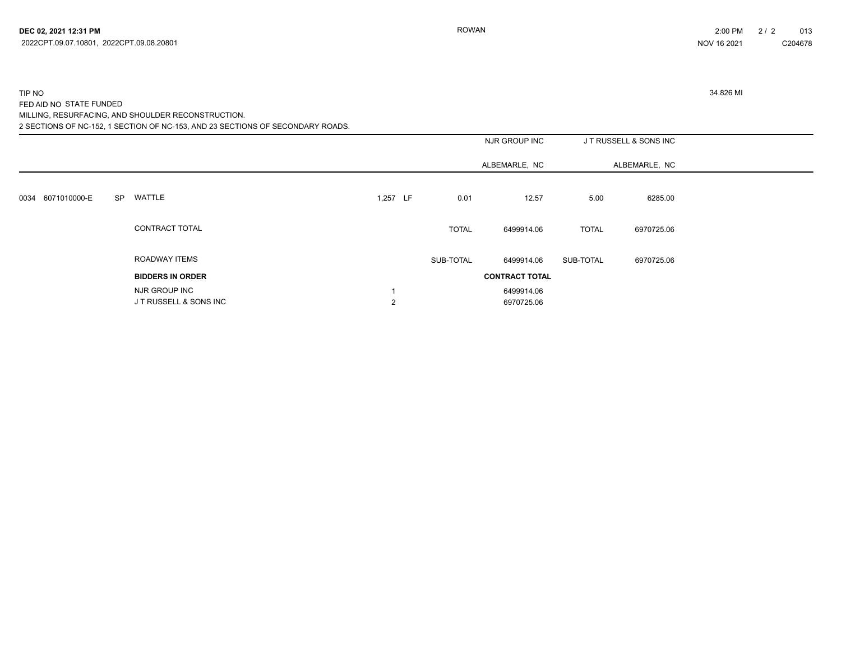#### 2 SECTIONS OF NC-152, 1 SECTION OF NC-153, AND 23 SECTIONS OF SECONDARY ROADS. TIP NO 34.826 MI FED AID NO STATE FUNDED MILLING, RESURFACING, AND SHOULDER RECONSTRUCTION.

|                      |           |                                         |                | NJR GROUP INC |              | JT RUSSELL & SONS INC    |              |               |  |
|----------------------|-----------|-----------------------------------------|----------------|---------------|--------------|--------------------------|--------------|---------------|--|
|                      |           |                                         |                |               |              | ALBEMARLE, NC            |              | ALBEMARLE, NC |  |
| 6071010000-E<br>0034 | <b>SP</b> | WATTLE                                  | 1,257 LF       |               | 0.01         | 12.57                    | 5.00         | 6285.00       |  |
|                      |           | CONTRACT TOTAL                          |                |               | <b>TOTAL</b> | 6499914.06               | <b>TOTAL</b> | 6970725.06    |  |
|                      |           | ROADWAY ITEMS                           |                |               | SUB-TOTAL    | 6499914.06               | SUB-TOTAL    | 6970725.06    |  |
|                      |           | <b>BIDDERS IN ORDER</b>                 |                |               |              | <b>CONTRACT TOTAL</b>    |              |               |  |
|                      |           | NJR GROUP INC<br>J T RUSSELL & SONS INC | $\overline{2}$ |               |              | 6499914.06<br>6970725.06 |              |               |  |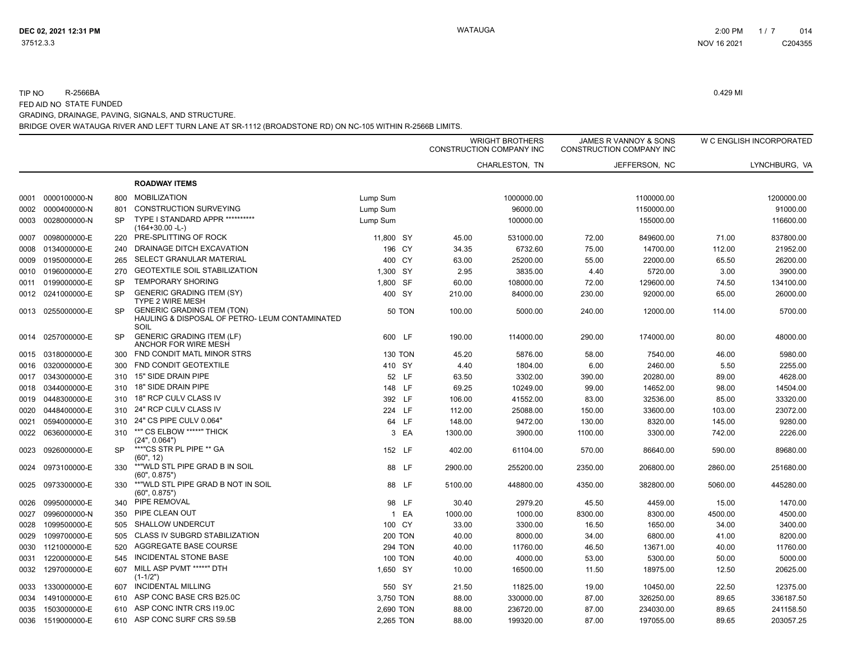#### TIP NO R-2566BA 0.429 MI FED AID NO STATE FUNDED GRADING, DRAINAGE, PAVING, SIGNALS, AND STRUCTURE.

|      |                   |           |                                                                                             |                |         | <b>WRIGHT BROTHERS</b><br>CONSTRUCTION COMPANY INC | JAMES R VANNOY & SONS<br><b>CONSTRUCTION COMPANY INC</b> |               |         | W C ENGLISH INCORPORATED |  |
|------|-------------------|-----------|---------------------------------------------------------------------------------------------|----------------|---------|----------------------------------------------------|----------------------------------------------------------|---------------|---------|--------------------------|--|
|      |                   |           |                                                                                             |                |         | CHARLESTON, TN                                     |                                                          | JEFFERSON, NC |         | LYNCHBURG, VA            |  |
|      |                   |           | <b>ROADWAY ITEMS</b>                                                                        |                |         |                                                    |                                                          |               |         |                          |  |
| 0001 | 0000100000-N      | 800       | <b>MOBILIZATION</b>                                                                         | Lump Sum       |         | 1000000.00                                         |                                                          | 1100000.00    |         | 1200000.00               |  |
| 0002 | 0000400000-N      | 801       | <b>CONSTRUCTION SURVEYING</b>                                                               | Lump Sum       |         | 96000.00                                           |                                                          | 1150000.00    |         | 91000.00                 |  |
| 0003 | 0028000000-N      | <b>SP</b> | TYPE I STANDARD APPR **********<br>$(164+30.00 - L)$                                        | Lump Sum       |         | 100000.00                                          |                                                          | 155000.00     |         | 116600.00                |  |
| 0007 | 0098000000-E      | 220       | PRE-SPLITTING OF ROCK                                                                       | 11,800 SY      | 45.00   | 531000.00                                          | 72.00                                                    | 849600.00     | 71.00   | 837800.00                |  |
| 0008 | 0134000000-E      | 240       | DRAINAGE DITCH EXCAVATION                                                                   | 196 CY         | 34.35   | 6732.60                                            | 75.00                                                    | 14700.00      | 112.00  | 21952.00                 |  |
| 0009 | 0195000000-E      | 265       | SELECT GRANULAR MATERIAL                                                                    | 400 CY         | 63.00   | 25200.00                                           | 55.00                                                    | 22000.00      | 65.50   | 26200.00                 |  |
| 0010 | 0196000000-E      | 270       | <b>GEOTEXTILE SOIL STABILIZATION</b>                                                        | 1,300 SY       | 2.95    | 3835.00                                            | 4.40                                                     | 5720.00       | 3.00    | 3900.00                  |  |
| 0011 | 0199000000-E      | <b>SP</b> | <b>TEMPORARY SHORING</b>                                                                    | 1,800 SF       | 60.00   | 108000.00                                          | 72.00                                                    | 129600.00     | 74.50   | 134100.00                |  |
| 0012 | 0241000000-E      | <b>SP</b> | <b>GENERIC GRADING ITEM (SY)</b><br><b>TYPE 2 WIRE MESH</b>                                 | 400 SY         | 210.00  | 84000.00                                           | 230.00                                                   | 92000.00      | 65.00   | 26000.00                 |  |
|      | 0013 0255000000-E | <b>SP</b> | <b>GENERIC GRADING ITEM (TON)</b><br>HAULING & DISPOSAL OF PETRO- LEUM CONTAMINATED<br>SOIL | <b>50 TON</b>  | 100.00  | 5000.00                                            | 240.00                                                   | 12000.00      | 114.00  | 5700.00                  |  |
| 0014 | 0257000000-E      | <b>SP</b> | <b>GENERIC GRADING ITEM (LF)</b><br>ANCHOR FOR WIRE MESH                                    | 600 LF         | 190.00  | 114000.00                                          | 290.00                                                   | 174000.00     | 80.00   | 48000.00                 |  |
| 0015 | 0318000000-E      | 300       | FND CONDIT MATL MINOR STRS                                                                  | <b>130 TON</b> | 45.20   | 5876.00                                            | 58.00                                                    | 7540.00       | 46.00   | 5980.00                  |  |
| 0016 | 0320000000-E      | 300       | FND CONDIT GEOTEXTILE                                                                       | 410 SY         | 4.40    | 1804.00                                            | 6.00                                                     | 2460.00       | 5.50    | 2255.00                  |  |
| 0017 | 0343000000-E      | 310       | 15" SIDE DRAIN PIPE                                                                         | 52 LF          | 63.50   | 3302.00                                            | 390.00                                                   | 20280.00      | 89.00   | 4628.00                  |  |
| 0018 | 0344000000-E      | 310       | 18" SIDE DRAIN PIPE                                                                         | 148 LF         | 69.25   | 10249.00                                           | 99.00                                                    | 14652.00      | 98.00   | 14504.00                 |  |
| 0019 | 0448300000-E      | 310       | 18" RCP CULV CLASS IV                                                                       | 392 LF         | 106.00  | 41552.00                                           | 83.00                                                    | 32536.00      | 85.00   | 33320.00                 |  |
| 0020 | 0448400000-E      | 310       | 24" RCP CULV CLASS IV                                                                       | 224 LF         | 112.00  | 25088.00                                           | 150.00                                                   | 33600.00      | 103.00  | 23072.00                 |  |
| 0021 | 0594000000-E      | 310       | 24" CS PIPE CULV 0.064"                                                                     | 64 LF          | 148.00  | 9472.00                                            | 130.00                                                   | 8320.00       | 145.00  | 9280.00                  |  |
| 0022 | 0636000000-E      | 310       | **" CS ELBOW *****" THICK<br>(24", 0.064")                                                  | 3 EA           | 1300.00 | 3900.00                                            | 1100.00                                                  | 3300.00       | 742.00  | 2226.00                  |  |
| 0023 | 0926000000-E      | <b>SP</b> | ***"CS STR PL PIPE ** GA<br>(60", 12)                                                       | 152 LF         | 402.00  | 61104.00                                           | 570.00                                                   | 86640.00      | 590.00  | 89680.00                 |  |
| 0024 | 0973100000-E      | 330       | **"WLD STL PIPE GRAD B IN SOIL<br>(60", 0.875")                                             | 88 LF          | 2900.00 | 255200.00                                          | 2350.00                                                  | 206800.00     | 2860.00 | 251680.00                |  |
| 0025 | 0973300000-E      | 330       | **"WLD STL PIPE GRAD B NOT IN SOIL<br>(60", 0.875")                                         | 88 LF          | 5100.00 | 448800.00                                          | 4350.00                                                  | 382800.00     | 5060.00 | 445280.00                |  |
| 0026 | 0995000000-E      | 340       | PIPE REMOVAL                                                                                | 98 LF          | 30.40   | 2979.20                                            | 45.50                                                    | 4459.00       | 15.00   | 1470.00                  |  |
| 0027 | 0996000000-N      | 350       | PIPE CLEAN OUT                                                                              | 1 EA           | 1000.00 | 1000.00                                            | 8300.00                                                  | 8300.00       | 4500.00 | 4500.00                  |  |
| 0028 | 1099500000-E      | 505       | SHALLOW UNDERCUT                                                                            | 100 CY         | 33.00   | 3300.00                                            | 16.50                                                    | 1650.00       | 34.00   | 3400.00                  |  |
| 0029 | 1099700000-E      | 505       | CLASS IV SUBGRD STABILIZATION                                                               | <b>200 TON</b> | 40.00   | 8000.00                                            | 34.00                                                    | 6800.00       | 41.00   | 8200.00                  |  |
| 0030 | 1121000000-E      | 520       | AGGREGATE BASE COURSE                                                                       | <b>294 TON</b> | 40.00   | 11760.00                                           | 46.50                                                    | 13671.00      | 40.00   | 11760.00                 |  |
| 0031 | 1220000000-E      | 545       | <b>INCIDENTAL STONE BASE</b>                                                                | <b>100 TON</b> | 40.00   | 4000.00                                            | 53.00                                                    | 5300.00       | 50.00   | 5000.00                  |  |
| 0032 | 1297000000-E      | 607       | MILL ASP PVMT *****" DTH<br>$(1-1/2")$                                                      | 1,650 SY       | 10.00   | 16500.00                                           | 11.50                                                    | 18975.00      | 12.50   | 20625.00                 |  |
| 0033 | 1330000000-E      | 607       | <b>INCIDENTAL MILLING</b>                                                                   | 550 SY         | 21.50   | 11825.00                                           | 19.00                                                    | 10450.00      | 22.50   | 12375.00                 |  |
| 0034 | 1491000000-E      | 610       | ASP CONC BASE CRS B25.0C                                                                    | 3,750 TON      | 88.00   | 330000.00                                          | 87.00                                                    | 326250.00     | 89.65   | 336187.50                |  |
| 0035 | 1503000000-E      | 610       | ASP CONC INTR CRS I19.0C                                                                    | 2,690 TON      | 88.00   | 236720.00                                          | 87.00                                                    | 234030.00     | 89.65   | 241158.50                |  |
|      | 0036 1519000000-E |           | 610 ASP CONC SURF CRS S9.5B                                                                 | 2.265 TON      | 88.00   | 199320.00                                          | 87.00                                                    | 197055.00     | 89.65   | 203057.25                |  |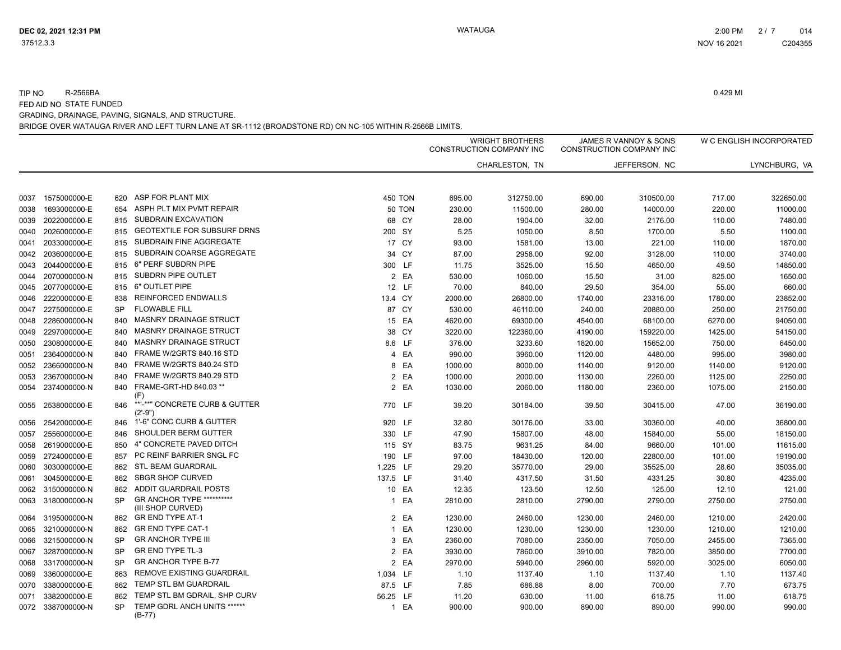#### BRIDGE OVER WATAUGA RIVER AND LEFT TURN LANE AT SR-1112 (BROADSTONE RD) ON NC-105 WITHIN R-2566B LIMITS. TIP NO R-2566BA 0.429 MI FED AID NO STATE FUNDED GRADING, DRAINAGE, PAVING, SIGNALS, AND STRUCTURE.

|              |              |           |                                                |                |               |         | <b>WRIGHT BROTHERS</b><br>CONSTRUCTION COMPANY INC |         | JAMES R VANNOY & SONS<br>CONSTRUCTION COMPANY INC |                   | W C ENGLISH INCORPORATED |
|--------------|--------------|-----------|------------------------------------------------|----------------|---------------|---------|----------------------------------------------------|---------|---------------------------------------------------|-------------------|--------------------------|
|              |              |           |                                                |                |               |         | CHARLESTON, TN                                     |         | JEFFERSON, NC                                     |                   | LYNCHBURG, VA            |
| 0037         | 1575000000-E | 620       | ASP FOR PLANT MIX                              | <b>450 TON</b> |               | 695.00  | 312750.00                                          | 690.00  | 310500.00                                         | 717.00            | 322650.00                |
| 0038         | 1693000000-E | 654       | ASPH PLT MIX PVMT REPAIR                       |                | <b>50 TON</b> | 230.00  | 11500.00                                           | 280.00  | 14000.00                                          | 220.00            | 11000.00                 |
| 0039         | 2022000000-E | 815       | SUBDRAIN EXCAVATION                            | 68 CY          |               | 28.00   | 1904.00                                            | 32.00   | 2176.00                                           | 110.00            | 7480.00                  |
| 0040         | 2026000000-E | 815       | <b>GEOTEXTILE FOR SUBSURF DRNS</b>             | 200 SY         |               | 5.25    | 1050.00                                            | 8.50    | 1700.00                                           | 5.50              | 1100.00                  |
| 0041         | 2033000000-E | 815       | SUBDRAIN FINE AGGREGATE                        | 17 CY          |               | 93.00   | 1581.00                                            | 13.00   | 221.00                                            | 110.00            | 1870.00                  |
| 0042         | 2036000000-E | 815       | SUBDRAIN COARSE AGGREGATE                      | 34 CY          |               | 87.00   | 2958.00                                            | 92.00   | 3128.00                                           | 110.00            | 3740.00                  |
| 0043         | 2044000000-E | 815       | 6" PERF SUBDRN PIPE                            | 300 LF         |               | 11.75   | 3525.00                                            | 15.50   | 4650.00                                           | 49.50             | 14850.00                 |
| 0044         | 2070000000-N | 815       | SUBDRN PIPE OUTLET                             |                | 2 EA          | 530.00  | 1060.00                                            | 15.50   | 31.00                                             | 825.00            | 1650.00                  |
| 0045         | 2077000000-E | 815       | 6" OUTLET PIPE                                 | 12 LF          |               | 70.00   | 840.00                                             | 29.50   | 354.00                                            | 55.00             | 660.00                   |
| 0046         | 2220000000-E | 838       | <b>REINFORCED ENDWALLS</b>                     | 13.4 CY        |               | 2000.00 | 26800.00                                           | 1740.00 | 23316.00                                          | 1780.00           | 23852.00                 |
| 0047         | 2275000000-E | <b>SP</b> | <b>FLOWABLE FILL</b>                           | 87 CY          |               | 530.00  | 46110.00                                           | 240.00  | 20880.00                                          | 250.00            | 21750.00                 |
| 0048         | 2286000000-N | 840       | <b>MASNRY DRAINAGE STRUCT</b>                  | 15 EA          |               | 4620.00 | 69300.00                                           | 4540.00 | 68100.00                                          | 6270.00           | 94050.00                 |
| 0049         | 2297000000-E | 840       | <b>MASNRY DRAINAGE STRUCT</b>                  | 38 CY          |               | 3220.00 | 122360.00                                          | 4190.00 | 159220.00                                         |                   | 54150.00                 |
| 0050         | 2308000000-E | 840       | MASNRY DRAINAGE STRUCT                         | 8.6 LF         |               | 376.00  | 3233.60                                            | 1820.00 | 15652.00                                          | 1425.00<br>750.00 | 6450.00                  |
| 0051         | 2364000000-N | 840       | FRAME W/2GRTS 840.16 STD                       |                | 4 EA          | 990.00  | 3960.00                                            | 1120.00 | 4480.00                                           | 995.00            | 3980.00                  |
|              | 2366000000-N | 840       | FRAME W/2GRTS 840.24 STD                       |                | 8 EA          | 1000.00 | 8000.00                                            | 1140.00 | 9120.00                                           | 1140.00           | 9120.00                  |
| 0052<br>0053 | 2367000000-N | 840       | FRAME W/2GRTS 840.29 STD                       |                | 2 EA          | 1000.00 | 2000.00                                            | 1130.00 |                                                   | 1125.00           | 2250.00                  |
|              |              | 840       | FRAME-GRT-HD 840.03 **                         |                | 2 EA          |         |                                                    |         | 2260.00                                           |                   |                          |
| 0054         | 2374000000-N |           | (F)                                            |                |               | 1030.00 | 2060.00                                            | 1180.00 | 2360.00                                           | 1075.00           | 2150.00                  |
| 0055         | 2538000000-E | 846       | **'-**" CONCRETE CURB & GUTTER<br>$(2'-9")$    | 770 LF         |               | 39.20   | 30184.00                                           | 39.50   | 30415.00                                          | 47.00             | 36190.00                 |
| 0056         | 2542000000-E | 846       | 1'-6" CONC CURB & GUTTER                       | 920 LF         |               | 32.80   | 30176.00                                           | 33.00   | 30360.00                                          | 40.00             | 36800.00                 |
| 0057         | 2556000000-E | 846       | SHOULDER BERM GUTTER                           | 330 LF         |               | 47.90   | 15807.00                                           | 48.00   | 15840.00                                          | 55.00             | 18150.00                 |
| 0058         | 2619000000-E | 850       | 4" CONCRETE PAVED DITCH                        | 115 SY         |               | 83.75   | 9631.25                                            | 84.00   | 9660.00                                           | 101.00            | 11615.00                 |
| 0059         | 2724000000-E | 857       | PC REINF BARRIER SNGL FC                       | 190 LF         |               | 97.00   | 18430.00                                           | 120.00  | 22800.00                                          | 101.00            | 19190.00                 |
| 0060         | 3030000000-E | 862       | <b>STL BEAM GUARDRAIL</b>                      | 1,225 LF       |               | 29.20   | 35770.00                                           | 29.00   | 35525.00                                          | 28.60             | 35035.00                 |
| 0061         | 3045000000-E | 862       | <b>SBGR SHOP CURVED</b>                        | 137.5 LF       |               | 31.40   | 4317.50                                            | 31.50   | 4331.25                                           | 30.80             | 4235.00                  |
| 0062         | 3150000000-N | 862       | <b>ADDIT GUARDRAIL POSTS</b>                   | 10 EA          |               | 12.35   | 123.50                                             | 12.50   | 125.00                                            | 12.10             | 121.00                   |
| 0063         | 3180000000-N | <b>SP</b> | GR ANCHOR TYPE **********<br>(III SHOP CURVED) |                | 1 EA          | 2810.00 | 2810.00                                            | 2790.00 | 2790.00                                           | 2750.00           | 2750.00                  |
| 0064         | 3195000000-N | 862       | <b>GR END TYPE AT-1</b>                        |                | 2 EA          | 1230.00 | 2460.00                                            | 1230.00 | 2460.00                                           | 1210.00           | 2420.00                  |
| 0065         | 3210000000-N | 862       | <b>GR END TYPE CAT-1</b>                       |                | 1 EA          | 1230.00 | 1230.00                                            | 1230.00 | 1230.00                                           | 1210.00           | 1210.00                  |
| 0066         | 3215000000-N | SP        | <b>GR ANCHOR TYPE III</b>                      |                | 3 EA          | 2360.00 | 7080.00                                            | 2350.00 | 7050.00                                           | 2455.00           | 7365.00                  |
| 0067         | 3287000000-N | SP        | <b>GR END TYPE TL-3</b>                        |                | 2 EA          | 3930.00 | 7860.00                                            | 3910.00 | 7820.00                                           | 3850.00           | 7700.00                  |
| 0068         | 3317000000-N | <b>SP</b> | <b>GR ANCHOR TYPE B-77</b>                     |                | 2 EA          | 2970.00 | 5940.00                                            | 2960.00 | 5920.00                                           | 3025.00           | 6050.00                  |
| 0069         | 3360000000-E | 863       | REMOVE EXISTING GUARDRAIL                      | 1,034 LF       |               | 1.10    | 1137.40                                            | 1.10    | 1137.40                                           | 1.10              | 1137.40                  |
| 0070         | 3380000000-E | 862       | TEMP STL BM GUARDRAIL                          | 87.5 LF        |               | 7.85    | 686.88                                             | 8.00    | 700.00                                            | 7.70              | 673.75                   |
| 0071         | 3382000000-E | 862       | TEMP STL BM GDRAIL, SHP CURV                   | 56.25 LF       |               | 11.20   | 630.00                                             | 11.00   | 618.75                                            | 11.00             | 618.75                   |
| 0072         | 3387000000-N | <b>SP</b> | TEMP GDRL ANCH UNITS ******<br>$(B-77)$        |                | 1 EA          | 900.00  | 900.00                                             | 890.00  | 890.00                                            | 990.00            | 990.00                   |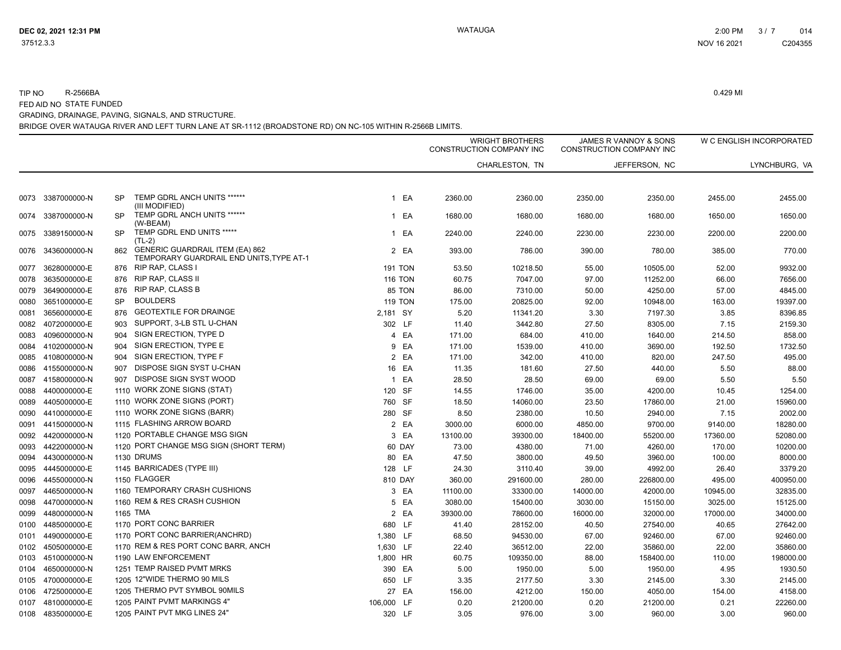TIP NOR-2566BA 0.429 MI

FED AID NO STATE FUNDED GRADING, DRAINAGE, PAVING, SIGNALS, AND STRUCTURE.

|      |                   |           |                                                                                    |                    |          | <b>WRIGHT BROTHERS</b><br>CONSTRUCTION COMPANY INC |          | JAMES R VANNOY & SONS<br><b>CONSTRUCTION COMPANY INC</b> |          | W C ENGLISH INCORPORATED |  |
|------|-------------------|-----------|------------------------------------------------------------------------------------|--------------------|----------|----------------------------------------------------|----------|----------------------------------------------------------|----------|--------------------------|--|
|      |                   |           |                                                                                    |                    |          | CHARLESTON, TN                                     |          | JEFFERSON, NC                                            |          | LYNCHBURG, VA            |  |
|      | 0073 3387000000-N | <b>SP</b> | TEMP GDRL ANCH UNITS ******                                                        | EA<br>$\mathbf{1}$ | 2360.00  | 2360.00                                            | 2350.00  | 2350.00                                                  | 2455.00  | 2455.00                  |  |
| 0074 | 3387000000-N      | <b>SP</b> | (III MODIFIED)<br>TEMP GDRL ANCH UNITS ******<br>(W-BEAM)                          | EA<br>$\mathbf{1}$ | 1680.00  | 1680.00                                            | 1680.00  | 1680.00                                                  | 1650.00  | 1650.00                  |  |
| 0075 | 3389150000-N      | <b>SP</b> | TEMP GDRL END UNITS *****<br>$(TL-2)$                                              | EA<br>$\mathbf{1}$ | 2240.00  | 2240.00                                            | 2230.00  | 2230.00                                                  | 2200.00  | 2200.00                  |  |
| 0076 | 3436000000-N      | 862       | <b>GENERIC GUARDRAIL ITEM (EA) 862</b><br>TEMPORARY GUARDRAIL END UNITS, TYPE AT-1 | 2 EA               | 393.00   | 786.00                                             | 390.00   | 780.00                                                   | 385.00   | 770.00                   |  |
| 0077 | 3628000000-E      | 876       | RIP RAP, CLASS I                                                                   | <b>191 TON</b>     | 53.50    | 10218.50                                           | 55.00    | 10505.00                                                 | 52.00    | 9932.00                  |  |
| 0078 | 3635000000-E      | 876       | <b>RIP RAP, CLASS II</b>                                                           | <b>116 TON</b>     | 60.75    | 7047.00                                            | 97.00    | 11252.00                                                 | 66.00    | 7656.00                  |  |
| 0079 | 3649000000-E      | 876       | <b>RIP RAP, CLASS B</b>                                                            | 85 TON             | 86.00    | 7310.00                                            | 50.00    | 4250.00                                                  | 57.00    | 4845.00                  |  |
| 0080 | 3651000000-E      | <b>SP</b> | <b>BOULDERS</b>                                                                    | <b>119 TON</b>     | 175.00   | 20825.00                                           | 92.00    | 10948.00                                                 | 163.00   | 19397.00                 |  |
| 0081 | 3656000000-E      | 876       | GEOTEXTILE FOR DRAINGE                                                             | 2,181 SY           | 5.20     | 11341.20                                           | 3.30     | 7197.30                                                  | 3.85     | 8396.85                  |  |
| 0082 | 4072000000-E      | 903       | SUPPORT, 3-LB STL U-CHAN                                                           | 302 LF             | 11.40    | 3442.80                                            | 27.50    | 8305.00                                                  | 7.15     | 2159.30                  |  |
| 0083 | 4096000000-N      | 904       | SIGN ERECTION, TYPE D                                                              | 4 EA               | 171.00   | 684.00                                             | 410.00   | 1640.00                                                  | 214.50   | 858.00                   |  |
| 0084 | 4102000000-N      | 904       | SIGN ERECTION, TYPE E                                                              | EA<br>9            | 171.00   | 1539.00                                            | 410.00   | 3690.00                                                  | 192.50   | 1732.50                  |  |
|      | 0085 4108000000-N | 904       | SIGN ERECTION, TYPE F                                                              | 2 EA               | 171.00   | 342.00                                             | 410.00   | 820.00                                                   | 247.50   | 495.00                   |  |
|      | 0086 4155000000-N | 907       | DISPOSE SIGN SYST U-CHAN                                                           | 16 EA              | 11.35    | 181.60                                             | 27.50    | 440.00                                                   | 5.50     | 88.00                    |  |
| 0087 | 4158000000-N      | 907       | DISPOSE SIGN SYST WOOD                                                             | EA<br>$\mathbf{1}$ | 28.50    | 28.50                                              | 69.00    | 69.00                                                    | 5.50     | 5.50                     |  |
| 0088 | 4400000000-E      |           | 1110 WORK ZONE SIGNS (STAT)                                                        | 120 SF             | 14.55    | 1746.00                                            | 35.00    | 4200.00                                                  | 10.45    | 1254.00                  |  |
| 0089 | 4405000000-E      |           | 1110 WORK ZONE SIGNS (PORT)                                                        | 760 SF             | 18.50    | 14060.00                                           | 23.50    | 17860.00                                                 | 21.00    | 15960.00                 |  |
| 0090 | 4410000000-E      |           | 1110 WORK ZONE SIGNS (BARR)                                                        | 280 SF             | 8.50     | 2380.00                                            | 10.50    | 2940.00                                                  | 7.15     | 2002.00                  |  |
| 0091 | 4415000000-N      |           | 1115 FLASHING ARROW BOARD                                                          | 2 EA               | 3000.00  | 6000.00                                            | 4850.00  | 9700.00                                                  | 9140.00  | 18280.00                 |  |
| 0092 | 4420000000-N      |           | 1120 PORTABLE CHANGE MSG SIGN                                                      | 3 EA               | 13100.00 | 39300.00                                           | 18400.00 | 55200.00                                                 | 17360.00 | 52080.00                 |  |
| 0093 | 4422000000-N      |           | 1120 PORT CHANGE MSG SIGN (SHORT TERM)                                             | 60 DAY             | 73.00    | 4380.00                                            | 71.00    | 4260.00                                                  | 170.00   | 10200.00                 |  |
| 0094 | 4430000000-N      |           | 1130 DRUMS                                                                         | 80 EA              | 47.50    | 3800.00                                            | 49.50    | 3960.00                                                  | 100.00   | 8000.00                  |  |
| 0095 | 4445000000-E      |           | 1145 BARRICADES (TYPE III)                                                         | 128 LF             | 24.30    | 3110.40                                            | 39.00    | 4992.00                                                  | 26.40    | 3379.20                  |  |
| 0096 | 4455000000-N      |           | 1150 FLAGGER                                                                       | 810 DAY            | 360.00   | 291600.00                                          | 280.00   | 226800.00                                                | 495.00   | 400950.00                |  |
| 0097 | 4465000000-N      |           | 1160 TEMPORARY CRASH CUSHIONS                                                      | 3 EA               | 11100.00 | 33300.00                                           | 14000.00 | 42000.00                                                 | 10945.00 | 32835.00                 |  |
| 0098 | 4470000000-N      |           | 1160 REM & RES CRASH CUSHION                                                       | EA<br>5            | 3080.00  | 15400.00                                           | 3030.00  | 15150.00                                                 | 3025.00  | 15125.00                 |  |
| 0099 | 4480000000-N      |           | 1165 TMA                                                                           | 2 EA               | 39300.00 | 78600.00                                           | 16000.00 | 32000.00                                                 | 17000.00 | 34000.00                 |  |
| 0100 | 4485000000-E      |           | 1170 PORT CONC BARRIER                                                             | 680 LF             | 41.40    | 28152.00                                           | 40.50    | 27540.00                                                 | 40.65    | 27642.00                 |  |
| 0101 | 4490000000-E      |           | 1170 PORT CONC BARRIER(ANCHRD)                                                     | 1,380 LF           | 68.50    | 94530.00                                           | 67.00    | 92460.00                                                 | 67.00    | 92460.00                 |  |
|      | 0102 4505000000-E |           | 1170 REM & RES PORT CONC BARR, ANCH                                                | 1,630 LF           | 22.40    | 36512.00                                           | 22.00    | 35860.00                                                 | 22.00    | 35860.00                 |  |
| 0103 | 4510000000-N      |           | 1190 LAW ENFORCEMENT                                                               | 1,800 HR           | 60.75    | 109350.00                                          | 88.00    | 158400.00                                                | 110.00   | 198000.00                |  |
| 0104 | 4650000000-N      |           | 1251 TEMP RAISED PVMT MRKS                                                         | 390 EA             | 5.00     | 1950.00                                            | 5.00     | 1950.00                                                  | 4.95     | 1930.50                  |  |
| 0105 | 4700000000-E      |           | 1205 12"WIDE THERMO 90 MILS                                                        | 650 LF             | 3.35     | 2177.50                                            | 3.30     | 2145.00                                                  | 3.30     | 2145.00                  |  |
| 0106 | 4725000000-E      |           | 1205 THERMO PVT SYMBOL 90MILS                                                      | 27 EA              | 156.00   | 4212.00                                            | 150.00   | 4050.00                                                  | 154.00   | 4158.00                  |  |
|      | 0107 4810000000-E |           | 1205 PAINT PVMT MARKINGS 4"                                                        | 106,000 LF         | 0.20     | 21200.00                                           | 0.20     | 21200.00                                                 | 0.21     | 22260.00                 |  |
|      | 0108 4835000000-E |           | 1205 PAINT PVT MKG LINES 24"                                                       | 320 LF             | 3.05     | 976.00                                             | 3.00     | 960.00                                                   | 3.00     | 960.00                   |  |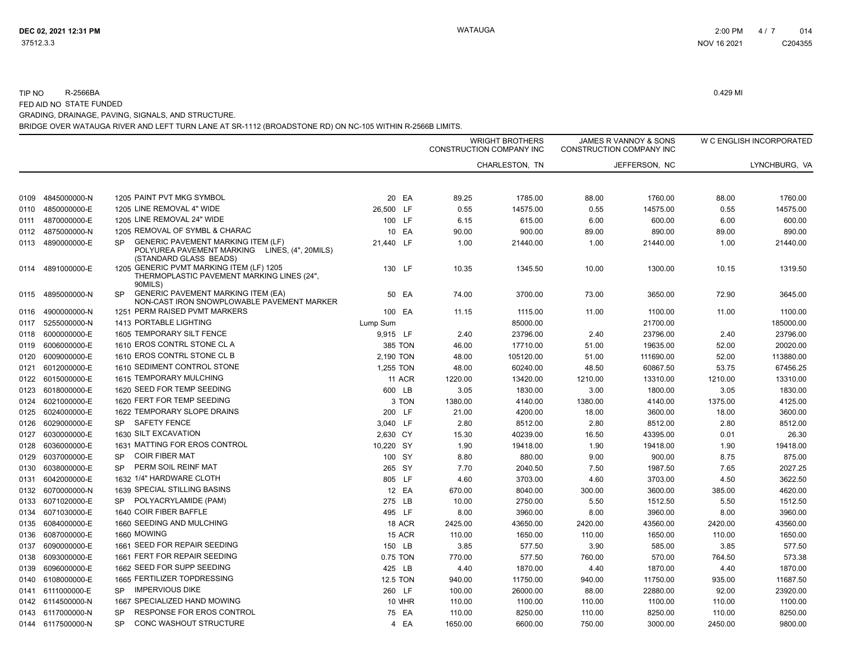#### TIP NOR-2566BA 0.429 MI

FED AID NO STATE FUNDED GRADING, DRAINAGE, PAVING, SIGNALS, AND STRUCTURE.

|      |                   |                                                                                                                                   |               | <b>WRIGHT BROTHERS</b><br>CONSTRUCTION COMPANY INC |                | JAMES R VANNOY & SONS<br>CONSTRUCTION COMPANY INC |               |         | W C ENGLISH INCORPORATED |  |
|------|-------------------|-----------------------------------------------------------------------------------------------------------------------------------|---------------|----------------------------------------------------|----------------|---------------------------------------------------|---------------|---------|--------------------------|--|
|      |                   |                                                                                                                                   |               |                                                    | CHARLESTON, TN |                                                   | JEFFERSON, NC |         | LYNCHBURG, VA            |  |
| 0109 | 4845000000-N      | 1205 PAINT PVT MKG SYMBOL                                                                                                         | 20 EA         | 89.25                                              | 1785.00        | 88.00                                             | 1760.00       | 88.00   | 1760.00                  |  |
| 0110 | 4850000000-E      | 1205 LINE REMOVAL 4" WIDE                                                                                                         | 26,500 LF     | 0.55                                               | 14575.00       | 0.55                                              | 14575.00      | 0.55    | 14575.00                 |  |
| 0111 | 4870000000-E      | 1205 LINE REMOVAL 24" WIDE                                                                                                        | 100 LF        | 6.15                                               | 615.00         | 6.00                                              | 600.00        | 6.00    | 600.00                   |  |
| 0112 | 4875000000-N      | 1205 REMOVAL OF SYMBL & CHARAC                                                                                                    | 10 EA         | 90.00                                              | 900.00         | 89.00                                             | 890.00        | 89.00   | 890.00                   |  |
| 0113 | 4890000000-E      | <b>GENERIC PAVEMENT MARKING ITEM (LF)</b><br><b>SP</b><br>POLYUREA PAVEMENT MARKING LINES, (4", 20MILS)<br>(STANDARD GLASS BEADS) | 21,440 LF     | 1.00                                               | 21440.00       | 1.00                                              | 21440.00      | 1.00    | 21440.00                 |  |
| 0114 | 4891000000-E      | 1205 GENERIC PVMT MARKING ITEM (LF) 1205<br>THERMOPLASTIC PAVEMENT MARKING LINES (24",<br>90MILS)                                 | 130 LF        | 10.35                                              | 1345.50        | 10.00                                             | 1300.00       | 10.15   | 1319.50                  |  |
| 0115 | 4895000000-N      | <b>GENERIC PAVEMENT MARKING ITEM (EA)</b><br><b>SP</b><br>NON-CAST IRON SNOWPLOWABLE PAVEMENT MARKER                              | 50 EA         | 74.00                                              | 3700.00        | 73.00                                             | 3650.00       | 72.90   | 3645.00                  |  |
| 0116 | 4900000000-N      | 1251 PERM RAISED PVMT MARKERS                                                                                                     | 100 EA        | 11.15                                              | 1115.00        | 11.00                                             | 1100.00       | 11.00   | 1100.00                  |  |
| 0117 | 5255000000-N      | 1413 PORTABLE LIGHTING                                                                                                            | Lump Sum      |                                                    | 85000.00       |                                                   | 21700.00      |         | 185000.00                |  |
| 0118 | 6000000000-E      | 1605 TEMPORARY SILT FENCE                                                                                                         | 9,915 LF      | 2.40                                               | 23796.00       | 2.40                                              | 23796.00      | 2.40    | 23796.00                 |  |
| 0119 | 6006000000-E      | 1610 EROS CONTRL STONE CL A                                                                                                       | 385 TON       | 46.00                                              | 17710.00       | 51.00                                             | 19635.00      | 52.00   | 20020.00                 |  |
| 0120 | 6009000000-E      | 1610 EROS CONTRL STONE CL B                                                                                                       | 2,190 TON     | 48.00                                              | 105120.00      | 51.00                                             | 111690.00     | 52.00   | 113880.00                |  |
| 0121 | 6012000000-E      | 1610 SEDIMENT CONTROL STONE                                                                                                       | 1,255 TON     | 48.00                                              | 60240.00       | 48.50                                             | 60867.50      | 53.75   | 67456.25                 |  |
| 0122 | 6015000000-E      | 1615 TEMPORARY MULCHING                                                                                                           | <b>11 ACR</b> | 1220.00                                            | 13420.00       | 1210.00                                           | 13310.00      | 1210.00 | 13310.00                 |  |
| 0123 | 6018000000-E      | 1620 SEED FOR TEMP SEEDING                                                                                                        | 600 LB        | 3.05                                               | 1830.00        | 3.00                                              | 1800.00       | 3.05    | 1830.00                  |  |
| 0124 | 6021000000-E      | 1620 FERT FOR TEMP SEEDING                                                                                                        | 3 TON         | 1380.00                                            | 4140.00        | 1380.00                                           | 4140.00       | 1375.00 | 4125.00                  |  |
| 0125 | 6024000000-E      | 1622 TEMPORARY SLOPE DRAINS                                                                                                       | 200 LF        | 21.00                                              | 4200.00        | 18.00                                             | 3600.00       | 18.00   | 3600.00                  |  |
| 0126 | 6029000000-E      | <b>SAFETY FENCE</b><br><b>SP</b>                                                                                                  | 3,040 LF      | 2.80                                               | 8512.00        | 2.80                                              | 8512.00       | 2.80    | 8512.00                  |  |
| 0127 | 6030000000-E      | 1630 SILT EXCAVATION                                                                                                              | 2,630 CY      | 15.30                                              | 40239.00       | 16.50                                             | 43395.00      | 0.01    | 26.30                    |  |
| 0128 | 6036000000-E      | 1631 MATTING FOR EROS CONTROL                                                                                                     | 10,220 SY     | 1.90                                               | 19418.00       | 1.90                                              | 19418.00      | 1.90    | 19418.00                 |  |
| 0129 | 6037000000-E      | <b>COIR FIBER MAT</b><br>SP                                                                                                       | 100 SY        | 8.80                                               | 880.00         | 9.00                                              | 900.00        | 8.75    | 875.00                   |  |
| 0130 | 6038000000-E      | PERM SOIL REINF MAT<br><b>SP</b>                                                                                                  | 265 SY        | 7.70                                               | 2040.50        | 7.50                                              | 1987.50       | 7.65    | 2027.25                  |  |
| 0131 | 6042000000-E      | 1632 1/4" HARDWARE CLOTH                                                                                                          | 805 LF        | 4.60                                               | 3703.00        | 4.60                                              | 3703.00       | 4.50    | 3622.50                  |  |
| 0132 | 6070000000-N      | 1639 SPECIAL STILLING BASINS                                                                                                      | 12 EA         | 670.00                                             | 8040.00        | 300.00                                            | 3600.00       | 385.00  | 4620.00                  |  |
| 0133 | 6071020000-E      | POLYACRYLAMIDE (PAM)<br><b>SP</b>                                                                                                 | 275 LB        | 10.00                                              | 2750.00        | 5.50                                              | 1512.50       | 5.50    | 1512.50                  |  |
| 0134 | 6071030000-E      | 1640 COIR FIBER BAFFLE                                                                                                            | 495 LF        | 8.00                                               | 3960.00        | 8.00                                              | 3960.00       | 8.00    | 3960.00                  |  |
| 0135 | 6084000000-E      | 1660 SEEDING AND MULCHING                                                                                                         | 18 ACR        | 2425.00                                            | 43650.00       | 2420.00                                           | 43560.00      | 2420.00 | 43560.00                 |  |
| 0136 | 6087000000-E      | 1660 MOWING                                                                                                                       | <b>15 ACR</b> | 110.00                                             | 1650.00        | 110.00                                            | 1650.00       | 110.00  | 1650.00                  |  |
| 0137 | 6090000000-E      | 1661 SEED FOR REPAIR SEEDING                                                                                                      | 150 LB        | 3.85                                               | 577.50         | 3.90                                              | 585.00        | 3.85    | 577.50                   |  |
| 0138 | 6093000000-E      | 1661 FERT FOR REPAIR SEEDING                                                                                                      | 0.75 TON      | 770.00                                             | 577.50         | 760.00                                            | 570.00        | 764.50  | 573.38                   |  |
| 0139 | 6096000000-E      | 1662 SEED FOR SUPP SEEDING                                                                                                        | 425 LB        | 4.40                                               | 1870.00        | 4.40                                              | 1870.00       | 4.40    | 1870.00                  |  |
| 0140 | 6108000000-E      | 1665 FERTILIZER TOPDRESSING                                                                                                       | 12.5 TON      | 940.00                                             | 11750.00       | 940.00                                            | 11750.00      | 935.00  | 11687.50                 |  |
| 0141 | 6111000000-E      | <b>IMPERVIOUS DIKE</b><br><b>SP</b>                                                                                               | 260 LF        | 100.00                                             | 26000.00       | 88.00                                             | 22880.00      | 92.00   | 23920.00                 |  |
|      | 0142 6114500000-N | 1667 SPECIALIZED HAND MOWING                                                                                                      | 10 MHR        | 110.00                                             | 1100.00        | 110.00                                            | 1100.00       | 110.00  | 1100.00                  |  |
|      | 0143 6117000000-N | RESPONSE FOR EROS CONTROL<br>SP                                                                                                   | 75 EA         | 110.00                                             | 8250.00        | 110.00                                            | 8250.00       | 110.00  | 8250.00                  |  |
|      | 0144 6117500000-N | <b>CONC WASHOUT STRUCTURE</b><br><b>SP</b>                                                                                        | 4 EA          | 1650.00                                            | 6600.00        | 750.00                                            | 3000.00       | 2450.00 | 9800.00                  |  |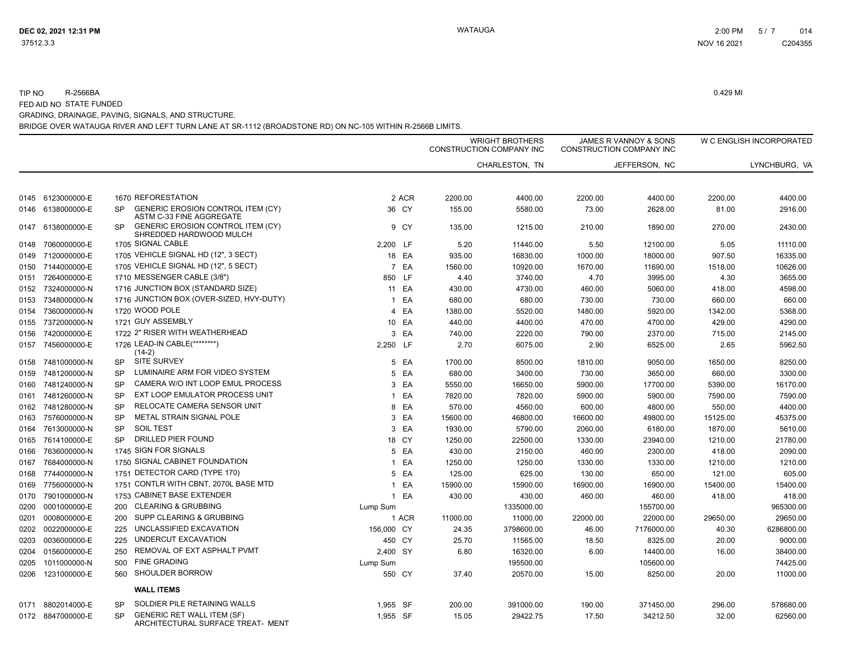#### TIP NOR-2566BA 0.429 MI

FED AID NO STATE FUNDED

GRADING, DRAINAGE, PAVING, SIGNALS, AND STRUCTURE.

|      |                   |           |                                                                        |                      | WRIGHT BROTHERS<br>CONSTRUCTION COMPANY INC |                | JAMES R VANNOY & SONS<br>CONSTRUCTION COMPANY INC |               |          | W C ENGLISH INCORPORATED |  |
|------|-------------------|-----------|------------------------------------------------------------------------|----------------------|---------------------------------------------|----------------|---------------------------------------------------|---------------|----------|--------------------------|--|
|      |                   |           |                                                                        |                      |                                             | CHARLESTON, TN |                                                   | JEFFERSON, NC |          | LYNCHBURG, VA            |  |
| 0145 | 6123000000-E      |           | 1670 REFORESTATION                                                     | 2 ACR                | 2200.00                                     | 4400.00        | 2200.00                                           | 4400.00       | 2200.00  | 4400.00                  |  |
| 0146 | 6138000000-E      | <b>SP</b> | GENERIC EROSION CONTROL ITEM (CY)<br>ASTM C-33 FINE AGGREGATE          | 36 CY                | 155.00                                      | 5580.00        | 73.00                                             | 2628.00       | 81.00    | 2916.00                  |  |
| 0147 | 6138000000-E      | SP.       | <b>GENERIC EROSION CONTROL ITEM (CY)</b><br>SHREDDED HARDWOOD MULCH    | 9 CY                 | 135.00                                      | 1215.00        | 210.00                                            | 1890.00       | 270.00   | 2430.00                  |  |
| 0148 | 7060000000-E      |           | 1705 SIGNAL CABLE                                                      | 2,200 LF             | 5.20                                        | 11440.00       | 5.50                                              | 12100.00      | 5.05     | 11110.00                 |  |
| 0149 | 7120000000-E      |           | 1705 VEHICLE SIGNAL HD (12", 3 SECT)                                   | 18 EA                | 935.00                                      | 16830.00       | 1000.00                                           | 18000.00      | 907.50   | 16335.00                 |  |
| 0150 | 7144000000-E      |           | 1705 VEHICLE SIGNAL HD (12", 5 SECT)                                   | $\overline{7}$<br>EA | 1560.00                                     | 10920.00       | 1670.00                                           | 11690.00      | 1518.00  | 10626.00                 |  |
| 0151 | 7264000000-E      |           | 1710 MESSENGER CABLE (3/8")                                            | 850 LF               | 4.40                                        | 3740.00        | 4.70                                              | 3995.00       | 4.30     | 3655.00                  |  |
| 0152 | 7324000000-N      |           | 1716 JUNCTION BOX (STANDARD SIZE)                                      | 11 EA                | 430.00                                      | 4730.00        | 460.00                                            | 5060.00       | 418.00   | 4598.00                  |  |
| 0153 | 7348000000-N      |           | 1716 JUNCTION BOX (OVER-SIZED, HVY-DUTY)                               | EA<br>$\mathbf{1}$   | 680.00                                      | 680.00         | 730.00                                            | 730.00        | 660.00   | 660.00                   |  |
| 0154 | 7360000000-N      |           | 1720 WOOD POLE                                                         | EA<br>$\overline{4}$ | 1380.00                                     | 5520.00        | 1480.00                                           | 5920.00       | 1342.00  | 5368.00                  |  |
| 0155 | 7372000000-N      |           | 1721 GUY ASSEMBLY                                                      | 10 EA                | 440.00                                      | 4400.00        | 470.00                                            | 4700.00       | 429.00   | 4290.00                  |  |
| 0156 | 7420000000-E      |           | 1722 2" RISER WITH WEATHERHEAD                                         | EA<br>3              | 740.00                                      | 2220.00        | 790.00                                            | 2370.00       | 715.00   | 2145.00                  |  |
| 0157 | 7456000000-E      |           | 1726 LEAD-IN CABLE(********)<br>$(14-2)$                               | 2,250 LF             | 2.70                                        | 6075.00        | 2.90                                              | 6525.00       | 2.65     | 5962.50                  |  |
| 0158 | 7481000000-N      | <b>SP</b> | <b>SITE SURVEY</b>                                                     | EA<br>5              | 1700.00                                     | 8500.00        | 1810.00                                           | 9050.00       | 1650.00  | 8250.00                  |  |
| 0159 | 7481200000-N      | <b>SP</b> | LUMINAIRE ARM FOR VIDEO SYSTEM                                         | 5<br>EA              | 680.00                                      | 3400.00        | 730.00                                            | 3650.00       | 660.00   | 3300.00                  |  |
| 0160 | 7481240000-N      | <b>SP</b> | CAMERA W/O INT LOOP EMUL PROCESS                                       | 3 EA                 | 5550.00                                     | 16650.00       | 5900.00                                           | 17700.00      | 5390.00  | 16170.00                 |  |
| 0161 | 7481260000-N      | SP        | EXT LOOP EMULATOR PROCESS UNIT                                         | EA<br>$\overline{1}$ | 7820.00                                     | 7820.00        | 5900.00                                           | 5900.00       | 7590.00  | 7590.00                  |  |
| 0162 | 7481280000-N      | <b>SP</b> | RELOCATE CAMERA SENSOR UNIT                                            | EA<br>8              | 570.00                                      | 4560.00        | 600.00                                            | 4800.00       | 550.00   | 4400.00                  |  |
| 0163 | 7576000000-N      | <b>SP</b> | METAL STRAIN SIGNAL POLE                                               | EA<br>3              | 15600.00                                    | 46800.00       | 16600.00                                          | 49800.00      | 15125.00 | 45375.00                 |  |
| 0164 | 7613000000-N      | <b>SP</b> | <b>SOIL TEST</b>                                                       | 3 EA                 | 1930.00                                     | 5790.00        | 2060.00                                           | 6180.00       | 1870.00  | 5610.00                  |  |
| 0165 | 7614100000-E      | <b>SP</b> | DRILLED PIER FOUND                                                     | 18 CY                | 1250.00                                     | 22500.00       | 1330.00                                           | 23940.00      | 1210.00  | 21780.00                 |  |
| 0166 | 7636000000-N      |           | 1745 SIGN FOR SIGNALS                                                  | EA<br>5              | 430.00                                      | 2150.00        | 460.00                                            | 2300.00       | 418.00   | 2090.00                  |  |
| 0167 | 7684000000-N      |           | 1750 SIGNAL CABINET FOUNDATION                                         | EA<br>$\mathbf{1}$   | 1250.00                                     | 1250.00        | 1330.00                                           | 1330.00       | 1210.00  | 1210.00                  |  |
| 0168 | 7744000000-N      |           | 1751 DETECTOR CARD (TYPE 170)                                          | 5 EA                 | 125.00                                      | 625.00         | 130.00                                            | 650.00        | 121.00   | 605.00                   |  |
| 0169 | 7756000000-N      |           | 1751 CONTLR WITH CBNT, 2070L BASE MTD                                  | EA<br>1              | 15900.00                                    | 15900.00       | 16900.00                                          | 16900.00      | 15400.00 | 15400.00                 |  |
| 0170 | 7901000000-N      |           | 1753 CABINET BASE EXTENDER                                             | EA<br>$\mathbf{1}$   | 430.00                                      | 430.00         | 460.00                                            | 460.00        | 418.00   | 418.00                   |  |
| 0200 | 0001000000-E      | 200       | <b>CLEARING &amp; GRUBBING</b>                                         | Lump Sum             |                                             | 1335000.00     |                                                   | 155700.00     |          | 965300.00                |  |
| 0201 | 0008000000-E      | 200       | SUPP CLEARING & GRUBBING                                               | 1 ACR                | 11000.00                                    | 11000.00       | 22000.00                                          | 22000.00      | 29650.00 | 29650.00                 |  |
| 0202 | 0022000000-E      | 225       | UNCLASSIFIED EXCAVATION                                                | 156,000 CY           | 24.35                                       | 3798600.00     | 46.00                                             | 7176000.00    | 40.30    | 6286800.00               |  |
| 0203 | 0036000000-E      | 225       | UNDERCUT EXCAVATION                                                    | 450 CY               | 25.70                                       | 11565.00       | 18.50                                             | 8325.00       | 20.00    | 9000.00                  |  |
| 0204 | 0156000000-E      | 250       | REMOVAL OF EXT ASPHALT PVMT                                            | 2,400 SY             | 6.80                                        | 16320.00       | 6.00                                              | 14400.00      | 16.00    | 38400.00                 |  |
| 0205 | 1011000000-N      | 500       | <b>FINE GRADING</b>                                                    | Lump Sum             |                                             | 195500.00      |                                                   | 105600.00     |          | 74425.00                 |  |
| 0206 | 1231000000-E      | 560       | <b>SHOULDER BORROW</b>                                                 | 550 CY               | 37.40                                       | 20570.00       | 15.00                                             | 8250.00       | 20.00    | 11000.00                 |  |
|      |                   |           | <b>WALL ITEMS</b>                                                      |                      |                                             |                |                                                   |               |          |                          |  |
| 0171 | 8802014000-E      | SP        | SOLDIER PILE RETAINING WALLS                                           | 1,955 SF             | 200.00                                      | 391000.00      | 190.00                                            | 371450.00     | 296.00   | 578680.00                |  |
|      | 0172 8847000000-E | <b>SP</b> | <b>GENERIC RET WALL ITEM (SF)</b><br>ARCHITECTURAL SURFACE TREAT- MENT | 1.955 SF             | 15.05                                       | 29422.75       | 17.50                                             | 34212.50      | 32.00    | 62560.00                 |  |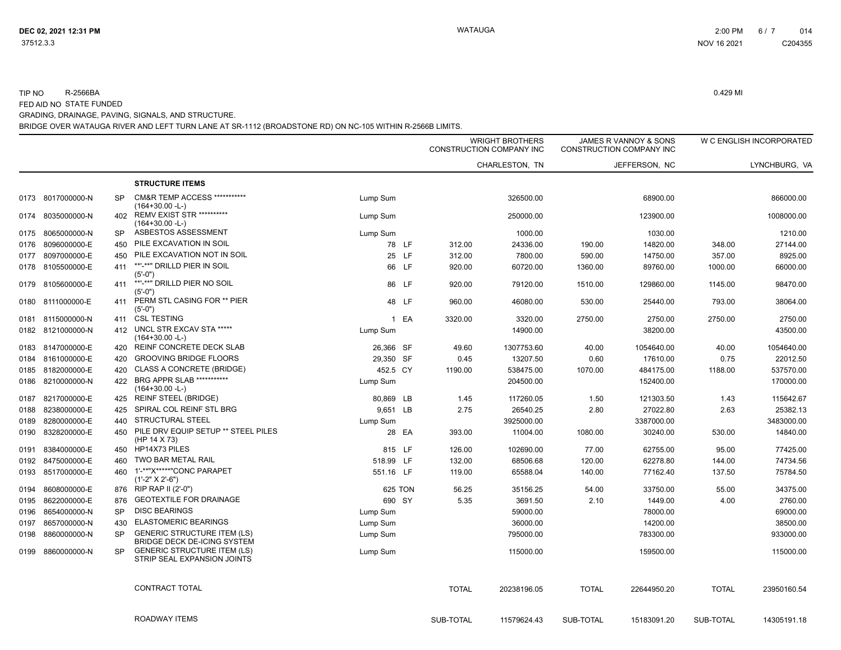#### BRIDGE OVER WATAUGA RIVER AND LEFT TURN LANE AT SR-1112 (BROADSTONE RD) ON NC-105 WITHIN R-2566B LIMITS. TIP NO R-2566BA 0.429 MI FED AID NO STATE FUNDED GRADING, DRAINAGE, PAVING, SIGNALS, AND STRUCTURE.

|      |                   |           |                                                                   |           | <b>WRIGHT BROTHERS</b><br>CONSTRUCTION COMPANY INC |                |              | JAMES R VANNOY & SONS<br>CONSTRUCTION COMPANY INC |              | W C ENGLISH INCORPORATED |
|------|-------------------|-----------|-------------------------------------------------------------------|-----------|----------------------------------------------------|----------------|--------------|---------------------------------------------------|--------------|--------------------------|
|      |                   |           |                                                                   |           |                                                    | CHARLESTON, TN |              | JEFFERSON, NC                                     |              | LYNCHBURG. VA            |
|      |                   |           | <b>STRUCTURE ITEMS</b>                                            |           |                                                    |                |              |                                                   |              |                          |
| 0173 | 8017000000-N      | <b>SP</b> | <b>CM&amp;R TEMP ACCESS ***********</b><br>(164+30.00 -L-)        | Lump Sum  |                                                    | 326500.00      |              | 68900.00                                          |              | 866000.00                |
| 0174 | 8035000000-N      | 402       | <b>REMV EXIST STR ***********</b><br>$(164+30.00 - L)$            | Lump Sum  |                                                    | 250000.00      |              | 123900.00                                         |              | 1008000.00               |
| 0175 | 8065000000-N      | <b>SP</b> | ASBESTOS ASSESSMENT                                               | Lump Sum  |                                                    | 1000.00        |              | 1030.00                                           |              | 1210.00                  |
| 0176 | 8096000000-E      | 450       | PILE EXCAVATION IN SOIL                                           | 78 LF     | 312.00                                             | 24336.00       | 190.00       | 14820.00                                          | 348.00       | 27144.00                 |
| 0177 | 8097000000-E      | 450       | PILE EXCAVATION NOT IN SOIL                                       | 25 LF     | 312.00                                             | 7800.00        | 590.00       | 14750.00                                          | 357.00       | 8925.00                  |
| 0178 | 8105500000-E      | 411       | **'-**" DRILLD PIER IN SOIL<br>(5'-0")                            | 66 LF     | 920.00                                             | 60720.00       | 1360.00      | 89760.00                                          | 1000.00      | 66000.00                 |
| 0179 | 8105600000-E      | 411       | **'-**" DRILLD PIER NO SOIL<br>$(5'-0")$                          | 86 LF     | 920.00                                             | 79120.00       | 1510.00      | 129860.00                                         | 1145.00      | 98470.00                 |
|      | 0180 8111000000-E | 411       | PERM STL CASING FOR ** PIER<br>$(5'-0")$                          | 48 LF     | 960.00                                             | 46080.00       | 530.00       | 25440.00                                          | 793.00       | 38064.00                 |
| 0181 | 8115000000-N      | 411       | <b>CSL TESTING</b>                                                | 1 EA      | 3320.00                                            | 3320.00        | 2750.00      | 2750.00                                           | 2750.00      | 2750.00                  |
| 0182 | 8121000000-N      | 412       | UNCL STR EXCAV STA *****<br>(164+30.00 -L-)                       | Lump Sum  |                                                    | 14900.00       |              | 38200.00                                          |              | 43500.00                 |
|      | 0183 8147000000-E | 420       | REINF CONCRETE DECK SLAB                                          | 26,366 SF | 49.60                                              | 1307753.60     | 40.00        | 1054640.00                                        | 40.00        | 1054640.00               |
| 0184 | 8161000000-E      | 420       | <b>GROOVING BRIDGE FLOORS</b>                                     | 29,350 SF | 0.45                                               | 13207.50       | 0.60         | 17610.00                                          | 0.75         | 22012.50                 |
| 0185 | 8182000000-E      | 420       | <b>CLASS A CONCRETE (BRIDGE)</b>                                  | 452.5 CY  | 1190.00                                            | 538475.00      | 1070.00      | 484175.00                                         | 1188.00      | 537570.00                |
| 0186 | 8210000000-N      | 422       | <b>BRG APPR SLAB ***********</b><br>$(164+30.00 - L)$             | Lump Sum  |                                                    | 204500.00      |              | 152400.00                                         |              | 170000.00                |
| 0187 | 8217000000-E      | 425       | <b>REINF STEEL (BRIDGE)</b>                                       | 80,869 LB | 1.45                                               | 117260.05      | 1.50         | 121303.50                                         | 1.43         | 115642.67                |
| 0188 | 8238000000-E      | 425       | SPIRAL COL REINF STL BRG                                          | 9,651 LB  | 2.75                                               | 26540.25       | 2.80         | 27022.80                                          | 2.63         | 25382.13                 |
| 0189 | 8280000000-E      | 440       | STRUCTURAL STEEL                                                  | Lump Sum  |                                                    | 3925000.00     |              | 3387000.00                                        |              | 3483000.00               |
| 0190 | 8328200000-E      | 450       | PILE DRV EQUIP SETUP ** STEEL PILES<br>(HP 14 X 73)               | 28 EA     | 393.00                                             | 11004.00       | 1080.00      | 30240.00                                          | 530.00       | 14840.00                 |
| 0191 | 8384000000-E      | 450       | HP14X73 PILES                                                     | 815 LF    | 126.00                                             | 102690.00      | 77.00        | 62755.00                                          | 95.00        | 77425.00                 |
| 0192 | 8475000000-E      | 460       | TWO BAR METAL RAIL                                                | 518.99 LF | 132.00                                             | 68506.68       | 120.00       | 62278.80                                          | 144.00       | 74734.56                 |
| 0193 | 8517000000-E      | 460       | 1'-**"X*****"CONC PARAPET<br>(1'-2" X 2'-6")                      | 551.16 LF | 119.00                                             | 65588.04       | 140.00       | 77162.40                                          | 137.50       | 75784.50                 |
| 0194 | 8608000000-E      | 876       | RIP RAP II (2'-0")                                                | 625 TON   | 56.25                                              | 35156.25       | 54.00        | 33750.00                                          | 55.00        | 34375.00                 |
| 0195 | 8622000000-E      | 876       | <b>GEOTEXTILE FOR DRAINAGE</b>                                    | 690 SY    | 5.35                                               | 3691.50        | 2.10         | 1449.00                                           | 4.00         | 2760.00                  |
| 0196 | 8654000000-N      | <b>SP</b> | <b>DISC BEARINGS</b>                                              | Lump Sum  |                                                    | 59000.00       |              | 78000.00                                          |              | 69000.00                 |
| 0197 | 8657000000-N      | 430       | <b>ELASTOMERIC BEARINGS</b>                                       | Lump Sum  |                                                    | 36000.00       |              | 14200.00                                          |              | 38500.00                 |
| 0198 | 8860000000-N      | <b>SP</b> | <b>GENERIC STRUCTURE ITEM (LS)</b><br>BRIDGE DECK DE-ICING SYSTEM | Lump Sum  |                                                    | 795000.00      |              | 783300.00                                         |              | 933000.00                |
| 0199 | 8860000000-N      | <b>SP</b> | <b>GENERIC STRUCTURE ITEM (LS)</b><br>STRIP SEAL EXPANSION JOINTS | Lump Sum  |                                                    | 115000.00      |              | 159500.00                                         |              | 115000.00                |
|      |                   |           | CONTRACT TOTAL                                                    |           | <b>TOTAL</b>                                       | 20238196.05    | <b>TOTAL</b> | 22644950.20                                       | <b>TOTAL</b> | 23950160.54              |
|      |                   |           | ROADWAY ITEMS                                                     |           | SUB-TOTAL                                          | 11579624.43    | SUB-TOTAL    | 15183091.20                                       | SUB-TOTAL    | 14305191.18              |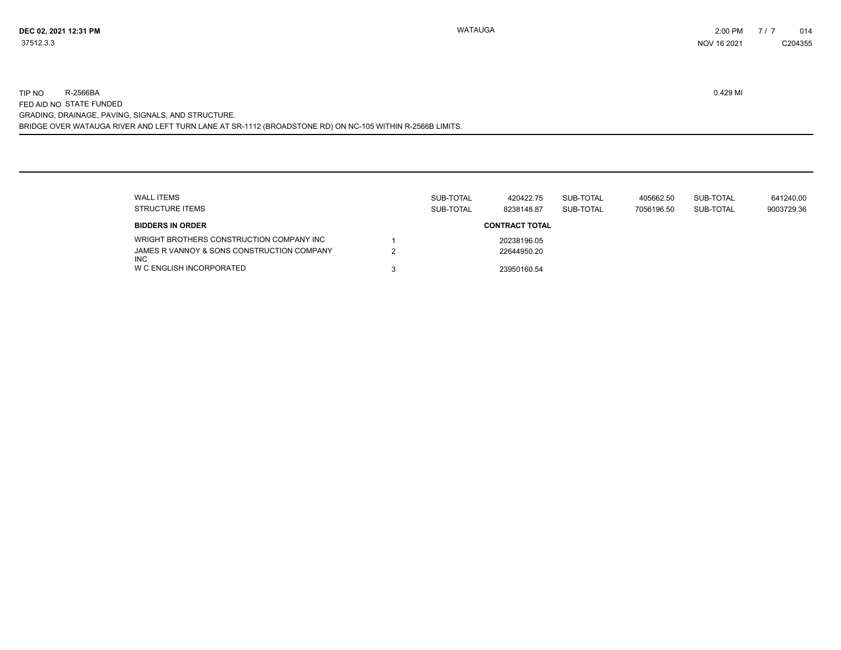BRIDGE OVER WATAUGA RIVER AND LEFT TURN LANE AT SR-1112 (BROADSTONE RD) ON NC-105 WITHIN R-2566B LIMITS. TIP NO R-2566BA 0.429 MI FED AID NO STATE FUNDED GRADING, DRAINAGE, PAVING, SIGNALS, AND STRUCTURE.

| <b>WALL ITEMS</b><br>STRUCTURE ITEMS                     | SUB-TOTAL<br>SUB-TOTAL | 420422.75<br>8238148.87 | SUB-TOTAL<br>SUB-TOTAL | 405662.50<br>7056196.50 | SUB-TOTAL<br>SUB-TOTAL | 641240.00<br>9003729.36 |
|----------------------------------------------------------|------------------------|-------------------------|------------------------|-------------------------|------------------------|-------------------------|
| <b>BIDDERS IN ORDER</b>                                  |                        | <b>CONTRACT TOTAL</b>   |                        |                         |                        |                         |
| WRIGHT BROTHERS CONSTRUCTION COMPANY INC                 |                        | 20238196.05             |                        |                         |                        |                         |
| JAMES R VANNOY & SONS CONSTRUCTION COMPANY<br><b>INC</b> |                        | 22644950.20             |                        |                         |                        |                         |
| W C ENGLISH INCORPORATED                                 |                        | 23950160.54             |                        |                         |                        |                         |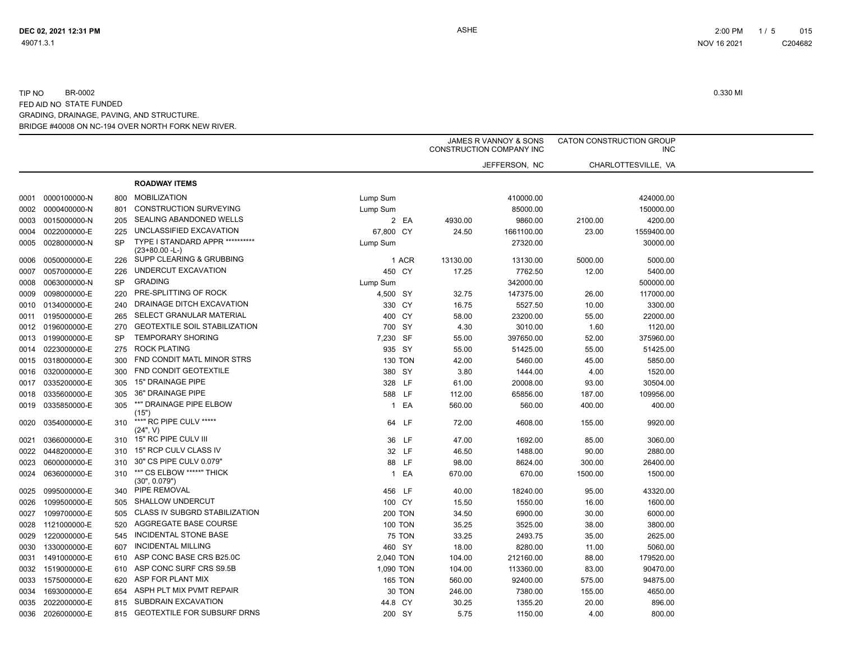|      |                   |           |                                                      |                |          | JAMES R VANNOY & SONS<br>CONSTRUCTION COMPANY INC |         | CATON CONSTRUCTION GROUP<br><b>INC</b> |
|------|-------------------|-----------|------------------------------------------------------|----------------|----------|---------------------------------------------------|---------|----------------------------------------|
|      |                   |           |                                                      |                |          | JEFFERSON, NC                                     |         | CHARLOTTESVILLE, VA                    |
|      |                   |           | <b>ROADWAY ITEMS</b>                                 |                |          |                                                   |         |                                        |
| 0001 | 0000100000-N      | 800       | <b>MOBILIZATION</b>                                  | Lump Sum       |          | 410000.00                                         |         | 424000.00                              |
| 0002 | 0000400000-N      | 801       | <b>CONSTRUCTION SURVEYING</b>                        | Lump Sum       |          | 85000.00                                          |         | 150000.00                              |
| 0003 | 0015000000-N      | 205       | SEALING ABANDONED WELLS                              | 2 EA           | 4930.00  | 9860.00                                           | 2100.00 | 4200.00                                |
| 0004 | 0022000000-E      | 225       | UNCLASSIFIED EXCAVATION                              | 67,800 CY      | 24.50    | 1661100.00                                        | 23.00   | 1559400.00                             |
| 0005 | 0028000000-N      | SP        | TYPE I STANDARD APPR ***********<br>$(23+80.00 - L)$ | Lump Sum       |          | 27320.00                                          |         | 30000.00                               |
| 0006 | 0050000000-E      | 226       | SUPP CLEARING & GRUBBING                             | 1 ACR          | 13130.00 | 13130.00                                          | 5000.00 | 5000.00                                |
| 0007 | 0057000000-E      | 226       | UNDERCUT EXCAVATION                                  | 450 CY         | 17.25    | 7762.50                                           | 12.00   | 5400.00                                |
| 0008 | 0063000000-N      | <b>SP</b> | <b>GRADING</b>                                       | Lump Sum       |          | 342000.00                                         |         | 500000.00                              |
| 0009 | 0098000000-E      | 220       | PRE-SPLITTING OF ROCK                                | 4,500 SY       | 32.75    | 147375.00                                         | 26.00   | 117000.00                              |
| 0010 | 0134000000-E      | 240       | DRAINAGE DITCH EXCAVATION                            | 330 CY         | 16.75    | 5527.50                                           | 10.00   | 3300.00                                |
| 0011 | 0195000000-E      | 265       | SELECT GRANULAR MATERIAL                             | 400 CY         | 58.00    | 23200.00                                          | 55.00   | 22000.00                               |
|      | 0012 0196000000-E | 270       | <b>GEOTEXTILE SOIL STABILIZATION</b>                 | 700 SY         | 4.30     | 3010.00                                           | 1.60    | 1120.00                                |
|      | 0013 0199000000-E | <b>SP</b> | <b>TEMPORARY SHORING</b>                             | 7,230 SF       | 55.00    | 397650.00                                         | 52.00   | 375960.00                              |
|      | 0014 0223000000-E | 275       | <b>ROCK PLATING</b>                                  | 935 SY         | 55.00    | 51425.00                                          | 55.00   | 51425.00                               |
| 0015 | 0318000000-E      | 300       | FND CONDIT MATL MINOR STRS                           | <b>130 TON</b> | 42.00    | 5460.00                                           | 45.00   | 5850.00                                |
| 0016 | 0320000000-E      | 300       | <b>FND CONDIT GEOTEXTILE</b>                         | 380 SY         | 3.80     | 1444.00                                           | 4.00    | 1520.00                                |
| 0017 | 0335200000-E      | 305       | 15" DRAINAGE PIPE                                    | 328 LF         | 61.00    | 20008.00                                          | 93.00   | 30504.00                               |
| 0018 | 0335600000-E      | 305       | 36" DRAINAGE PIPE                                    | 588 LF         | 112.00   | 65856.00                                          | 187.00  | 109956.00                              |
| 0019 | 0335850000-E      | 305       | **" DRAINAGE PIPE ELBOW<br>(15")                     | 1 EA           | 560.00   | 560.00                                            | 400.00  | 400.00                                 |
| 0020 | 0354000000-E      | 310       | ***" RC PIPE CULV *****<br>(24", V)                  | 64 LF          | 72.00    | 4608.00                                           | 155.00  | 9920.00                                |
| 0021 | 0366000000-E      | 310       | 15" RC PIPE CULV III                                 | 36 LF          | 47.00    | 1692.00                                           | 85.00   | 3060.00                                |
| 0022 | 0448200000-E      | 310       | 15" RCP CULV CLASS IV                                | 32 LF          | 46.50    | 1488.00                                           | 90.00   | 2880.00                                |
| 0023 | 0600000000-E      | 310       | 30" CS PIPE CULV 0.079"                              | 88 LF          | 98.00    | 8624.00                                           | 300.00  | 26400.00                               |
| 0024 | 0636000000-E      | 310       | **" CS ELBOW *****" THICK<br>(30", 0.079")           | 1 EA           | 670.00   | 670.00                                            | 1500.00 | 1500.00                                |
| 0025 | 0995000000-E      | 340       | PIPE REMOVAL                                         | 456 LF         | 40.00    | 18240.00                                          | 95.00   | 43320.00                               |
| 0026 | 1099500000-E      | 505       | <b>SHALLOW UNDERCUT</b>                              | 100 CY         | 15.50    | 1550.00                                           | 16.00   | 1600.00                                |
| 0027 | 1099700000-E      | 505       | CLASS IV SUBGRD STABILIZATION                        | <b>200 TON</b> | 34.50    | 6900.00                                           | 30.00   | 6000.00                                |
| 0028 | 1121000000-E      | 520       | AGGREGATE BASE COURSE                                | <b>100 TON</b> | 35.25    | 3525.00                                           | 38.00   | 3800.00                                |
| 0029 | 1220000000-E      | 545       | INCIDENTAL STONE BASE                                | <b>75 TON</b>  | 33.25    | 2493.75                                           | 35.00   | 2625.00                                |
| 0030 | 1330000000-E      | 607       | <b>INCIDENTAL MILLING</b>                            | 460 SY         | 18.00    | 8280.00                                           | 11.00   | 5060.00                                |
| 0031 | 1491000000-E      | 610       | ASP CONC BASE CRS B25.0C                             | 2,040 TON      | 104.00   | 212160.00                                         | 88.00   | 179520.00                              |
| 0032 | 1519000000-E      | 610       | ASP CONC SURF CRS S9.5B                              | 1,090 TON      | 104.00   | 113360.00                                         | 83.00   | 90470.00                               |
| 0033 | 1575000000-E      | 620       | ASP FOR PLANT MIX                                    | <b>165 TON</b> | 560.00   | 92400.00                                          | 575.00  | 94875.00                               |
| 0034 | 1693000000-E      | 654       | ASPH PLT MIX PVMT REPAIR                             | 30 TON         | 246.00   | 7380.00                                           | 155.00  | 4650.00                                |
| 0035 | 2022000000-E      | 815       | SUBDRAIN EXCAVATION                                  | 44.8 CY        | 30.25    | 1355.20                                           | 20.00   | 896.00                                 |
|      | 0036 2026000000-E | 815       | <b>GEOTEXTILE FOR SUBSURF DRNS</b>                   | 200 SY         | 5.75     | 1150.00                                           | 4.00    | 800.00                                 |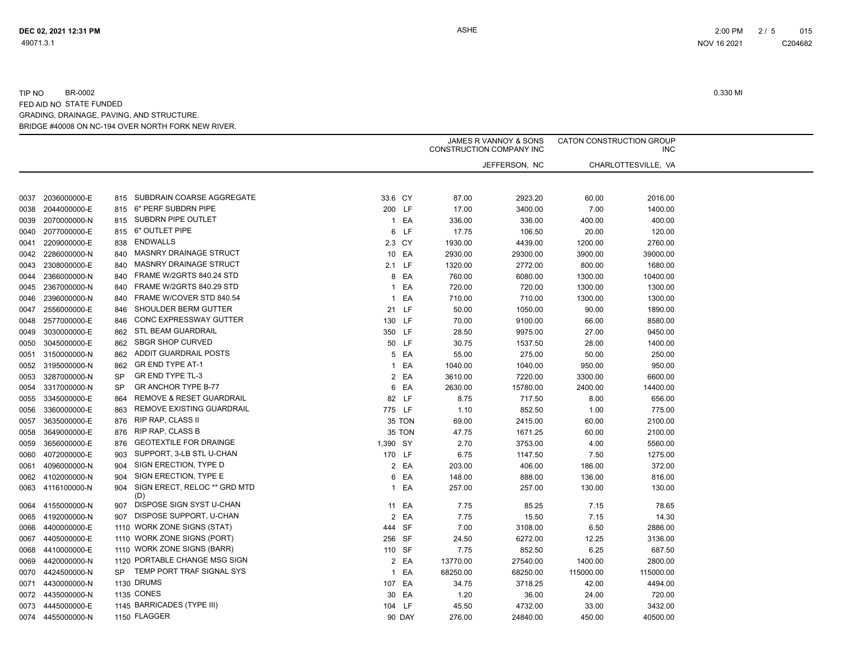|      |                   |           |                                     | JAMES R VANNOY & SONS<br>CONSTRUCTION COMPANY INC |         | CATON CONSTRUCTION GROUP<br><b>INC</b> |               |           |                     |  |
|------|-------------------|-----------|-------------------------------------|---------------------------------------------------|---------|----------------------------------------|---------------|-----------|---------------------|--|
|      |                   |           |                                     |                                                   |         |                                        | JEFFERSON, NC |           | CHARLOTTESVILLE, VA |  |
|      |                   |           |                                     |                                                   |         |                                        |               |           |                     |  |
| 0037 | 2036000000-E      | 815       | SUBDRAIN COARSE AGGREGATE           |                                                   | 33.6 CY | 87.00                                  | 2923.20       | 60.00     | 2016.00             |  |
| 0038 | 2044000000-E      | 815       | 6" PERF SUBDRN PIPE                 |                                                   | 200 LF  | 17.00                                  | 3400.00       | 7.00      | 1400.00             |  |
| 0039 | 2070000000-N      | 815       | SUBDRN PIPE OUTLET                  |                                                   | 1 EA    | 336.00                                 | 336.00        | 400.00    | 400.00              |  |
| 0040 | 2077000000-E      | 815       | 6" OUTLET PIPE                      |                                                   | 6 LF    | 17.75                                  | 106.50        | 20.00     | 120.00              |  |
| 0041 | 2209000000-E      | 838       | <b>ENDWALLS</b>                     |                                                   | 2.3 CY  | 1930.00                                | 4439.00       | 1200.00   | 2760.00             |  |
| 0042 | 2286000000-N      | 840       | <b>MASNRY DRAINAGE STRUCT</b>       |                                                   | 10 EA   | 2930.00                                | 29300.00      | 3900.00   | 39000.00            |  |
| 0043 | 2308000000-E      | 840       | <b>MASNRY DRAINAGE STRUCT</b>       |                                                   | 2.1 LF  | 1320.00                                | 2772.00       | 800.00    | 1680.00             |  |
| 0044 | 2366000000-N      | 840       | FRAME W/2GRTS 840.24 STD            |                                                   | 8 EA    | 760.00                                 | 6080.00       | 1300.00   | 10400.00            |  |
| 0045 | 2367000000-N      | 840       | FRAME W/2GRTS 840.29 STD            |                                                   | 1 EA    | 720.00                                 | 720.00        | 1300.00   | 1300.00             |  |
| 0046 | 2396000000-N      | 840       | FRAME W/COVER STD 840.54            | $\mathbf{1}$                                      | EA      | 710.00                                 | 710.00        | 1300.00   | 1300.00             |  |
| 0047 | 2556000000-E      | 846       | SHOULDER BERM GUTTER                |                                                   | 21 LF   | 50.00                                  | 1050.00       | 90.00     | 1890.00             |  |
| 0048 | 2577000000-E      | 846       | CONC EXPRESSWAY GUTTER              |                                                   | 130 LF  | 70.00                                  | 9100.00       | 66.00     | 8580.00             |  |
| 0049 | 3030000000-E      | 862       | <b>STL BEAM GUARDRAIL</b>           |                                                   | 350 LF  | 28.50                                  | 9975.00       | 27.00     | 9450.00             |  |
| 0050 | 3045000000-E      | 862       | <b>SBGR SHOP CURVED</b>             |                                                   | 50 LF   | 30.75                                  | 1537.50       | 28.00     | 1400.00             |  |
| 0051 | 3150000000-N      | 862       | <b>ADDIT GUARDRAIL POSTS</b>        |                                                   | 5 EA    | 55.00                                  | 275.00        | 50.00     | 250.00              |  |
| 0052 | 3195000000-N      | 862       | <b>GR END TYPE AT-1</b>             |                                                   | 1 EA    | 1040.00                                | 1040.00       | 950.00    | 950.00              |  |
| 0053 | 3287000000-N      | <b>SP</b> | <b>GR END TYPE TL-3</b>             | $\overline{2}$                                    | EA      | 3610.00                                | 7220.00       | 3300.00   | 6600.00             |  |
| 0054 | 3317000000-N      | <b>SP</b> | <b>GR ANCHOR TYPE B-77</b>          | 6                                                 | EA      | 2630.00                                | 15780.00      | 2400.00   | 14400.00            |  |
| 0055 | 3345000000-E      | 864       | REMOVE & RESET GUARDRAIL            |                                                   | 82 LF   | 8.75                                   | 717.50        | 8.00      | 656.00              |  |
| 0056 | 3360000000-E      | 863       | REMOVE EXISTING GUARDRAIL           |                                                   | 775 LF  | 1.10                                   | 852.50        | 1.00      | 775.00              |  |
| 0057 | 3635000000-E      | 876       | RIP RAP, CLASS II                   |                                                   | 35 TON  | 69.00                                  | 2415.00       | 60.00     | 2100.00             |  |
| 0058 | 3649000000-E      | 876       | <b>RIP RAP, CLASS B</b>             |                                                   | 35 TON  | 47.75                                  | 1671.25       | 60.00     | 2100.00             |  |
| 0059 | 3656000000-E      | 876       | <b>GEOTEXTILE FOR DRAINGE</b>       | 1,390 SY                                          |         | 2.70                                   | 3753.00       | 4.00      | 5560.00             |  |
| 0060 | 4072000000-E      | 903       | SUPPORT, 3-LB STL U-CHAN            |                                                   | 170 LF  | 6.75                                   | 1147.50       | 7.50      | 1275.00             |  |
| 0061 | 4096000000-N      | 904       | SIGN ERECTION, TYPE D               |                                                   | 2 EA    | 203.00                                 | 406.00        | 186.00    | 372.00              |  |
| 0062 | 4102000000-N      | 904       | SIGN ERECTION, TYPE E               |                                                   | 6 EA    | 148.00                                 | 888.00        | 136.00    | 816.00              |  |
| 0063 | 4116100000-N      | 904       | SIGN ERECT, RELOC ** GRD MTD<br>(D) | 1                                                 | EA      | 257.00                                 | 257.00        | 130.00    | 130.00              |  |
| 0064 | 4155000000-N      | 907       | DISPOSE SIGN SYST U-CHAN            |                                                   | 11 EA   | 7.75                                   | 85.25         | 7.15      | 78.65               |  |
| 0065 | 4192000000-N      | 907       | DISPOSE SUPPORT, U-CHAN             |                                                   | 2 EA    | 7.75                                   | 15.50         | 7.15      | 14.30               |  |
| 0066 | 4400000000-E      |           | 1110 WORK ZONE SIGNS (STAT)         |                                                   | 444 SF  | 7.00                                   | 3108.00       | 6.50      | 2886.00             |  |
| 0067 | 4405000000-E      |           | 1110 WORK ZONE SIGNS (PORT)         |                                                   | 256 SF  | 24.50                                  | 6272.00       | 12.25     | 3136.00             |  |
| 0068 | 4410000000-E      |           | 1110 WORK ZONE SIGNS (BARR)         |                                                   | 110 SF  | 7.75                                   | 852.50        | 6.25      | 687.50              |  |
| 0069 | 4420000000-N      |           | 1120 PORTABLE CHANGE MSG SIGN       |                                                   | 2 EA    | 13770.00                               | 27540.00      | 1400.00   | 2800.00             |  |
| 0070 | 4424500000-N      | <b>SP</b> | TEMP PORT TRAF SIGNAL SYS           | $\mathbf{1}$                                      | EA      | 68250.00                               | 68250.00      | 115000.00 | 115000.00           |  |
| 0071 | 4430000000-N      |           | 1130 DRUMS                          |                                                   | 107 EA  | 34.75                                  | 3718.25       | 42.00     | 4494.00             |  |
| 0072 | 4435000000-N      |           | 1135 CONES                          |                                                   | 30 EA   | 1.20                                   | 36.00         | 24.00     | 720.00              |  |
| 0073 | 4445000000-E      |           | 1145 BARRICADES (TYPE III)          |                                                   | 104 LF  | 45.50                                  | 4732.00       | 33.00     | 3432.00             |  |
|      | 0074 4455000000-N |           | 1150 FLAGGER                        |                                                   | 90 DAY  | 276.00                                 | 24840.00      | 450.00    | 40500.00            |  |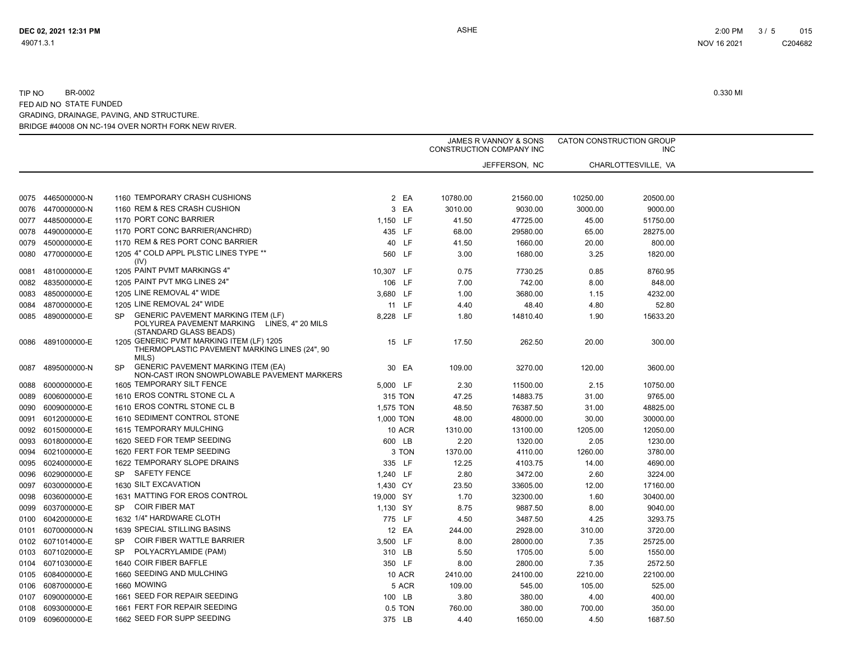|      |              |           |                                                                                                                    | JAMES R VANNOY & SONS<br>CONSTRUCTION COMPANY INC |  |          | CATON CONSTRUCTION GROUP<br><b>INC</b> |          |                     |  |
|------|--------------|-----------|--------------------------------------------------------------------------------------------------------------------|---------------------------------------------------|--|----------|----------------------------------------|----------|---------------------|--|
|      |              |           |                                                                                                                    |                                                   |  |          | JEFFERSON, NC                          |          | CHARLOTTESVILLE, VA |  |
|      |              |           |                                                                                                                    |                                                   |  |          |                                        |          |                     |  |
| 0075 | 4465000000-N |           | 1160 TEMPORARY CRASH CUSHIONS                                                                                      | 2 EA                                              |  | 10780.00 | 21560.00                               | 10250.00 | 20500.00            |  |
| 0076 | 4470000000-N |           | 1160 REM & RES CRASH CUSHION                                                                                       | 3 EA                                              |  | 3010.00  | 9030.00                                | 3000.00  | 9000.00             |  |
| 0077 | 4485000000-E |           | 1170 PORT CONC BARRIER                                                                                             | 1,150 LF                                          |  | 41.50    | 47725.00                               | 45.00    | 51750.00            |  |
| 0078 | 4490000000-E |           | 1170 PORT CONC BARRIER(ANCHRD)                                                                                     | 435 LF                                            |  | 68.00    | 29580.00                               | 65.00    | 28275.00            |  |
| 0079 | 4500000000-E |           | 1170 REM & RES PORT CONC BARRIER                                                                                   | 40 LF                                             |  | 41.50    | 1660.00                                | 20.00    | 800.00              |  |
| 0080 | 4770000000-E |           | 1205 4" COLD APPL PLSTIC LINES TYPE **<br>(IV)                                                                     | 560 LF                                            |  | 3.00     | 1680.00                                | 3.25     | 1820.00             |  |
| 0081 | 4810000000-E |           | 1205 PAINT PVMT MARKINGS 4"                                                                                        | 10,307 LF                                         |  | 0.75     | 7730.25                                | 0.85     | 8760.95             |  |
| 0082 | 4835000000-E |           | 1205 PAINT PVT MKG LINES 24"                                                                                       | 106 LF                                            |  | 7.00     | 742.00                                 | 8.00     | 848.00              |  |
| 0083 | 4850000000-E |           | 1205 LINE REMOVAL 4" WIDE                                                                                          | 3,680 LF                                          |  | 1.00     | 3680.00                                | 1.15     | 4232.00             |  |
| 0084 | 4870000000-E |           | 1205 LINE REMOVAL 24" WIDE                                                                                         | 11 LF                                             |  | 4.40     | 48.40                                  | 4.80     | 52.80               |  |
| 0085 | 4890000000-E | <b>SP</b> | <b>GENERIC PAVEMENT MARKING ITEM (LF)</b><br>POLYUREA PAVEMENT MARKING LINES, 4" 20 MILS<br>(STANDARD GLASS BEADS) | 8,228 LF                                          |  | 1.80     | 14810.40                               | 1.90     | 15633.20            |  |
| 0086 | 4891000000-E |           | 1205 GENERIC PVMT MARKING ITEM (LF) 1205<br>THERMOPLASTIC PAVEMENT MARKING LINES (24", 90<br>MILS)                 | 15 LF                                             |  | 17.50    | 262.50                                 | 20.00    | 300.00              |  |
| 0087 | 4895000000-N | <b>SP</b> | <b>GENERIC PAVEMENT MARKING ITEM (EA)</b><br>NON-CAST IRON SNOWPLOWABLE PAVEMENT MARKERS                           | 30 EA                                             |  | 109.00   | 3270.00                                | 120.00   | 3600.00             |  |
| 0088 | 6000000000-E |           | 1605 TEMPORARY SILT FENCE                                                                                          | 5,000 LF                                          |  | 2.30     | 11500.00                               | 2.15     | 10750.00            |  |
| 0089 | 6006000000-E |           | 1610 EROS CONTRL STONE CL A                                                                                        | 315 TON                                           |  | 47.25    | 14883.75                               | 31.00    | 9765.00             |  |
| 0090 | 6009000000-E |           | 1610 EROS CONTRL STONE CL B                                                                                        | 1,575 TON                                         |  | 48.50    | 76387.50                               | 31.00    | 48825.00            |  |
| 0091 | 6012000000-E |           | 1610 SEDIMENT CONTROL STONE                                                                                        | 1,000 TON                                         |  | 48.00    | 48000.00                               | 30.00    | 30000.00            |  |
| 0092 | 6015000000-E |           | 1615 TEMPORARY MULCHING                                                                                            | <b>10 ACR</b>                                     |  | 1310.00  | 13100.00                               | 1205.00  | 12050.00            |  |
| 0093 | 6018000000-E |           | 1620 SEED FOR TEMP SEEDING                                                                                         | 600 LB                                            |  | 2.20     | 1320.00                                | 2.05     | 1230.00             |  |
| 0094 | 6021000000-E |           | 1620 FERT FOR TEMP SEEDING                                                                                         | 3 TON                                             |  | 1370.00  | 4110.00                                | 1260.00  | 3780.00             |  |
| 0095 | 6024000000-E |           | 1622 TEMPORARY SLOPE DRAINS                                                                                        | 335 LF                                            |  | 12.25    | 4103.75                                | 14.00    | 4690.00             |  |
| 0096 | 6029000000-E |           | SP SAFETY FENCE                                                                                                    | 1,240 LF                                          |  | 2.80     | 3472.00                                | 2.60     | 3224.00             |  |
| 0097 | 6030000000-E |           | 1630 SILT EXCAVATION                                                                                               | 1,430 CY                                          |  | 23.50    | 33605.00                               | 12.00    | 17160.00            |  |
| 0098 | 6036000000-E |           | 1631 MATTING FOR EROS CONTROL                                                                                      | 19,000 SY                                         |  | 1.70     | 32300.00                               | 1.60     | 30400.00            |  |
| 0099 | 6037000000-E | SP.       | <b>COIR FIBER MAT</b>                                                                                              | 1,130 SY                                          |  | 8.75     | 9887.50                                | 8.00     | 9040.00             |  |
| 0100 | 6042000000-E |           | 1632 1/4" HARDWARE CLOTH                                                                                           | 775 LF                                            |  | 4.50     | 3487.50                                | 4.25     | 3293.75             |  |
| 0101 | 6070000000-N |           | 1639 SPECIAL STILLING BASINS                                                                                       | 12 EA                                             |  | 244.00   | 2928.00                                | 310.00   | 3720.00             |  |
| 0102 | 6071014000-E | <b>SP</b> | <b>COIR FIBER WATTLE BARRIER</b>                                                                                   | 3,500 LF                                          |  | 8.00     | 28000.00                               | 7.35     | 25725.00            |  |
| 0103 | 6071020000-E | <b>SP</b> | POLYACRYLAMIDE (PAM)                                                                                               | 310 LB                                            |  | 5.50     | 1705.00                                | 5.00     | 1550.00             |  |
| 0104 | 6071030000-E |           | 1640 COIR FIBER BAFFLE                                                                                             | 350 LF                                            |  | 8.00     | 2800.00                                | 7.35     | 2572.50             |  |
| 0105 | 6084000000-E |           | 1660 SEEDING AND MULCHING                                                                                          | <b>10 ACR</b>                                     |  | 2410.00  | 24100.00                               | 2210.00  | 22100.00            |  |
| 0106 | 6087000000-E |           | 1660 MOWING                                                                                                        | 5 ACR                                             |  | 109.00   | 545.00                                 | 105.00   | 525.00              |  |
| 0107 | 6090000000-E |           | 1661 SEED FOR REPAIR SEEDING                                                                                       | 100 LB                                            |  | 3.80     | 380.00                                 | 4.00     | 400.00              |  |
| 0108 | 6093000000-E |           | 1661 FERT FOR REPAIR SEEDING                                                                                       | 0.5 TON                                           |  | 760.00   | 380.00                                 | 700.00   | 350.00              |  |
| 0109 | 6096000000-E |           | 1662 SEED FOR SUPP SEEDING                                                                                         | 375 LB                                            |  | 4.40     | 1650.00                                | 4.50     | 1687.50             |  |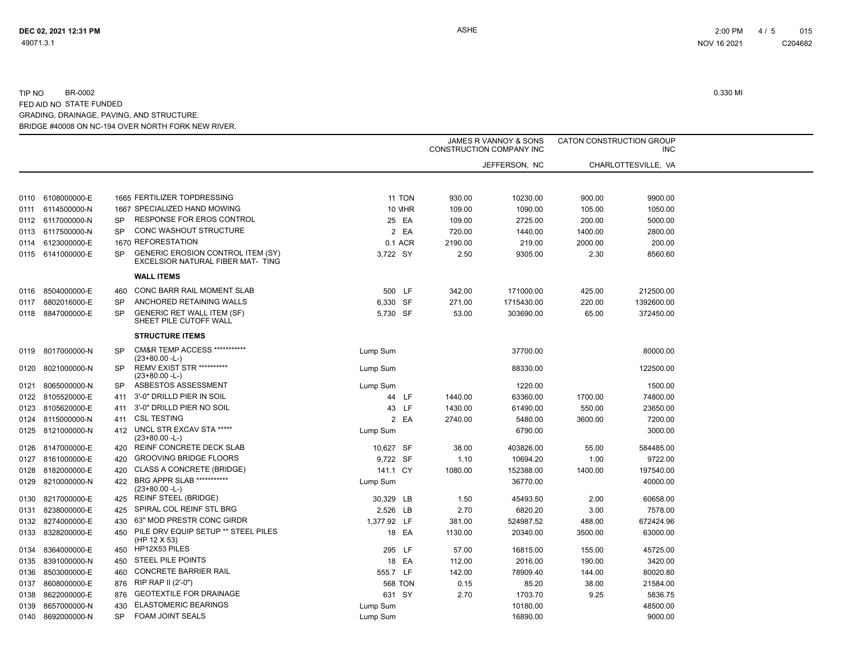|      | JAMES R VANNOY & SONS<br><b>CONSTRUCTION COMPANY INC</b> |           | CATON CONSTRUCTION GROUP<br><b>INC</b>                                        |                |         |               |         |                     |  |
|------|----------------------------------------------------------|-----------|-------------------------------------------------------------------------------|----------------|---------|---------------|---------|---------------------|--|
|      |                                                          |           |                                                                               |                |         | JEFFERSON, NC |         | CHARLOTTESVILLE. VA |  |
|      |                                                          |           |                                                                               |                |         |               |         |                     |  |
| 0110 | 6108000000-E                                             |           | 1665 FERTILIZER TOPDRESSING                                                   | 11 TON         | 930.00  | 10230.00      | 900.00  | 9900.00             |  |
| 0111 | 6114500000-N                                             |           | 1667 SPECIALIZED HAND MOWING                                                  | <b>10 MHR</b>  | 109.00  | 1090.00       | 105.00  | 1050.00             |  |
|      | 0112 6117000000-N                                        | <b>SP</b> | <b>RESPONSE FOR EROS CONTROL</b>                                              | 25 EA          | 109.00  | 2725.00       | 200.00  | 5000.00             |  |
|      | 0113 6117500000-N                                        | <b>SP</b> | CONC WASHOUT STRUCTURE                                                        | 2 EA           | 720.00  | 1440.00       | 1400.00 | 2800.00             |  |
| 0114 | 6123000000-E                                             |           | 1670 REFORESTATION                                                            | 0.1 ACR        | 2190.00 | 219.00        | 2000.00 | 200.00              |  |
|      | 0115 6141000000-E                                        | <b>SP</b> | <b>GENERIC EROSION CONTROL ITEM (SY)</b><br>EXCELSIOR NATURAL FIBER MAT- TING | 3,722 SY       | 2.50    | 9305.00       | 2.30    | 8560.60             |  |
|      |                                                          |           | <b>WALL ITEMS</b>                                                             |                |         |               |         |                     |  |
| 0116 | 8504000000-E                                             | 460       | CONC BARR RAIL MOMENT SLAB                                                    | 500 LF         | 342.00  | 171000.00     | 425.00  | 212500.00           |  |
| 0117 | 8802016000-E                                             | <b>SP</b> | ANCHORED RETAINING WALLS                                                      | 6,330 SF       | 271.00  | 1715430.00    | 220.00  | 1392600.00          |  |
| 0118 | 8847000000-E                                             | <b>SP</b> | <b>GENERIC RET WALL ITEM (SF)</b><br>SHEET PILE CUTOFF WALL                   | 5,730 SF       | 53.00   | 303690.00     | 65.00   | 372450.00           |  |
|      |                                                          |           | <b>STRUCTURE ITEMS</b>                                                        |                |         |               |         |                     |  |
| 0119 | 8017000000-N                                             | <b>SP</b> | <b>CM&amp;R TEMP ACCESS ***********</b><br>(23+80.00 -L-)                     | Lump Sum       |         | 37700.00      |         | 80000.00            |  |
| 0120 | 8021000000-N                                             | SP        | <b>REMV EXIST STR **********</b><br>$(23+80.00 - L)$                          | Lump Sum       |         | 88330.00      |         | 122500.00           |  |
| 0121 | 8065000000-N                                             | <b>SP</b> | ASBESTOS ASSESSMENT                                                           | Lump Sum       |         | 1220.00       |         | 1500.00             |  |
| 0122 | 8105520000-E                                             | 411       | 3'-0" DRILLD PIER IN SOIL                                                     | 44 LF          | 1440.00 | 63360.00      | 1700.00 | 74800.00            |  |
| 0123 | 8105620000-E                                             | 411       | 3'-0" DRILLD PIER NO SOIL                                                     | 43 LF          | 1430.00 | 61490.00      | 550.00  | 23650.00            |  |
| 0124 | 8115000000-N                                             | 411       | <b>CSL TESTING</b>                                                            | 2 EA           | 2740.00 | 5480.00       | 3600.00 | 7200.00             |  |
|      | 0125 8121000000-N                                        | 412       | UNCL STR EXCAV STA *****<br>(23+80.00 -L-)                                    | Lump Sum       |         | 6790.00       |         | 3000.00             |  |
| 0126 | 8147000000-E                                             | 420       | REINF CONCRETE DECK SLAB                                                      | 10,627 SF      | 38.00   | 403826.00     | 55.00   | 584485.00           |  |
|      | 0127 8161000000-E                                        | 420       | <b>GROOVING BRIDGE FLOORS</b>                                                 | 9,722 SF       | 1.10    | 10694.20      | 1.00    | 9722.00             |  |
| 0128 | 8182000000-E                                             | 420       | <b>CLASS A CONCRETE (BRIDGE)</b>                                              | 141.1 CY       | 1080.00 | 152388.00     | 1400.00 | 197540.00           |  |
| 0129 | 8210000000-N                                             | 422       | <b>BRG APPR SLAB ***********</b><br>$(23+80.00 - L)$                          | Lump Sum       |         | 36770.00      |         | 40000.00            |  |
| 0130 | 8217000000-E                                             | 425       | <b>REINF STEEL (BRIDGE)</b>                                                   | 30,329 LB      | 1.50    | 45493.50      | 2.00    | 60658.00            |  |
| 0131 | 8238000000-E                                             | 425       | SPIRAL COL REINF STL BRG                                                      | 2,526 LB       | 2.70    | 6820.20       | 3.00    | 7578.00             |  |
| 0132 | 8274000000-E                                             | 430       | 63" MOD PRESTR CONC GIRDR                                                     | 1,377.92 LF    | 381.00  | 524987.52     | 488.00  | 672424.96           |  |
| 0133 | 8328200000-E                                             | 450       | PILE DRV EQUIP SETUP ** STEEL PILES<br>(HP 12 X 53)                           | 18 EA          | 1130.00 | 20340.00      | 3500.00 | 63000.00            |  |
| 0134 | 8364000000-E                                             | 450       | HP12X53 PILES                                                                 | 295 LF         | 57.00   | 16815.00      | 155.00  | 45725.00            |  |
| 0135 | 8391000000-N                                             | 450       | STEEL PILE POINTS                                                             | 18 EA          | 112.00  | 2016.00       | 190.00  | 3420.00             |  |
| 0136 | 8503000000-E                                             | 460       | <b>CONCRETE BARRIER RAIL</b>                                                  | 555.7 LF       | 142.00  | 78909.40      | 144.00  | 80020.80            |  |
| 0137 | 8608000000-E                                             | 876       | RIP RAP II (2'-0")                                                            | <b>568 TON</b> | 0.15    | 85.20         | 38.00   | 21584.00            |  |
| 0138 | 8622000000-E                                             | 876       | <b>GEOTEXTILE FOR DRAINAGE</b>                                                | 631 SY         | 2.70    | 1703.70       | 9.25    | 5836.75             |  |
| 0139 | 8657000000-N                                             | 430       | <b>ELASTOMERIC BEARINGS</b>                                                   | Lump Sum       |         | 10180.00      |         | 48500.00            |  |
| 0140 | 8692000000-N                                             | <b>SP</b> | <b>FOAM JOINT SEALS</b>                                                       | Lump Sum       |         | 16890.00      |         | 9000.00             |  |